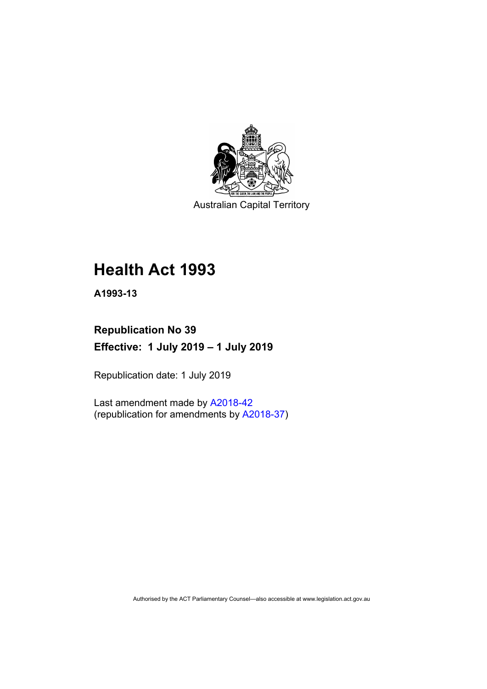

Australian Capital Territory

# **Health Act 1993**

**A1993-13**

## **Republication No 39 Effective: 1 July 2019 – 1 July 2019**

Republication date: 1 July 2019

Last amendment made by [A2018-42](http://www.legislation.act.gov.au/a/2018-42/default.asp) (republication for amendments by [A2018-37\)](http://www.legislation.act.gov.au/a/2018-37/default.asp)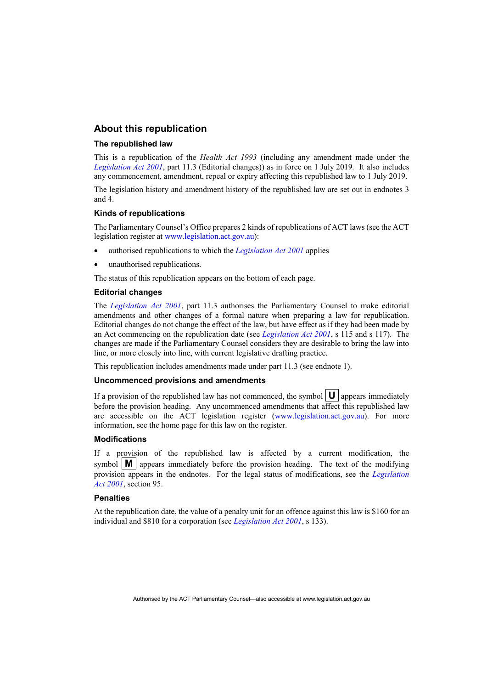#### **About this republication**

#### **The republished law**

This is a republication of the *Health Act 1993* (including any amendment made under the *[Legislation Act 2001](http://www.legislation.act.gov.au/a/2001-14)*, part 11.3 (Editorial changes)) as in force on 1 July 2019*.* It also includes any commencement, amendment, repeal or expiry affecting this republished law to 1 July 2019.

The legislation history and amendment history of the republished law are set out in endnotes 3 and 4.

#### **Kinds of republications**

The Parliamentary Counsel's Office prepares 2 kinds of republications of ACT laws (see the ACT legislation register at [www.legislation.act.gov.au\)](http://www.legislation.act.gov.au/):

- authorised republications to which the *[Legislation Act 2001](http://www.legislation.act.gov.au/a/2001-14)* applies
- unauthorised republications.

The status of this republication appears on the bottom of each page.

#### **Editorial changes**

The *[Legislation Act 2001](http://www.legislation.act.gov.au/a/2001-14)*, part 11.3 authorises the Parliamentary Counsel to make editorial amendments and other changes of a formal nature when preparing a law for republication. Editorial changes do not change the effect of the law, but have effect as if they had been made by an Act commencing on the republication date (see *[Legislation Act 2001](http://www.legislation.act.gov.au/a/2001-14)*, s 115 and s 117). The changes are made if the Parliamentary Counsel considers they are desirable to bring the law into line, or more closely into line, with current legislative drafting practice.

This republication includes amendments made under part 11.3 (see endnote 1).

#### **Uncommenced provisions and amendments**

If a provision of the republished law has not commenced, the symbol  $\mathbf{U}$  appears immediately before the provision heading. Any uncommenced amendments that affect this republished law are accessible on the ACT legislation register [\(www.legislation.act.gov.au\)](http://www.legislation.act.gov.au/). For more information, see the home page for this law on the register.

#### **Modifications**

If a provision of the republished law is affected by a current modification, the symbol  $\mathbf{M}$  appears immediately before the provision heading. The text of the modifying provision appears in the endnotes. For the legal status of modifications, see the *[Legislation](http://www.legislation.act.gov.au/a/2001-14)  Act [2001](http://www.legislation.act.gov.au/a/2001-14)*, section 95.

#### **Penalties**

At the republication date, the value of a penalty unit for an offence against this law is \$160 for an individual and \$810 for a corporation (see *[Legislation Act 2001](http://www.legislation.act.gov.au/a/2001-14)*, s 133).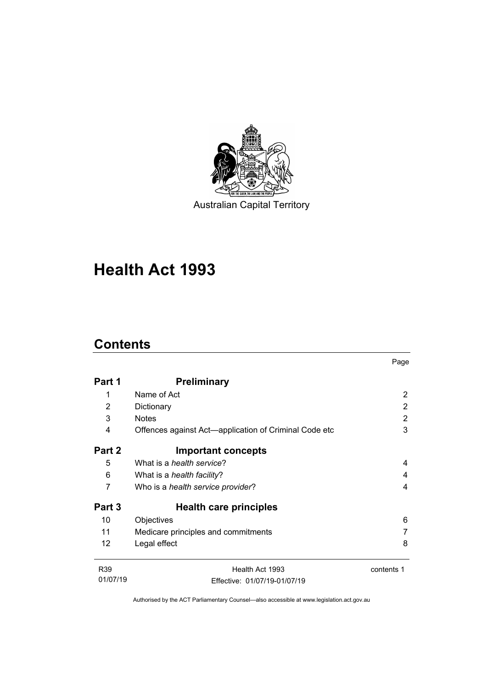

# **Health Act 1993**

## **Contents**

|                 |                                                       | Page       |
|-----------------|-------------------------------------------------------|------------|
| Part 1          | <b>Preliminary</b>                                    |            |
| 1               | Name of Act                                           | 2          |
| 2               | Dictionary                                            | 2          |
| 3               | <b>Notes</b>                                          | 2          |
| 4               | Offences against Act—application of Criminal Code etc | 3          |
| Part 2          | <b>Important concepts</b>                             |            |
| 5               | What is a health service?                             | 4          |
| 6               | What is a <i>health facility</i> ?                    | 4          |
| 7               | Who is a health service provider?                     | 4          |
| Part 3          | Health care principles                                |            |
| 10              | Objectives                                            | 6          |
| 11              | Medicare principles and commitments                   |            |
| 12              | Legal effect                                          | 8          |
| R <sub>39</sub> | Health Act 1993                                       | contents 1 |
| 01/07/19        | Effective: 01/07/19-01/07/19                          |            |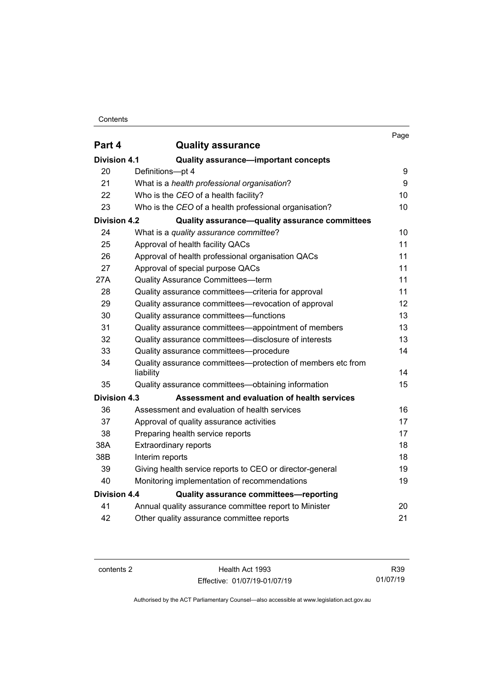Contents

|                     |                                                                          | Page |
|---------------------|--------------------------------------------------------------------------|------|
| Part 4              | <b>Quality assurance</b>                                                 |      |
| <b>Division 4.1</b> | <b>Quality assurance-important concepts</b>                              |      |
| 20                  | Definitions-pt 4                                                         | 9    |
| 21                  | What is a health professional organisation?                              | 9    |
| 22                  | Who is the CEO of a health facility?                                     | 10   |
| 23                  | Who is the CEO of a health professional organisation?                    | 10   |
| <b>Division 4.2</b> | Quality assurance-quality assurance committees                           |      |
| 24                  | What is a quality assurance committee?                                   | 10   |
| 25                  | Approval of health facility QACs                                         | 11   |
| 26                  | Approval of health professional organisation QACs                        | 11   |
| 27                  | Approval of special purpose QACs                                         | 11   |
| 27A                 | Quality Assurance Committees-term                                        | 11   |
| 28                  | Quality assurance committees-criteria for approval                       | 11   |
| 29                  | Quality assurance committees—revocation of approval                      | 12   |
| 30                  | Quality assurance committees-functions                                   | 13   |
| 31                  | Quality assurance committees—appointment of members                      | 13   |
| 32                  | Quality assurance committees-disclosure of interests                     | 13   |
| 33                  | Quality assurance committees-procedure                                   | 14   |
| 34                  | Quality assurance committees—protection of members etc from<br>liability | 14   |
| 35                  | Quality assurance committees—obtaining information                       | 15   |
| <b>Division 4.3</b> | Assessment and evaluation of health services                             |      |
| 36                  | Assessment and evaluation of health services                             | 16   |
| 37                  | Approval of quality assurance activities                                 | 17   |
| 38                  | Preparing health service reports                                         | 17   |
| 38A                 | <b>Extraordinary reports</b>                                             | 18   |
| 38B                 | Interim reports                                                          | 18   |
| 39                  | Giving health service reports to CEO or director-general                 | 19   |
| 40                  | Monitoring implementation of recommendations                             | 19   |
| <b>Division 4.4</b> | <b>Quality assurance committees-reporting</b>                            |      |
| 41                  | Annual quality assurance committee report to Minister                    | 20   |
| 42                  | Other quality assurance committee reports                                | 21   |

contents 2 Health Act 1993 Effective: 01/07/19-01/07/19

R39 01/07/19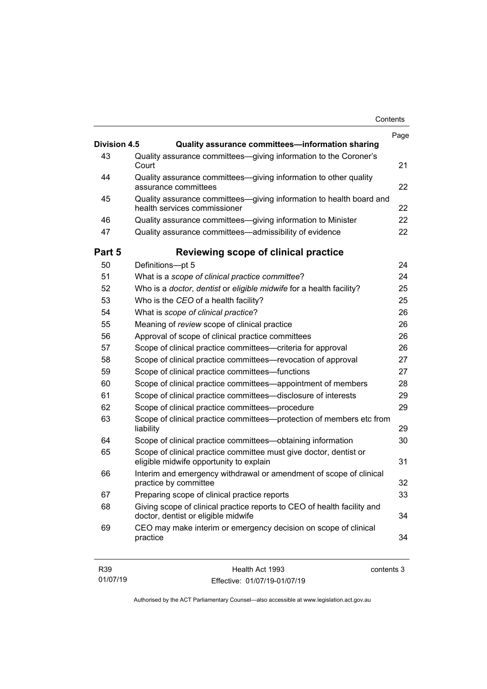| Contents |
|----------|
|----------|

| <b>Division 4.5</b> | Quality assurance committees-information sharing                                                               | Page |
|---------------------|----------------------------------------------------------------------------------------------------------------|------|
| 43                  | Quality assurance committees-giving information to the Coroner's<br>Court                                      | 21   |
| 44                  | Quality assurance committees-giving information to other quality<br>assurance committees                       | 22   |
| 45                  | Quality assurance committees-giving information to health board and<br>health services commissioner            | 22   |
| 46                  | Quality assurance committees-giving information to Minister                                                    | 22   |
| 47                  | Quality assurance committees-admissibility of evidence                                                         | 22   |
| Part 5              | Reviewing scope of clinical practice                                                                           |      |
| 50                  | Definitions-pt 5                                                                                               | 24   |
| 51                  | What is a scope of clinical practice committee?                                                                | 24   |
| 52                  | Who is a doctor, dentist or eligible midwife for a health facility?                                            | 25   |
| 53                  | Who is the CEO of a health facility?                                                                           | 25   |
| 54                  | What is scope of clinical practice?                                                                            | 26   |
| 55                  | Meaning of review scope of clinical practice                                                                   | 26   |
| 56                  | Approval of scope of clinical practice committees                                                              | 26   |
| 57                  | Scope of clinical practice committees-criteria for approval                                                    | 26   |
| 58                  | Scope of clinical practice committees-revocation of approval                                                   | 27   |
| 59                  | Scope of clinical practice committees-functions                                                                | 27   |
| 60                  | Scope of clinical practice committees—appointment of members                                                   | 28   |
| 61                  | Scope of clinical practice committees-disclosure of interests                                                  | 29   |
| 62                  | Scope of clinical practice committees-procedure                                                                | 29   |
| 63                  | Scope of clinical practice committees—protection of members etc from<br>liability                              | 29   |
| 64                  | Scope of clinical practice committees-obtaining information                                                    | 30   |
| 65                  | Scope of clinical practice committee must give doctor, dentist or<br>eligible midwife opportunity to explain   |      |
| 66                  | Interim and emergency withdrawal or amendment of scope of clinical<br>practice by committee                    |      |
| 67                  | Preparing scope of clinical practice reports                                                                   | 33   |
| 68                  | Giving scope of clinical practice reports to CEO of health facility and<br>doctor, dentist or eligible midwife | 34   |
| 69                  | CEO may make interim or emergency decision on scope of clinical<br>practice                                    | 34   |
| R39                 | Health Act 1993<br>contents 3                                                                                  |      |

Authorised by the ACT Parliamentary Counsel—also accessible at www.legislation.act.gov.au

Effective: 01/07/19-01/07/19

01/07/19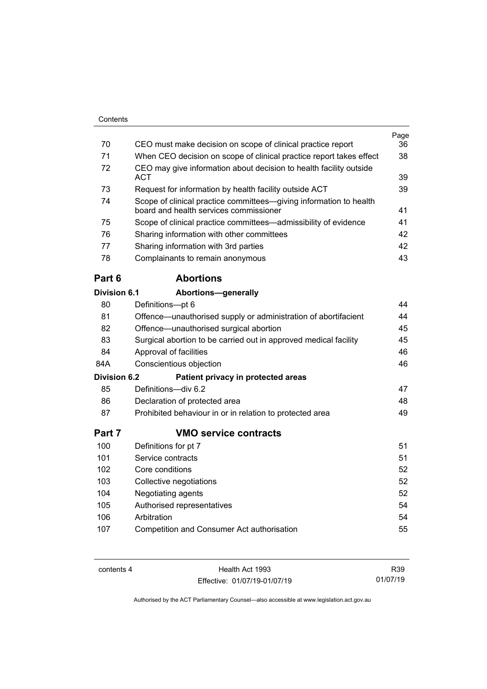| 70                  | CEO must make decision on scope of clinical practice report                                                  | Page<br>36 |
|---------------------|--------------------------------------------------------------------------------------------------------------|------------|
| 71                  | When CEO decision on scope of clinical practice report takes effect                                          | 38         |
| 72                  | CEO may give information about decision to health facility outside                                           |            |
|                     | ACT                                                                                                          | 39         |
| 73                  | Request for information by health facility outside ACT                                                       | 39         |
| 74                  | Scope of clinical practice committees-giving information to health<br>board and health services commissioner | 41         |
| 75                  | Scope of clinical practice committees-admissibility of evidence                                              | 41         |
| 76                  | Sharing information with other committees                                                                    | 42         |
| 77                  | Sharing information with 3rd parties                                                                         | 42         |
| 78                  | Complainants to remain anonymous                                                                             | 43         |
| Part 6              | <b>Abortions</b>                                                                                             |            |
| Division 6.1        | <b>Abortions-generally</b>                                                                                   |            |
| 80                  | Definitions-pt 6                                                                                             | 44         |
| 81                  | Offence—unauthorised supply or administration of abortifacient                                               | 44         |
| 82                  | Offence-unauthorised surgical abortion                                                                       | 45         |
| 83                  | Surgical abortion to be carried out in approved medical facility                                             | 45         |
| 84                  | Approval of facilities                                                                                       | 46         |
| 84A                 | Conscientious objection                                                                                      | 46         |
| <b>Division 6.2</b> | Patient privacy in protected areas                                                                           |            |
| 85                  | Definitions-div 6.2                                                                                          | 47         |
| 86                  | Declaration of protected area                                                                                | 48         |
| 87                  | Prohibited behaviour in or in relation to protected area                                                     | 49         |
| Part 7              | <b>VMO service contracts</b>                                                                                 |            |
| 100                 | Definitions for pt 7                                                                                         | 51         |
| 101                 | Service contracts                                                                                            | 51         |
| 102                 | Core conditions                                                                                              | 52         |
| 103                 | Collective negotiations                                                                                      | 52         |
| 104                 | Negotiating agents                                                                                           | 52         |
| 105                 | Authorised representatives                                                                                   | 54         |
| 106                 | Arbitration                                                                                                  | 54         |
| 107                 | Competition and Consumer Act authorisation                                                                   | 55         |
|                     |                                                                                                              |            |

contents 4 Health Act 1993 Effective: 01/07/19-01/07/19

R39 01/07/19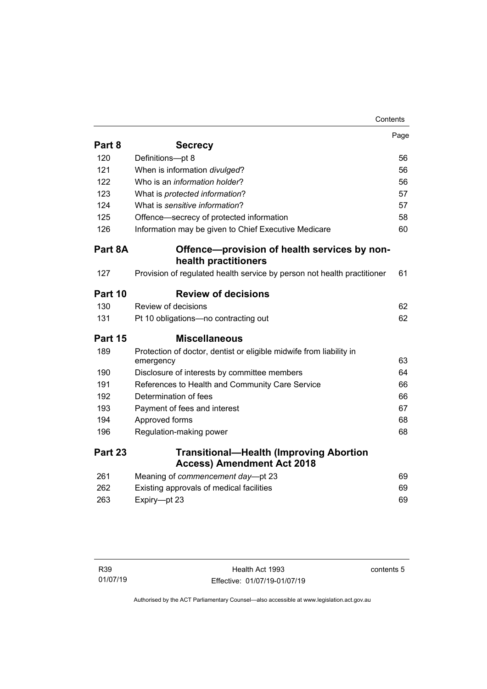| Contents |
|----------|
|----------|

|         |                                                                                     | Page |
|---------|-------------------------------------------------------------------------------------|------|
| Part 8  | <b>Secrecy</b>                                                                      |      |
| 120     | Definitions-pt 8                                                                    | 56   |
| 121     | When is information divulged?                                                       | 56   |
| 122     | Who is an <i>information holder</i> ?                                               | 56   |
| 123     | What is protected information?                                                      | 57   |
| 124     | What is sensitive information?                                                      | 57   |
| 125     | Offence-secrecy of protected information                                            | 58   |
| 126     | Information may be given to Chief Executive Medicare                                | 60   |
| Part 8A | Offence-provision of health services by non-                                        |      |
|         | health practitioners                                                                |      |
| 127     | Provision of regulated health service by person not health practitioner             | 61   |
| Part 10 | <b>Review of decisions</b>                                                          |      |
| 130     | Review of decisions                                                                 | 62   |
| 131     | Pt 10 obligations-no contracting out                                                | 62   |
| Part 15 | <b>Miscellaneous</b>                                                                |      |
| 189     | Protection of doctor, dentist or eligible midwife from liability in<br>emergency    | 63   |
| 190     | Disclosure of interests by committee members                                        | 64   |
| 191     | References to Health and Community Care Service                                     | 66   |
| 192     | Determination of fees                                                               | 66   |
| 193     | Payment of fees and interest                                                        | 67   |
| 194     | Approved forms                                                                      | 68   |
| 196     | Regulation-making power                                                             | 68   |
| Part 23 | <b>Transitional-Health (Improving Abortion</b><br><b>Access) Amendment Act 2018</b> |      |
| 261     | Meaning of commencement day-pt 23                                                   | 69   |
| 262     | Existing approvals of medical facilities                                            | 69   |
| 263     | Expiry-pt 23                                                                        | 69   |
|         |                                                                                     |      |

contents 5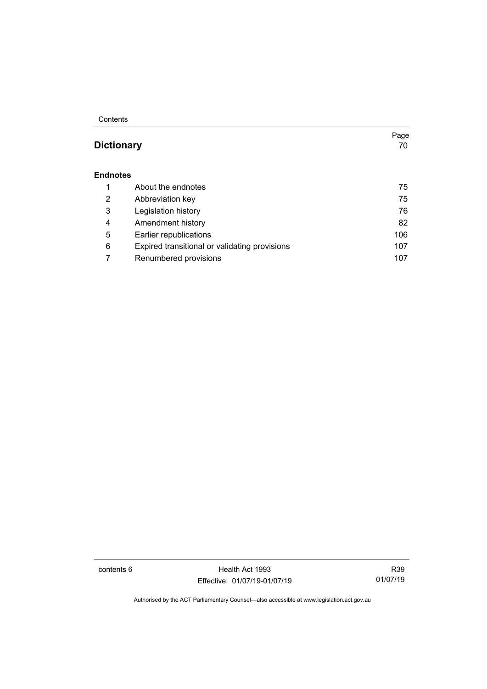**Contents** 

### **[Dictionary](#page-77-0)** 70

#### **[Endnotes](#page-82-0)**

|   | About the endnotes                            | 75  |
|---|-----------------------------------------------|-----|
| 2 | Abbreviation key                              | 75  |
| 3 | Legislation history                           | 76  |
| 4 | Amendment history                             | 82  |
| 5 | Earlier republications                        | 106 |
| 6 | Expired transitional or validating provisions | 107 |
|   | Renumbered provisions                         | 107 |

contents 6 Health Act 1993 Effective: 01/07/19-01/07/19

R39 01/07/19

Page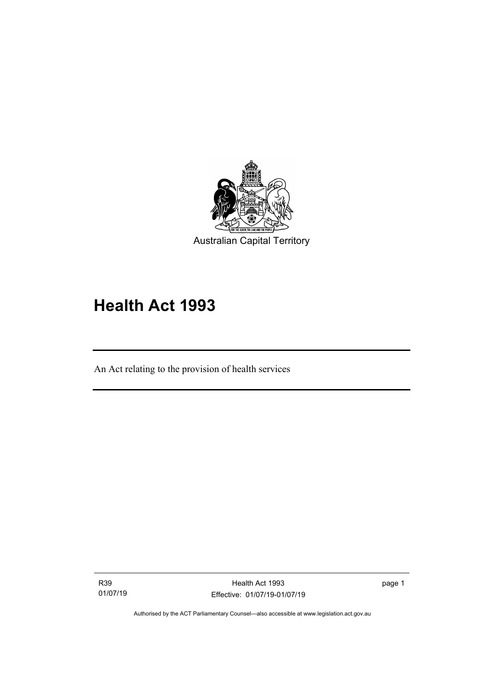

# **Health Act 1993**

An Act relating to the provision of health services

R39 01/07/19

I

page 1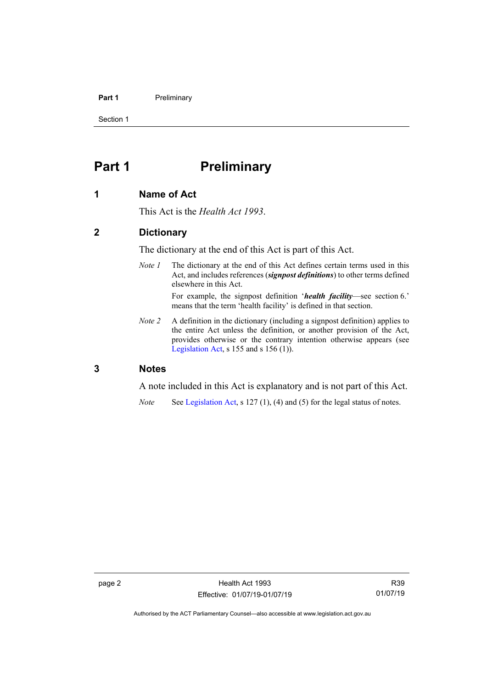#### Part 1 **Preliminary**

Section 1

### <span id="page-9-0"></span>**Part 1 Preliminary**

#### <span id="page-9-1"></span>**1 Name of Act**

This Act is the *Health Act 1993*.

#### <span id="page-9-2"></span>**2 Dictionary**

The dictionary at the end of this Act is part of this Act.

*Note 1* The dictionary at the end of this Act defines certain terms used in this Act, and includes references (*signpost definitions*) to other terms defined elsewhere in this Act.

For example, the signpost definition '*health facility*—see section 6.' means that the term 'health facility' is defined in that section.

*Note 2* A definition in the dictionary (including a signpost definition) applies to the entire Act unless the definition, or another provision of the Act, provides otherwise or the contrary intention otherwise appears (see [Legislation Act,](http://www.legislation.act.gov.au/a/2001-14) s  $155$  and s  $156$  (1)).

#### <span id="page-9-3"></span>**3 Notes**

A note included in this Act is explanatory and is not part of this Act.

*Note* See [Legislation Act,](http://www.legislation.act.gov.au/a/2001-14) s 127 (1), (4) and (5) for the legal status of notes.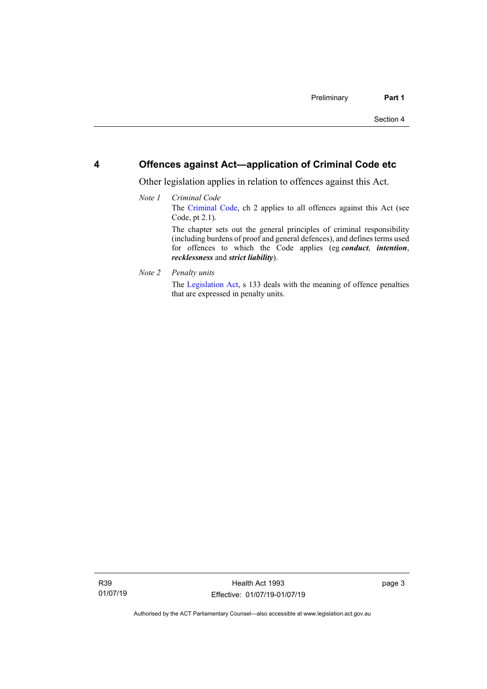#### <span id="page-10-0"></span>**4 Offences against Act—application of Criminal Code etc**

Other legislation applies in relation to offences against this Act.

#### *Note 1 Criminal Code* The [Criminal Code,](http://www.legislation.act.gov.au/a/2002-51) ch 2 applies to all offences against this Act (see Code, pt 2.1). The chapter sets out the general principles of criminal responsibility (including burdens of proof and general defences), and defines terms used for offences to which the Code applies (eg *conduct*, *intention*, *recklessness* and *strict liability*).

*Note 2 Penalty units*

The [Legislation Act,](http://www.legislation.act.gov.au/a/2001-14) s 133 deals with the meaning of offence penalties that are expressed in penalty units.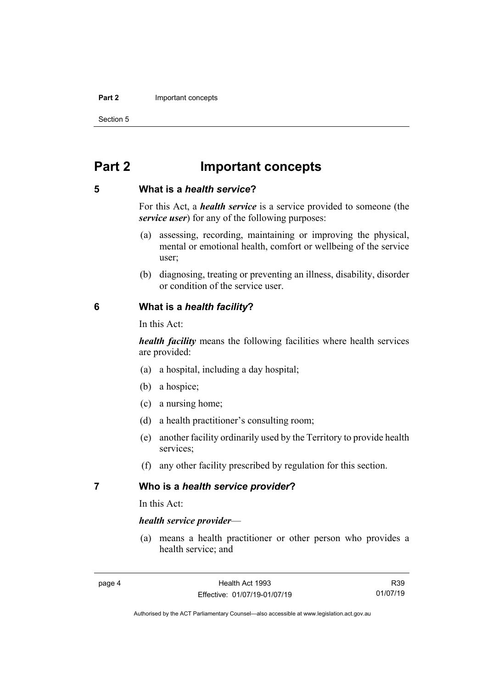#### **Part 2** Important concepts

Section 5

### <span id="page-11-0"></span>**Part 2 Important concepts**

#### <span id="page-11-1"></span>**5 What is a** *health service***?**

For this Act, a *health service* is a service provided to someone (the *service user*) for any of the following purposes:

- (a) assessing, recording, maintaining or improving the physical, mental or emotional health, comfort or wellbeing of the service user;
- (b) diagnosing, treating or preventing an illness, disability, disorder or condition of the service user.

#### <span id="page-11-2"></span>**6 What is a** *health facility***?**

In this Act:

*health facility* means the following facilities where health services are provided:

- (a) a hospital, including a day hospital;
- (b) a hospice;
- (c) a nursing home;
- (d) a health practitioner's consulting room;
- (e) another facility ordinarily used by the Territory to provide health services;
- (f) any other facility prescribed by regulation for this section.

#### <span id="page-11-3"></span>**7 Who is a** *health service provider***?**

In this Act:

#### *health service provider*—

(a) means a health practitioner or other person who provides a health service; and

R39 01/07/19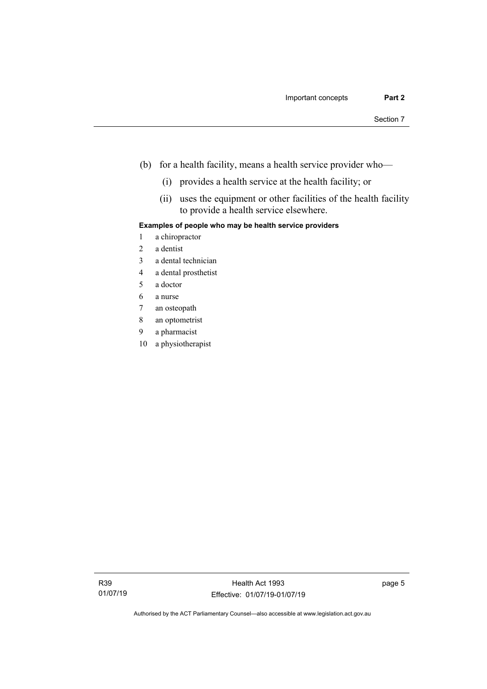- (b) for a health facility, means a health service provider who—
	- (i) provides a health service at the health facility; or
	- (ii) uses the equipment or other facilities of the health facility to provide a health service elsewhere.

#### **Examples of people who may be health service providers**

- 1 a chiropractor
- 2 a dentist
- 3 a dental technician
- 4 a dental prosthetist
- 5 a doctor
- 6 a nurse
- 7 an osteopath
- 8 an optometrist
- 9 a pharmacist
- 10 a physiotherapist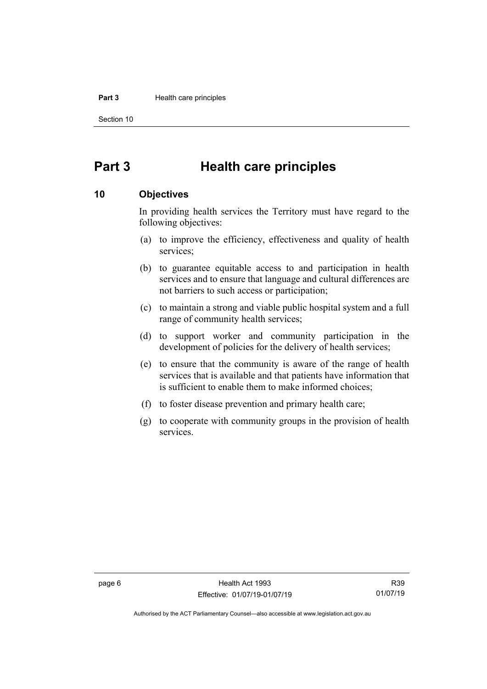#### **Part 3** Health care principles

Section 10

### <span id="page-13-0"></span>**Part 3 Health care principles**

#### <span id="page-13-1"></span>**10 Objectives**

In providing health services the Territory must have regard to the following objectives:

- (a) to improve the efficiency, effectiveness and quality of health services;
- (b) to guarantee equitable access to and participation in health services and to ensure that language and cultural differences are not barriers to such access or participation;
- (c) to maintain a strong and viable public hospital system and a full range of community health services;
- (d) to support worker and community participation in the development of policies for the delivery of health services;
- (e) to ensure that the community is aware of the range of health services that is available and that patients have information that is sufficient to enable them to make informed choices;
- (f) to foster disease prevention and primary health care;
- (g) to cooperate with community groups in the provision of health services.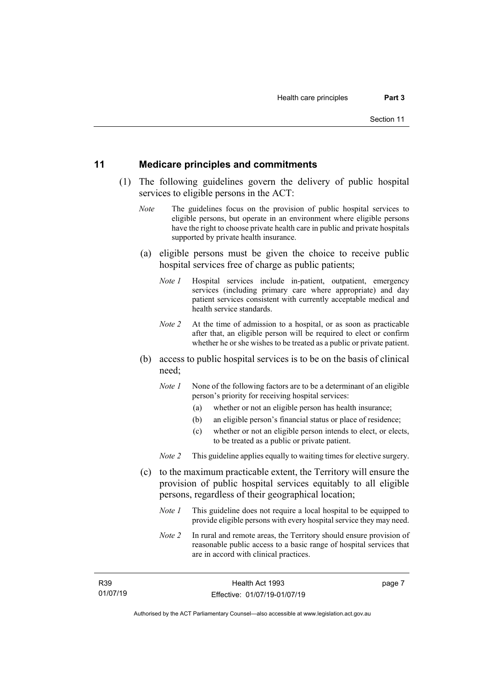#### <span id="page-14-0"></span>**11 Medicare principles and commitments**

- (1) The following guidelines govern the delivery of public hospital services to eligible persons in the ACT:
	- *Note* The guidelines focus on the provision of public hospital services to eligible persons, but operate in an environment where eligible persons have the right to choose private health care in public and private hospitals supported by private health insurance.
	- (a) eligible persons must be given the choice to receive public hospital services free of charge as public patients;
		- *Note 1* Hospital services include in-patient, outpatient, emergency services (including primary care where appropriate) and day patient services consistent with currently acceptable medical and health service standards.
		- *Note 2* At the time of admission to a hospital, or as soon as practicable after that, an eligible person will be required to elect or confirm whether he or she wishes to be treated as a public or private patient.
	- (b) access to public hospital services is to be on the basis of clinical need;
		- *Note 1* None of the following factors are to be a determinant of an eligible person's priority for receiving hospital services:
			- (a) whether or not an eligible person has health insurance;
			- (b) an eligible person's financial status or place of residence;
			- (c) whether or not an eligible person intends to elect, or elects, to be treated as a public or private patient.
		- *Note 2* This guideline applies equally to waiting times for elective surgery.
	- (c) to the maximum practicable extent, the Territory will ensure the provision of public hospital services equitably to all eligible persons, regardless of their geographical location;
		- *Note 1* This guideline does not require a local hospital to be equipped to provide eligible persons with every hospital service they may need.
		- *Note 2* In rural and remote areas, the Territory should ensure provision of reasonable public access to a basic range of hospital services that are in accord with clinical practices.

R39 01/07/19 page 7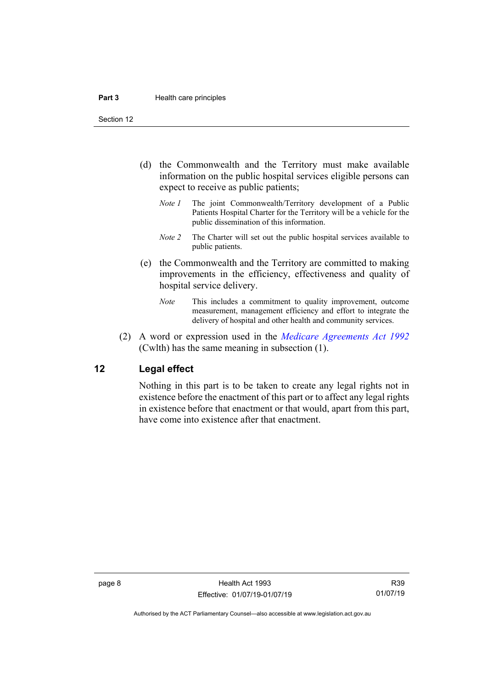Section 12

- (d) the Commonwealth and the Territory must make available information on the public hospital services eligible persons can expect to receive as public patients;
	- *Note 1* The joint Commonwealth/Territory development of a Public Patients Hospital Charter for the Territory will be a vehicle for the public dissemination of this information.
	- *Note 2* The Charter will set out the public hospital services available to public patients.
- (e) the Commonwealth and the Territory are committed to making improvements in the efficiency, effectiveness and quality of hospital service delivery.
	- *Note* This includes a commitment to quality improvement, outcome measurement, management efficiency and effort to integrate the delivery of hospital and other health and community services.
- (2) A word or expression used in the *[Medicare Agreements Act 1992](http://www.comlaw.gov.au/Details/C2006C00041)* (Cwlth) has the same meaning in subsection (1).

#### <span id="page-15-0"></span>**12 Legal effect**

Nothing in this part is to be taken to create any legal rights not in existence before the enactment of this part or to affect any legal rights in existence before that enactment or that would, apart from this part, have come into existence after that enactment.

page 8 and 1993 Effective: 01/07/19-01/07/19

R39 01/07/19

Authorised by the ACT Parliamentary Counsel—also accessible at www.legislation.act.gov.au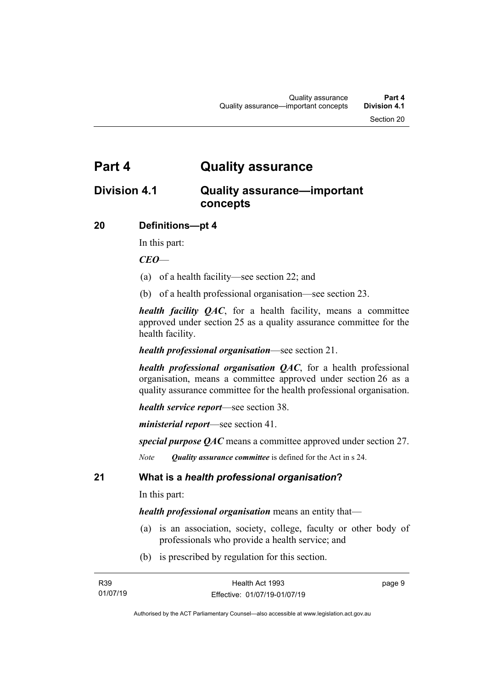### <span id="page-16-0"></span>**Part 4 Quality assurance**

### <span id="page-16-1"></span>**Division 4.1 Quality assurance—important concepts**

#### <span id="page-16-2"></span>**20 Definitions—pt 4**

In this part:

*CEO*—

- (a) of a health facility—see section 22; and
- (b) of a health professional organisation—see section 23.

*health facility QAC*, for a health facility, means a committee approved under section 25 as a quality assurance committee for the health facility.

#### *health professional organisation*—see section 21.

*health professional organisation QAC*, for a health professional organisation, means a committee approved under section 26 as a quality assurance committee for the health professional organisation.

*health service report*—see section 38.

*ministerial report*—see section 41.

*special purpose QAC* means a committee approved under section 27.

*Note Quality assurance committee* is defined for the Act in s 24.

#### <span id="page-16-3"></span>**21 What is a** *health professional organisation***?**

In this part:

*health professional organisation* means an entity that—

- (a) is an association, society, college, faculty or other body of professionals who provide a health service; and
- (b) is prescribed by regulation for this section.

page 9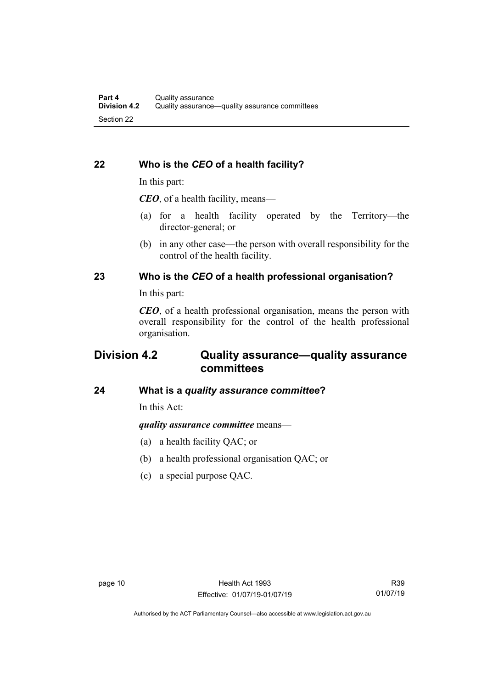### <span id="page-17-0"></span>**22 Who is the** *CEO* **of a health facility?**

In this part:

*CEO*, of a health facility, means—

- (a) for a health facility operated by the Territory—the director-general; or
- (b) in any other case—the person with overall responsibility for the control of the health facility.

#### <span id="page-17-1"></span>**23 Who is the** *CEO* **of a health professional organisation?**

In this part:

*CEO*, of a health professional organisation, means the person with overall responsibility for the control of the health professional organisation.

### <span id="page-17-2"></span>**Division 4.2 Quality assurance—quality assurance committees**

### <span id="page-17-3"></span>**24 What is a** *quality assurance committee***?**

In this Act:

*quality assurance committee* means—

- (a) a health facility QAC; or
- (b) a health professional organisation QAC; or
- (c) a special purpose QAC.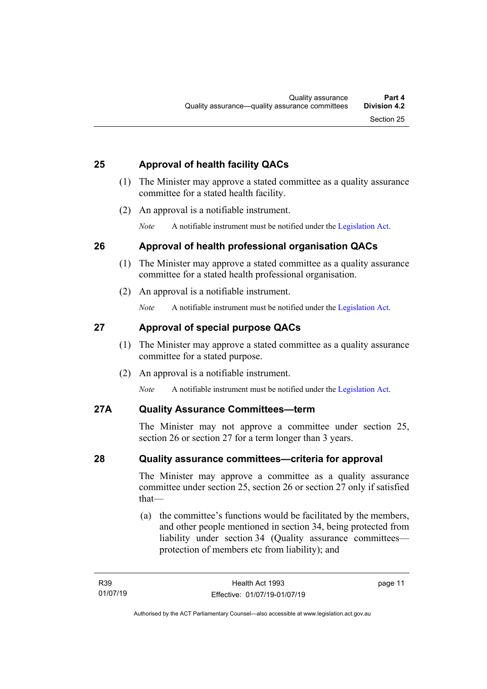#### <span id="page-18-0"></span>**25 Approval of health facility QACs**

- (1) The Minister may approve a stated committee as a quality assurance committee for a stated health facility.
- (2) An approval is a notifiable instrument.

*Note* A notifiable instrument must be notified under the [Legislation Act.](http://www.legislation.act.gov.au/a/2001-14)

#### <span id="page-18-1"></span>**26 Approval of health professional organisation QACs**

- (1) The Minister may approve a stated committee as a quality assurance committee for a stated health professional organisation.
- (2) An approval is a notifiable instrument.

*Note* A notifiable instrument must be notified under the [Legislation Act.](http://www.legislation.act.gov.au/a/2001-14)

#### <span id="page-18-2"></span>**27 Approval of special purpose QACs**

- (1) The Minister may approve a stated committee as a quality assurance committee for a stated purpose.
- (2) An approval is a notifiable instrument.

*Note* A notifiable instrument must be notified under the [Legislation Act.](http://www.legislation.act.gov.au/a/2001-14)

#### <span id="page-18-3"></span>**27A Quality Assurance Committees—term**

The Minister may not approve a committee under section 25, section 26 or section 27 for a term longer than 3 years.

#### <span id="page-18-4"></span>**28 Quality assurance committees—criteria for approval**

The Minister may approve a committee as a quality assurance committee under section 25, section 26 or section 27 only if satisfied that—

(a) the committee's functions would be facilitated by the members, and other people mentioned in section 34, being protected from liability under section 34 (Quality assurance committees protection of members etc from liability); and

page 11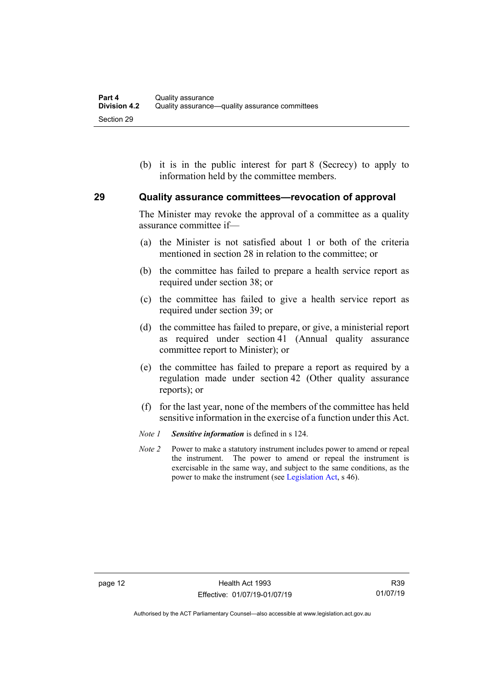(b) it is in the public interest for part 8 (Secrecy) to apply to information held by the committee members.

#### <span id="page-19-0"></span>**29 Quality assurance committees—revocation of approval**

The Minister may revoke the approval of a committee as a quality assurance committee if—

- (a) the Minister is not satisfied about 1 or both of the criteria mentioned in section 28 in relation to the committee; or
- (b) the committee has failed to prepare a health service report as required under section 38; or
- (c) the committee has failed to give a health service report as required under section 39; or
- (d) the committee has failed to prepare, or give, a ministerial report as required under section 41 (Annual quality assurance committee report to Minister); or
- (e) the committee has failed to prepare a report as required by a regulation made under section 42 (Other quality assurance reports); or
- (f) for the last year, none of the members of the committee has held sensitive information in the exercise of a function under this Act.
- *Note 1 Sensitive information* is defined in s 124.
- *Note 2* Power to make a statutory instrument includes power to amend or repeal the instrument. The power to amend or repeal the instrument is exercisable in the same way, and subject to the same conditions, as the power to make the instrument (se[e Legislation Act,](http://www.legislation.act.gov.au/a/2001-14) s 46).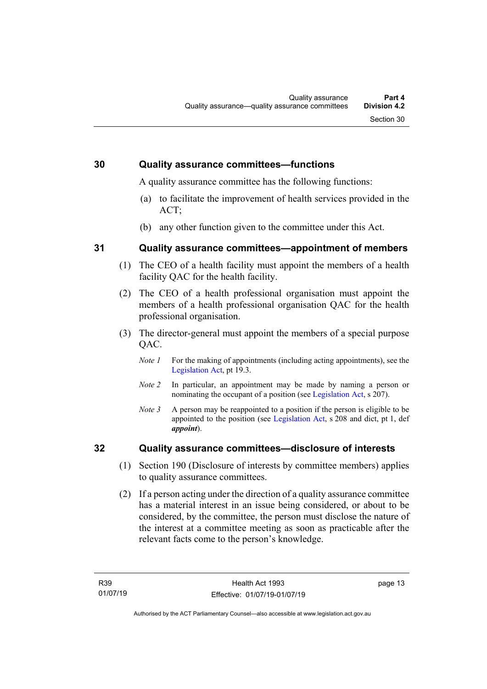#### <span id="page-20-0"></span>**30 Quality assurance committees—functions**

A quality assurance committee has the following functions:

- (a) to facilitate the improvement of health services provided in the ACT;
- (b) any other function given to the committee under this Act.

#### <span id="page-20-1"></span>**31 Quality assurance committees—appointment of members**

- (1) The CEO of a health facility must appoint the members of a health facility QAC for the health facility.
- (2) The CEO of a health professional organisation must appoint the members of a health professional organisation QAC for the health professional organisation.
- (3) The director-general must appoint the members of a special purpose QAC.
	- *Note 1* For the making of appointments (including acting appointments), see the [Legislation Act,](http://www.legislation.act.gov.au/a/2001-14) pt 19.3.
	- *Note 2* In particular, an appointment may be made by naming a person or nominating the occupant of a position (see [Legislation Act,](http://www.legislation.act.gov.au/a/2001-14) s 207).
	- *Note 3* A person may be reappointed to a position if the person is eligible to be appointed to the position (see [Legislation Act,](http://www.legislation.act.gov.au/a/2001-14) s 208 and dict, pt 1, def *appoint*).

#### <span id="page-20-2"></span>**32 Quality assurance committees—disclosure of interests**

- (1) Section 190 (Disclosure of interests by committee members) applies to quality assurance committees.
- (2) If a person acting under the direction of a quality assurance committee has a material interest in an issue being considered, or about to be considered, by the committee, the person must disclose the nature of the interest at a committee meeting as soon as practicable after the relevant facts come to the person's knowledge.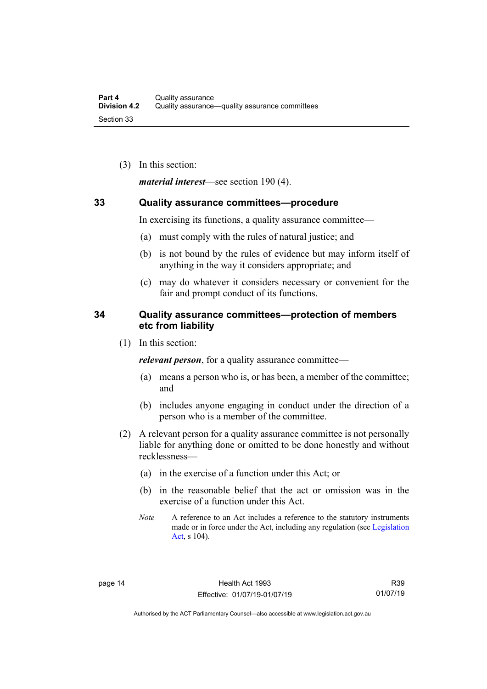(3) In this section:

*material interest*—see section 190 (4).

#### <span id="page-21-0"></span>**33 Quality assurance committees—procedure**

In exercising its functions, a quality assurance committee—

- (a) must comply with the rules of natural justice; and
- (b) is not bound by the rules of evidence but may inform itself of anything in the way it considers appropriate; and
- (c) may do whatever it considers necessary or convenient for the fair and prompt conduct of its functions.

#### <span id="page-21-1"></span>**34 Quality assurance committees—protection of members etc from liability**

(1) In this section:

*relevant person*, for a quality assurance committee—

- (a) means a person who is, or has been, a member of the committee; and
- (b) includes anyone engaging in conduct under the direction of a person who is a member of the committee.
- (2) A relevant person for a quality assurance committee is not personally liable for anything done or omitted to be done honestly and without recklessness—
	- (a) in the exercise of a function under this Act; or
	- (b) in the reasonable belief that the act or omission was in the exercise of a function under this Act.
	- *Note* A reference to an Act includes a reference to the statutory instruments made or in force under the Act, including any regulation (see [Legislation](http://www.legislation.act.gov.au/a/2001-14)  [Act,](http://www.legislation.act.gov.au/a/2001-14) s 104).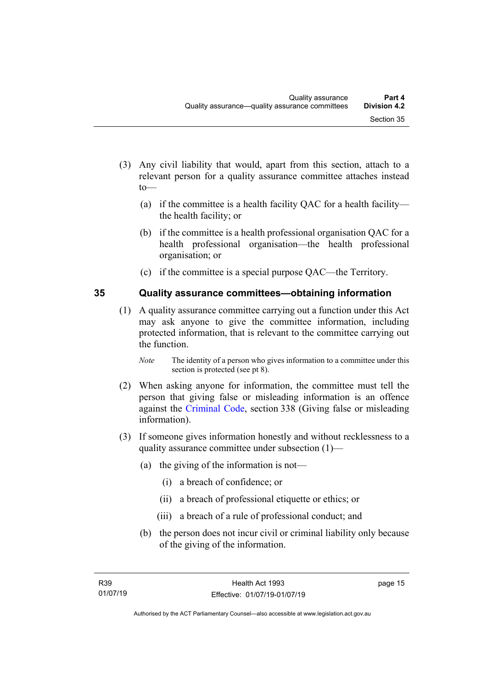- (3) Any civil liability that would, apart from this section, attach to a relevant person for a quality assurance committee attaches instead to—
	- (a) if the committee is a health facility QAC for a health facility the health facility; or
	- (b) if the committee is a health professional organisation QAC for a health professional organisation—the health professional organisation; or
	- (c) if the committee is a special purpose QAC—the Territory.

#### <span id="page-22-0"></span>**35 Quality assurance committees—obtaining information**

- (1) A quality assurance committee carrying out a function under this Act may ask anyone to give the committee information, including protected information, that is relevant to the committee carrying out the function.
	- *Note* The identity of a person who gives information to a committee under this section is protected (see pt 8).
- (2) When asking anyone for information, the committee must tell the person that giving false or misleading information is an offence against the [Criminal Code,](http://www.legislation.act.gov.au/a/2002-51) section 338 (Giving false or misleading information).
- (3) If someone gives information honestly and without recklessness to a quality assurance committee under subsection (1)—
	- (a) the giving of the information is not—
		- (i) a breach of confidence; or
		- (ii) a breach of professional etiquette or ethics; or
		- (iii) a breach of a rule of professional conduct; and
	- (b) the person does not incur civil or criminal liability only because of the giving of the information.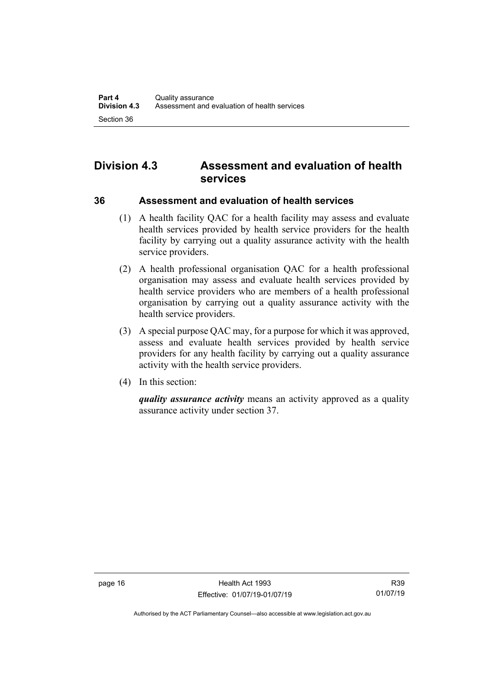### <span id="page-23-0"></span>**Division 4.3 Assessment and evaluation of health services**

<span id="page-23-1"></span>**36 Assessment and evaluation of health services**

- (1) A health facility QAC for a health facility may assess and evaluate health services provided by health service providers for the health facility by carrying out a quality assurance activity with the health service providers.
- (2) A health professional organisation QAC for a health professional organisation may assess and evaluate health services provided by health service providers who are members of a health professional organisation by carrying out a quality assurance activity with the health service providers.
- (3) A special purpose QAC may, for a purpose for which it was approved, assess and evaluate health services provided by health service providers for any health facility by carrying out a quality assurance activity with the health service providers.
- (4) In this section:

*quality assurance activity* means an activity approved as a quality assurance activity under section 37.

page 16 **Health Act 1993** Effective: 01/07/19-01/07/19

Authorised by the ACT Parliamentary Counsel—also accessible at www.legislation.act.gov.au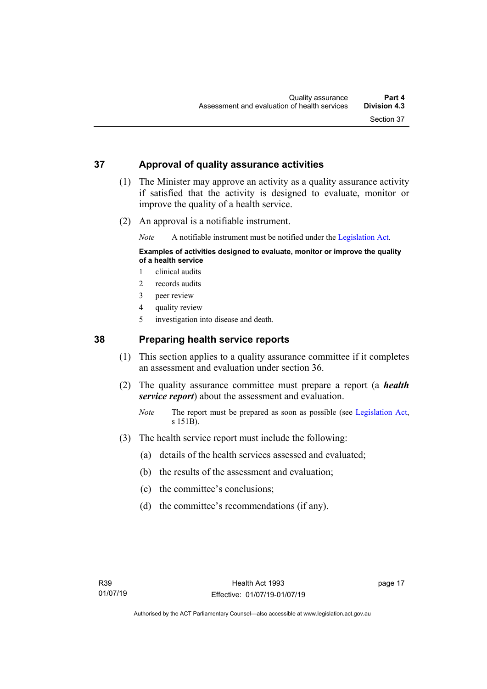#### <span id="page-24-0"></span>**37 Approval of quality assurance activities**

- (1) The Minister may approve an activity as a quality assurance activity if satisfied that the activity is designed to evaluate, monitor or improve the quality of a health service.
- (2) An approval is a notifiable instrument.

*Note* A notifiable instrument must be notified under the [Legislation Act.](http://www.legislation.act.gov.au/a/2001-14)

#### **Examples of activities designed to evaluate, monitor or improve the quality of a health service**

- 1 clinical audits
- 2 records audits
- 3 peer review
- 4 quality review
- 5 investigation into disease and death.

#### <span id="page-24-1"></span>**38 Preparing health service reports**

- (1) This section applies to a quality assurance committee if it completes an assessment and evaluation under section 36.
- (2) The quality assurance committee must prepare a report (a *health service report*) about the assessment and evaluation.
	- *Note* The report must be prepared as soon as possible (see [Legislation Act,](http://www.legislation.act.gov.au/a/2001-14) s 151B).
- (3) The health service report must include the following:
	- (a) details of the health services assessed and evaluated;
	- (b) the results of the assessment and evaluation;
	- (c) the committee's conclusions;
	- (d) the committee's recommendations (if any).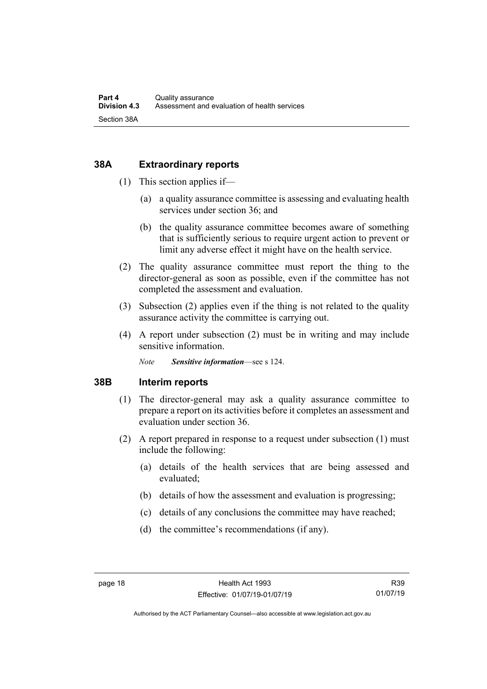#### <span id="page-25-0"></span>**38A Extraordinary reports**

- (1) This section applies if—
	- (a) a quality assurance committee is assessing and evaluating health services under section 36; and
	- (b) the quality assurance committee becomes aware of something that is sufficiently serious to require urgent action to prevent or limit any adverse effect it might have on the health service.
- (2) The quality assurance committee must report the thing to the director-general as soon as possible, even if the committee has not completed the assessment and evaluation.
- (3) Subsection (2) applies even if the thing is not related to the quality assurance activity the committee is carrying out.
- (4) A report under subsection (2) must be in writing and may include sensitive information.

*Note Sensitive information*—see s 124.

#### <span id="page-25-1"></span>**38B Interim reports**

- (1) The director-general may ask a quality assurance committee to prepare a report on its activities before it completes an assessment and evaluation under section 36.
- (2) A report prepared in response to a request under subsection (1) must include the following:
	- (a) details of the health services that are being assessed and evaluated;
	- (b) details of how the assessment and evaluation is progressing;
	- (c) details of any conclusions the committee may have reached;
	- (d) the committee's recommendations (if any).

R39 01/07/19

Authorised by the ACT Parliamentary Counsel—also accessible at www.legislation.act.gov.au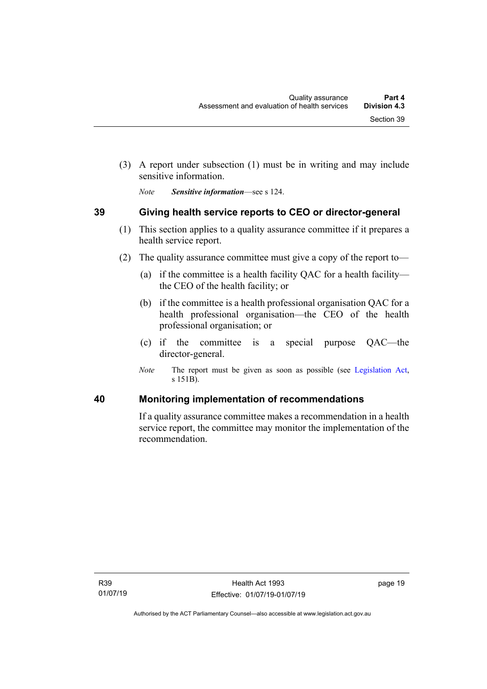(3) A report under subsection (1) must be in writing and may include sensitive information.

*Note Sensitive information*—see s 124.

#### <span id="page-26-0"></span>**39 Giving health service reports to CEO or director-general**

- (1) This section applies to a quality assurance committee if it prepares a health service report.
- (2) The quality assurance committee must give a copy of the report to—
	- (a) if the committee is a health facility QAC for a health facility the CEO of the health facility; or
	- (b) if the committee is a health professional organisation QAC for a health professional organisation—the CEO of the health professional organisation; or
	- (c) if the committee is a special purpose QAC—the director-general.
	- *Note* The report must be given as soon as possible (see [Legislation Act,](http://www.legislation.act.gov.au/a/2001-14) s 151B).

#### <span id="page-26-1"></span>**40 Monitoring implementation of recommendations**

If a quality assurance committee makes a recommendation in a health service report, the committee may monitor the implementation of the recommendation.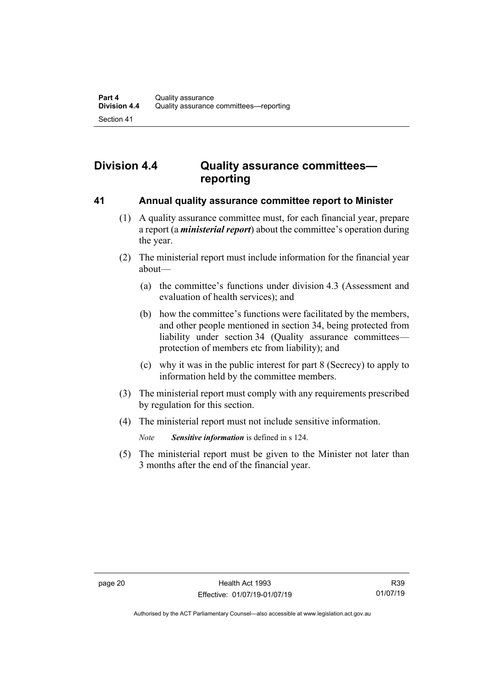### <span id="page-27-0"></span>**Division 4.4 Quality assurance committees reporting**

#### <span id="page-27-1"></span>**41 Annual quality assurance committee report to Minister**

- (1) A quality assurance committee must, for each financial year, prepare a report (a *ministerial report*) about the committee's operation during the year.
- (2) The ministerial report must include information for the financial year about—
	- (a) the committee's functions under division 4.3 (Assessment and evaluation of health services); and
	- (b) how the committee's functions were facilitated by the members, and other people mentioned in section 34, being protected from liability under section 34 (Quality assurance committees protection of members etc from liability); and
	- (c) why it was in the public interest for part 8 (Secrecy) to apply to information held by the committee members.
- (3) The ministerial report must comply with any requirements prescribed by regulation for this section.
- (4) The ministerial report must not include sensitive information.

*Note Sensitive information* is defined in s 124.

(5) The ministerial report must be given to the Minister not later than 3 months after the end of the financial year.

R39 01/07/19

Authorised by the ACT Parliamentary Counsel—also accessible at www.legislation.act.gov.au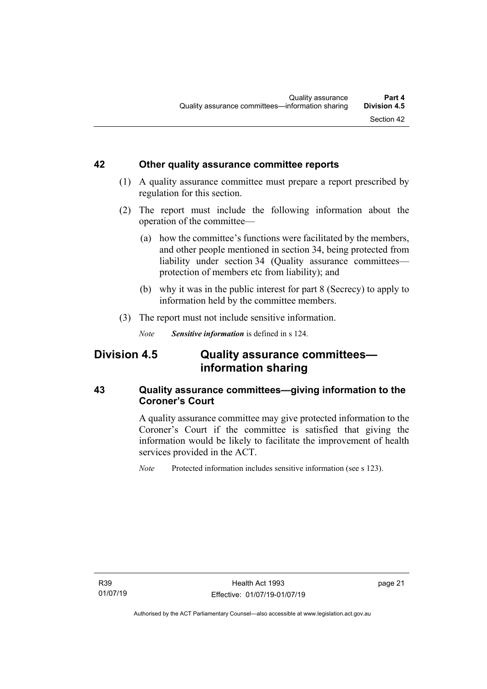#### <span id="page-28-0"></span>**42 Other quality assurance committee reports**

- (1) A quality assurance committee must prepare a report prescribed by regulation for this section.
- (2) The report must include the following information about the operation of the committee—
	- (a) how the committee's functions were facilitated by the members, and other people mentioned in section 34, being protected from liability under section 34 (Quality assurance committees protection of members etc from liability); and
	- (b) why it was in the public interest for part 8 (Secrecy) to apply to information held by the committee members.
- (3) The report must not include sensitive information.

*Note Sensitive information* is defined in s 124.

### <span id="page-28-1"></span>**Division 4.5 Quality assurance committees information sharing**

#### <span id="page-28-2"></span>**43 Quality assurance committees—giving information to the Coroner's Court**

A quality assurance committee may give protected information to the Coroner's Court if the committee is satisfied that giving the information would be likely to facilitate the improvement of health services provided in the ACT.

*Note* Protected information includes sensitive information (see s 123).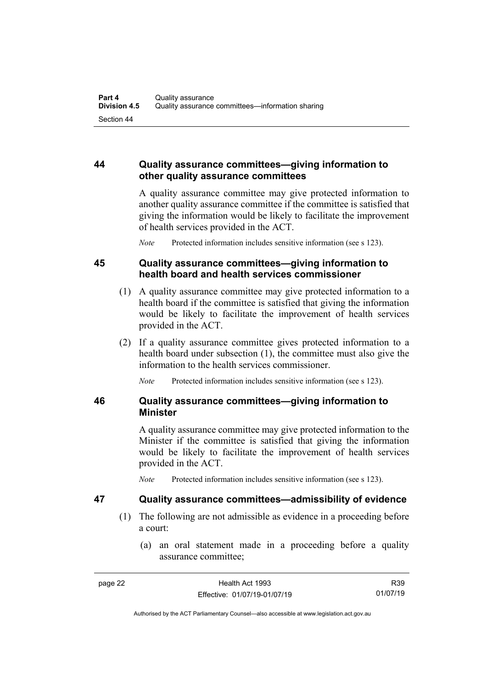#### <span id="page-29-0"></span>**44 Quality assurance committees—giving information to other quality assurance committees**

A quality assurance committee may give protected information to another quality assurance committee if the committee is satisfied that giving the information would be likely to facilitate the improvement of health services provided in the ACT.

*Note* Protected information includes sensitive information (see s 123).

#### <span id="page-29-1"></span>**45 Quality assurance committees—giving information to health board and health services commissioner**

- (1) A quality assurance committee may give protected information to a health board if the committee is satisfied that giving the information would be likely to facilitate the improvement of health services provided in the ACT.
- (2) If a quality assurance committee gives protected information to a health board under subsection (1), the committee must also give the information to the health services commissioner.

*Note* Protected information includes sensitive information (see s 123).

#### <span id="page-29-2"></span>**46 Quality assurance committees—giving information to Minister**

A quality assurance committee may give protected information to the Minister if the committee is satisfied that giving the information would be likely to facilitate the improvement of health services provided in the ACT.

*Note* Protected information includes sensitive information (see s 123).

#### <span id="page-29-3"></span>**47 Quality assurance committees—admissibility of evidence**

- (1) The following are not admissible as evidence in a proceeding before a court:
	- (a) an oral statement made in a proceeding before a quality assurance committee;

R39 01/07/19

Authorised by the ACT Parliamentary Counsel—also accessible at www.legislation.act.gov.au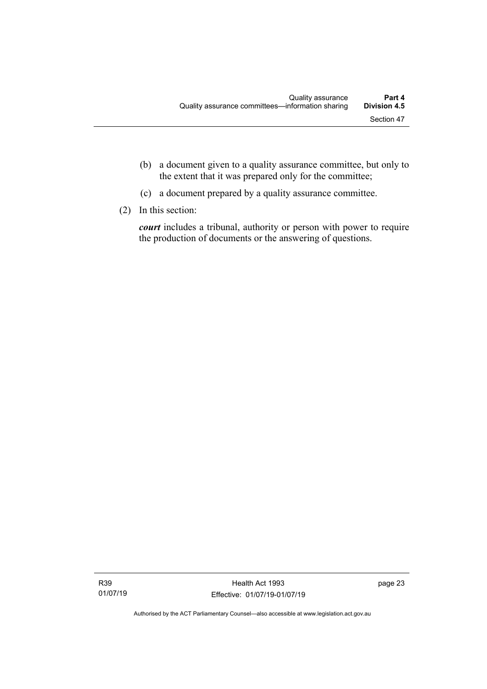- (b) a document given to a quality assurance committee, but only to the extent that it was prepared only for the committee;
- (c) a document prepared by a quality assurance committee.
- (2) In this section:

*court* includes a tribunal, authority or person with power to require the production of documents or the answering of questions.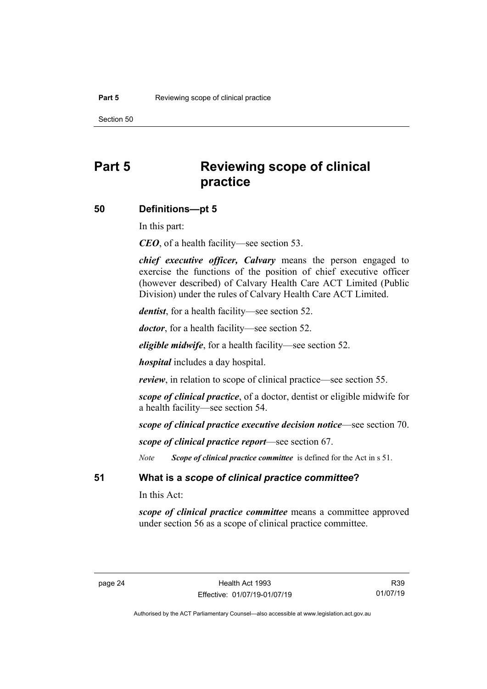Section 50

### <span id="page-31-0"></span>**Part 5 Reviewing scope of clinical practice**

#### <span id="page-31-1"></span>**50 Definitions—pt 5**

In this part:

*CEO*, of a health facility—see section 53.

*chief executive officer, Calvary* means the person engaged to exercise the functions of the position of chief executive officer (however described) of Calvary Health Care ACT Limited (Public Division) under the rules of Calvary Health Care ACT Limited.

*dentist*, for a health facility—see section 52.

*doctor*, for a health facility—see section 52.

*eligible midwife*, for a health facility—see section 52.

*hospital* includes a day hospital.

*review*, in relation to scope of clinical practice—see section 55.

*scope of clinical practice*, of a doctor, dentist or eligible midwife for a health facility—see section 54.

*scope of clinical practice executive decision notice*—see section 70.

*scope of clinical practice report*—see section 67.

*Note Scope of clinical practice committee* is defined for the Act in s 51.

<span id="page-31-2"></span>**51 What is a** *scope of clinical practice committee***?**

In this Act:

*scope of clinical practice committee* means a committee approved under section 56 as a scope of clinical practice committee.

R39 01/07/19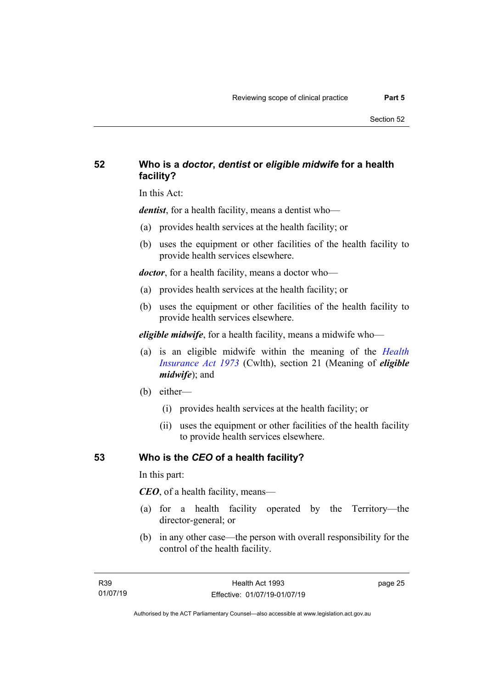#### <span id="page-32-0"></span>**52 Who is a** *doctor***,** *dentist* **or** *eligible midwife* **for a health facility?**

In this Act:

*dentist*, for a health facility, means a dentist who—

- (a) provides health services at the health facility; or
- (b) uses the equipment or other facilities of the health facility to provide health services elsewhere.

*doctor*, for a health facility, means a doctor who—

- (a) provides health services at the health facility; or
- (b) uses the equipment or other facilities of the health facility to provide health services elsewhere.

*eligible midwife*, for a health facility, means a midwife who—

- (a) is an eligible midwife within the meaning of the *[Health](http://www.comlaw.gov.au/Series/C2004A00101)  [Insurance Act 1973](http://www.comlaw.gov.au/Series/C2004A00101)* (Cwlth), section 21 (Meaning of *eligible midwife*); and
- (b) either—
	- (i) provides health services at the health facility; or
	- (ii) uses the equipment or other facilities of the health facility to provide health services elsewhere.

#### <span id="page-32-1"></span>**53 Who is the** *CEO* **of a health facility?**

In this part:

*CEO*, of a health facility, means—

- (a) for a health facility operated by the Territory—the director-general; or
- (b) in any other case—the person with overall responsibility for the control of the health facility.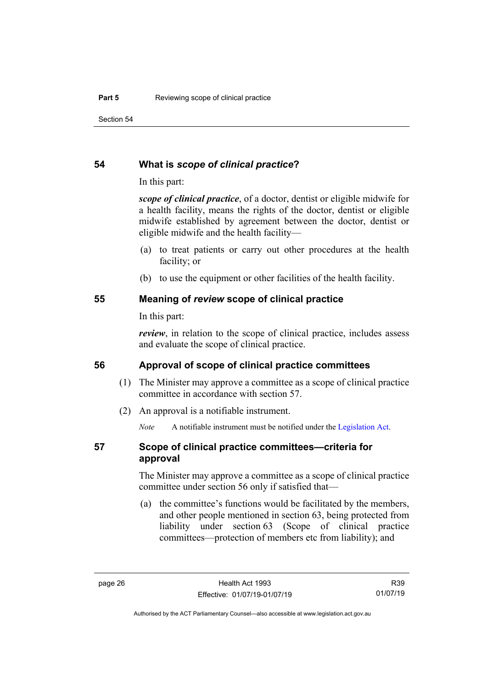Section 54

#### <span id="page-33-0"></span>**54 What is** *scope of clinical practice***?**

In this part:

*scope of clinical practice*, of a doctor, dentist or eligible midwife for a health facility, means the rights of the doctor, dentist or eligible midwife established by agreement between the doctor, dentist or eligible midwife and the health facility—

- (a) to treat patients or carry out other procedures at the health facility; or
- (b) to use the equipment or other facilities of the health facility.

#### <span id="page-33-1"></span>**55 Meaning of** *review* **scope of clinical practice**

In this part:

*review*, in relation to the scope of clinical practice, includes assess and evaluate the scope of clinical practice.

#### <span id="page-33-2"></span>**56 Approval of scope of clinical practice committees**

- (1) The Minister may approve a committee as a scope of clinical practice committee in accordance with section 57.
- (2) An approval is a notifiable instrument.

*Note* A notifiable instrument must be notified under the [Legislation Act.](http://www.legislation.act.gov.au/a/2001-14)

#### <span id="page-33-3"></span>**57 Scope of clinical practice committees—criteria for approval**

The Minister may approve a committee as a scope of clinical practice committee under section 56 only if satisfied that—

(a) the committee's functions would be facilitated by the members, and other people mentioned in section 63, being protected from liability under section 63 (Scope of clinical practice committees—protection of members etc from liability); and

R39 01/07/19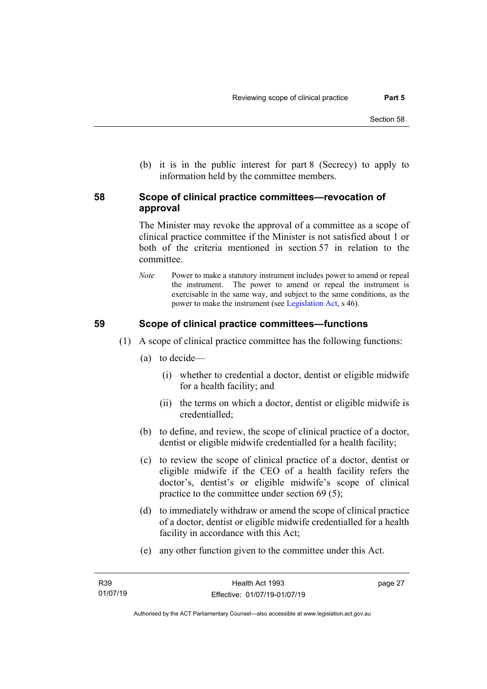(b) it is in the public interest for part 8 (Secrecy) to apply to information held by the committee members.

#### <span id="page-34-0"></span>**58 Scope of clinical practice committees—revocation of approval**

The Minister may revoke the approval of a committee as a scope of clinical practice committee if the Minister is not satisfied about 1 or both of the criteria mentioned in section 57 in relation to the committee.

*Note* Power to make a statutory instrument includes power to amend or repeal the instrument. The power to amend or repeal the instrument is exercisable in the same way, and subject to the same conditions, as the power to make the instrument (se[e Legislation Act,](http://www.legislation.act.gov.au/a/2001-14) s 46).

#### <span id="page-34-1"></span>**59 Scope of clinical practice committees—functions**

- (1) A scope of clinical practice committee has the following functions:
	- (a) to decide—
		- (i) whether to credential a doctor, dentist or eligible midwife for a health facility; and
		- (ii) the terms on which a doctor, dentist or eligible midwife is credentialled;
	- (b) to define, and review, the scope of clinical practice of a doctor, dentist or eligible midwife credentialled for a health facility;
	- (c) to review the scope of clinical practice of a doctor, dentist or eligible midwife if the CEO of a health facility refers the doctor's, dentist's or eligible midwife's scope of clinical practice to the committee under section 69 (5);
	- (d) to immediately withdraw or amend the scope of clinical practice of a doctor, dentist or eligible midwife credentialled for a health facility in accordance with this Act;
	- (e) any other function given to the committee under this Act.

page 27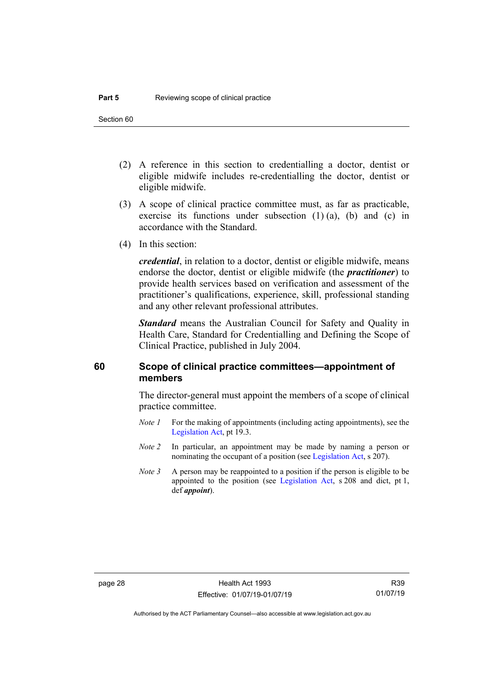- (2) A reference in this section to credentialling a doctor, dentist or eligible midwife includes re-credentialling the doctor, dentist or eligible midwife.
- (3) A scope of clinical practice committee must, as far as practicable, exercise its functions under subsection  $(1)$   $(a)$ ,  $(b)$  and  $(c)$  in accordance with the Standard.
- (4) In this section:

*credential*, in relation to a doctor, dentist or eligible midwife, means endorse the doctor, dentist or eligible midwife (the *practitioner*) to provide health services based on verification and assessment of the practitioner's qualifications, experience, skill, professional standing and any other relevant professional attributes.

*Standard* means the Australian Council for Safety and Quality in Health Care, Standard for Credentialling and Defining the Scope of Clinical Practice, published in July 2004.

#### <span id="page-35-0"></span>**60 Scope of clinical practice committees—appointment of members**

The director-general must appoint the members of a scope of clinical practice committee.

- *Note 1* For the making of appointments (including acting appointments), see the [Legislation Act,](http://www.legislation.act.gov.au/a/2001-14) pt 19.3.
- *Note 2* In particular, an appointment may be made by naming a person or nominating the occupant of a position (see [Legislation Act,](http://www.legislation.act.gov.au/a/2001-14) s 207).
- *Note 3* A person may be reappointed to a position if the person is eligible to be appointed to the position (see [Legislation Act,](http://www.legislation.act.gov.au/a/2001-14) s 208 and dict, pt 1, def *appoint*).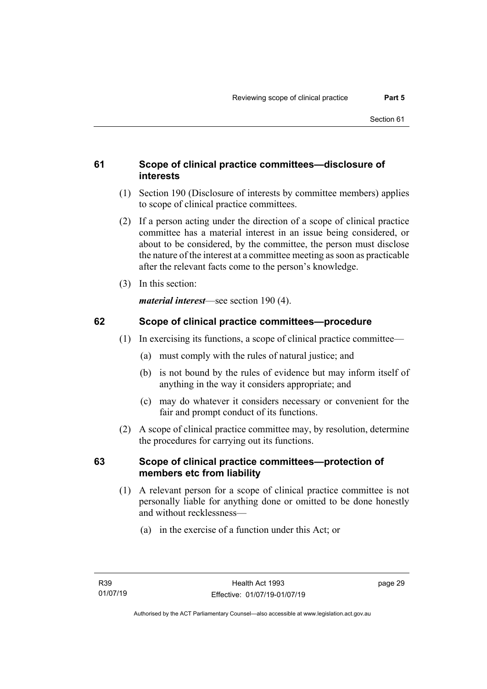## **61 Scope of clinical practice committees—disclosure of interests**

- (1) Section 190 (Disclosure of interests by committee members) applies to scope of clinical practice committees.
- (2) If a person acting under the direction of a scope of clinical practice committee has a material interest in an issue being considered, or about to be considered, by the committee, the person must disclose the nature of the interest at a committee meeting as soon as practicable after the relevant facts come to the person's knowledge.
- (3) In this section:

*material interest*—see section 190 (4).

## **62 Scope of clinical practice committees—procedure**

- (1) In exercising its functions, a scope of clinical practice committee—
	- (a) must comply with the rules of natural justice; and
	- (b) is not bound by the rules of evidence but may inform itself of anything in the way it considers appropriate; and
	- (c) may do whatever it considers necessary or convenient for the fair and prompt conduct of its functions.
- (2) A scope of clinical practice committee may, by resolution, determine the procedures for carrying out its functions.

### **63 Scope of clinical practice committees—protection of members etc from liability**

- (1) A relevant person for a scope of clinical practice committee is not personally liable for anything done or omitted to be done honestly and without recklessness—
	- (a) in the exercise of a function under this Act; or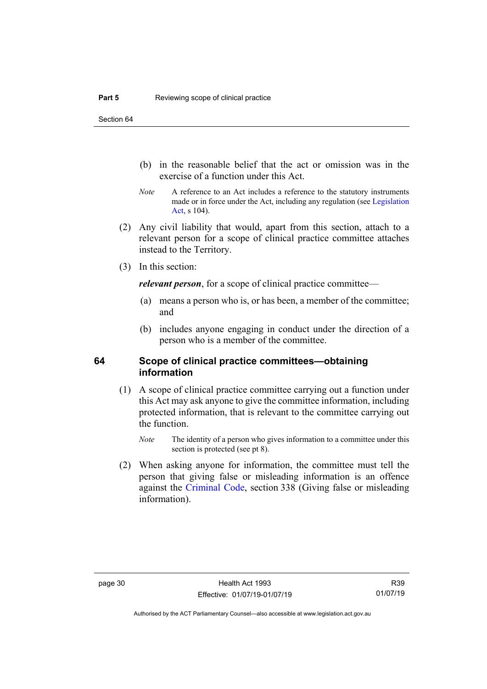Section 64

- (b) in the reasonable belief that the act or omission was in the exercise of a function under this Act.
- *Note* A reference to an Act includes a reference to the statutory instruments made or in force under the Act, including any regulation (see [Legislation](http://www.legislation.act.gov.au/a/2001-14)  [Act,](http://www.legislation.act.gov.au/a/2001-14) s 104).
- (2) Any civil liability that would, apart from this section, attach to a relevant person for a scope of clinical practice committee attaches instead to the Territory.
- (3) In this section:

*relevant person*, for a scope of clinical practice committee—

- (a) means a person who is, or has been, a member of the committee; and
- (b) includes anyone engaging in conduct under the direction of a person who is a member of the committee.

#### **64 Scope of clinical practice committees—obtaining information**

- (1) A scope of clinical practice committee carrying out a function under this Act may ask anyone to give the committee information, including protected information, that is relevant to the committee carrying out the function.
	- *Note* The identity of a person who gives information to a committee under this section is protected (see pt 8).
- (2) When asking anyone for information, the committee must tell the person that giving false or misleading information is an offence against the [Criminal Code,](http://www.legislation.act.gov.au/a/2002-51) section 338 (Giving false or misleading information).

Authorised by the ACT Parliamentary Counsel—also accessible at www.legislation.act.gov.au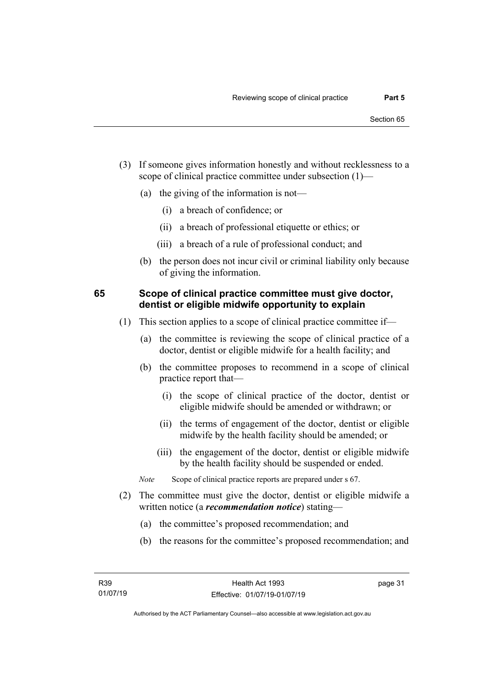- (3) If someone gives information honestly and without recklessness to a scope of clinical practice committee under subsection (1)—
	- (a) the giving of the information is not—
		- (i) a breach of confidence; or
		- (ii) a breach of professional etiquette or ethics; or
		- (iii) a breach of a rule of professional conduct; and
	- (b) the person does not incur civil or criminal liability only because of giving the information.

#### **65 Scope of clinical practice committee must give doctor, dentist or eligible midwife opportunity to explain**

- (1) This section applies to a scope of clinical practice committee if—
	- (a) the committee is reviewing the scope of clinical practice of a doctor, dentist or eligible midwife for a health facility; and
	- (b) the committee proposes to recommend in a scope of clinical practice report that—
		- (i) the scope of clinical practice of the doctor, dentist or eligible midwife should be amended or withdrawn; or
		- (ii) the terms of engagement of the doctor, dentist or eligible midwife by the health facility should be amended; or
		- (iii) the engagement of the doctor, dentist or eligible midwife by the health facility should be suspended or ended.
	- *Note* Scope of clinical practice reports are prepared under s 67.
- (2) The committee must give the doctor, dentist or eligible midwife a written notice (a *recommendation notice*) stating—
	- (a) the committee's proposed recommendation; and
	- (b) the reasons for the committee's proposed recommendation; and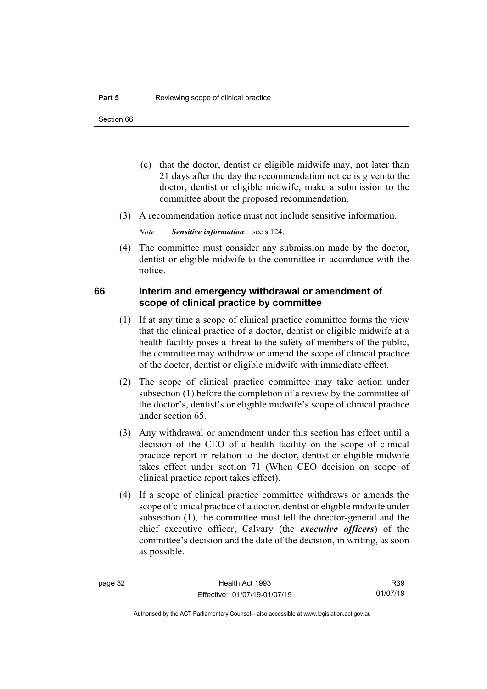- (c) that the doctor, dentist or eligible midwife may, not later than 21 days after the day the recommendation notice is given to the doctor, dentist or eligible midwife, make a submission to the committee about the proposed recommendation.
- (3) A recommendation notice must not include sensitive information.

*Note Sensitive information*—see s 124.

(4) The committee must consider any submission made by the doctor, dentist or eligible midwife to the committee in accordance with the notice.

### **66 Interim and emergency withdrawal or amendment of scope of clinical practice by committee**

- (1) If at any time a scope of clinical practice committee forms the view that the clinical practice of a doctor, dentist or eligible midwife at a health facility poses a threat to the safety of members of the public, the committee may withdraw or amend the scope of clinical practice of the doctor, dentist or eligible midwife with immediate effect.
- (2) The scope of clinical practice committee may take action under subsection (1) before the completion of a review by the committee of the doctor's, dentist's or eligible midwife's scope of clinical practice under section 65.
- (3) Any withdrawal or amendment under this section has effect until a decision of the CEO of a health facility on the scope of clinical practice report in relation to the doctor, dentist or eligible midwife takes effect under section 71 (When CEO decision on scope of clinical practice report takes effect).
- (4) If a scope of clinical practice committee withdraws or amends the scope of clinical practice of a doctor, dentist or eligible midwife under subsection (1), the committee must tell the director-general and the chief executive officer, Calvary (the *executive officers*) of the committee's decision and the date of the decision, in writing, as soon as possible.

R39 01/07/19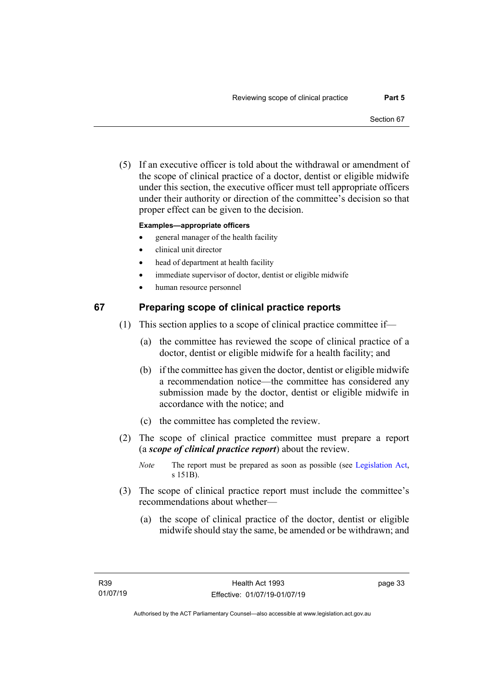(5) If an executive officer is told about the withdrawal or amendment of the scope of clinical practice of a doctor, dentist or eligible midwife under this section, the executive officer must tell appropriate officers under their authority or direction of the committee's decision so that proper effect can be given to the decision.

#### **Examples—appropriate officers**

- general manager of the health facility
- clinical unit director
- head of department at health facility
- immediate supervisor of doctor, dentist or eligible midwife
- human resource personnel

#### **67 Preparing scope of clinical practice reports**

- (1) This section applies to a scope of clinical practice committee if—
	- (a) the committee has reviewed the scope of clinical practice of a doctor, dentist or eligible midwife for a health facility; and
	- (b) if the committee has given the doctor, dentist or eligible midwife a recommendation notice—the committee has considered any submission made by the doctor, dentist or eligible midwife in accordance with the notice; and
	- (c) the committee has completed the review.
- (2) The scope of clinical practice committee must prepare a report (a *scope of clinical practice report*) about the review.
	- *Note* The report must be prepared as soon as possible (see [Legislation Act,](http://www.legislation.act.gov.au/a/2001-14) s 151B).
- (3) The scope of clinical practice report must include the committee's recommendations about whether—
	- (a) the scope of clinical practice of the doctor, dentist or eligible midwife should stay the same, be amended or be withdrawn; and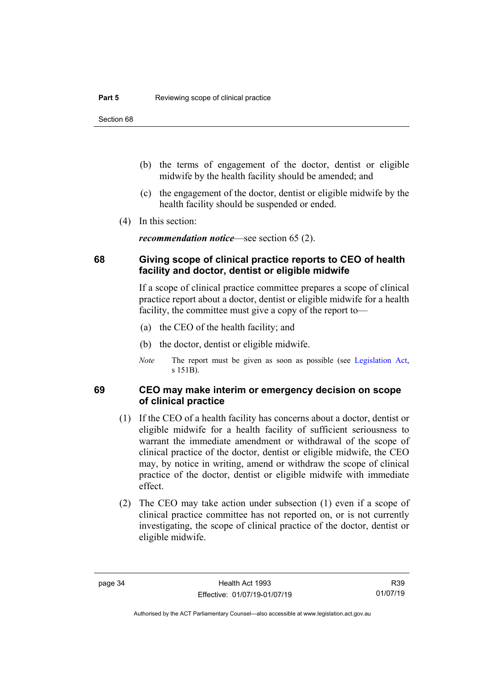Section 68

- (b) the terms of engagement of the doctor, dentist or eligible midwife by the health facility should be amended; and
- (c) the engagement of the doctor, dentist or eligible midwife by the health facility should be suspended or ended.
- (4) In this section:

*recommendation notice*—see section 65 (2).

### **68 Giving scope of clinical practice reports to CEO of health facility and doctor, dentist or eligible midwife**

If a scope of clinical practice committee prepares a scope of clinical practice report about a doctor, dentist or eligible midwife for a health facility, the committee must give a copy of the report to—

- (a) the CEO of the health facility; and
- (b) the doctor, dentist or eligible midwife.
- *Note* The report must be given as soon as possible (see [Legislation Act,](http://www.legislation.act.gov.au/a/2001-14) s 151B).

#### **69 CEO may make interim or emergency decision on scope of clinical practice**

- (1) If the CEO of a health facility has concerns about a doctor, dentist or eligible midwife for a health facility of sufficient seriousness to warrant the immediate amendment or withdrawal of the scope of clinical practice of the doctor, dentist or eligible midwife, the CEO may, by notice in writing, amend or withdraw the scope of clinical practice of the doctor, dentist or eligible midwife with immediate effect.
- (2) The CEO may take action under subsection (1) even if a scope of clinical practice committee has not reported on, or is not currently investigating, the scope of clinical practice of the doctor, dentist or eligible midwife.

Authorised by the ACT Parliamentary Counsel—also accessible at www.legislation.act.gov.au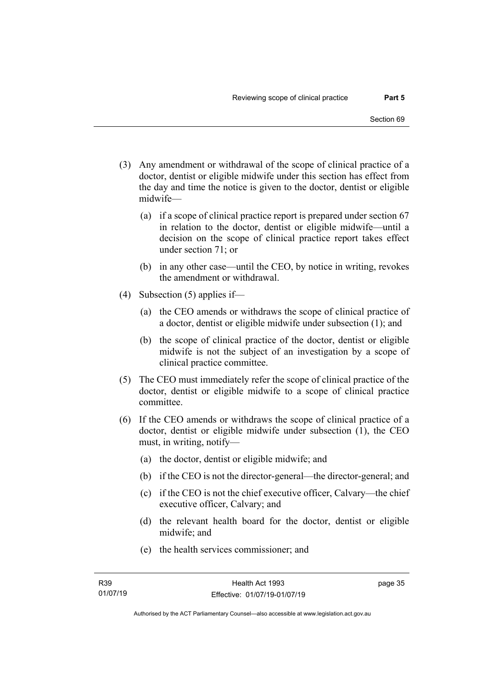- (3) Any amendment or withdrawal of the scope of clinical practice of a doctor, dentist or eligible midwife under this section has effect from the day and time the notice is given to the doctor, dentist or eligible midwife—
	- (a) if a scope of clinical practice report is prepared under section 67 in relation to the doctor, dentist or eligible midwife—until a decision on the scope of clinical practice report takes effect under section 71; or
	- (b) in any other case—until the CEO, by notice in writing, revokes the amendment or withdrawal.
- (4) Subsection (5) applies if—
	- (a) the CEO amends or withdraws the scope of clinical practice of a doctor, dentist or eligible midwife under subsection (1); and
	- (b) the scope of clinical practice of the doctor, dentist or eligible midwife is not the subject of an investigation by a scope of clinical practice committee.
- (5) The CEO must immediately refer the scope of clinical practice of the doctor, dentist or eligible midwife to a scope of clinical practice committee.
- (6) If the CEO amends or withdraws the scope of clinical practice of a doctor, dentist or eligible midwife under subsection (1), the CEO must, in writing, notify—
	- (a) the doctor, dentist or eligible midwife; and
	- (b) if the CEO is not the director-general—the director-general; and
	- (c) if the CEO is not the chief executive officer, Calvary—the chief executive officer, Calvary; and
	- (d) the relevant health board for the doctor, dentist or eligible midwife; and
	- (e) the health services commissioner; and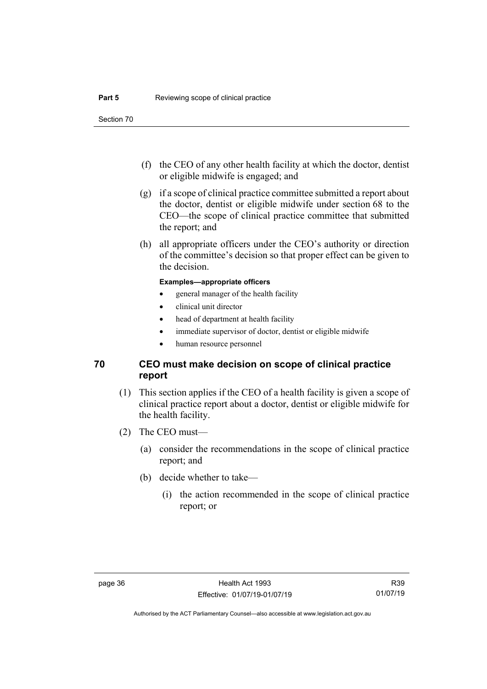Section 70

- (f) the CEO of any other health facility at which the doctor, dentist or eligible midwife is engaged; and
- (g) if a scope of clinical practice committee submitted a report about the doctor, dentist or eligible midwife under section 68 to the CEO—the scope of clinical practice committee that submitted the report; and
- (h) all appropriate officers under the CEO's authority or direction of the committee's decision so that proper effect can be given to the decision.

#### **Examples—appropriate officers**

- general manager of the health facility
- clinical unit director
- head of department at health facility
- immediate supervisor of doctor, dentist or eligible midwife
- human resource personnel

### **70 CEO must make decision on scope of clinical practice report**

- (1) This section applies if the CEO of a health facility is given a scope of clinical practice report about a doctor, dentist or eligible midwife for the health facility.
- (2) The CEO must—
	- (a) consider the recommendations in the scope of clinical practice report; and
	- (b) decide whether to take—
		- (i) the action recommended in the scope of clinical practice report; or

Authorised by the ACT Parliamentary Counsel—also accessible at www.legislation.act.gov.au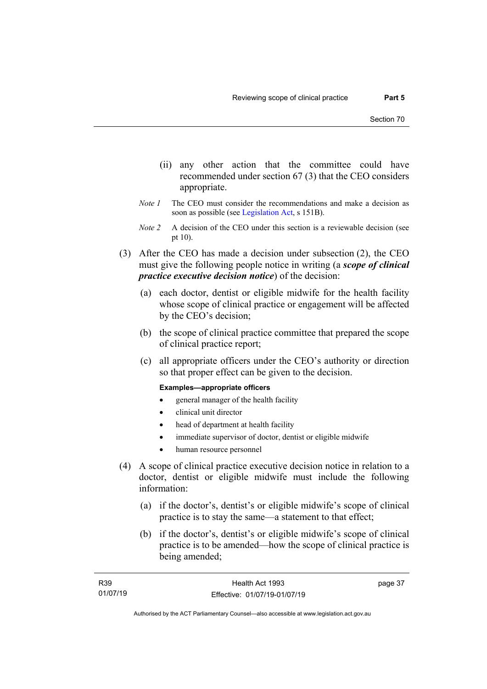- (ii) any other action that the committee could have recommended under section 67 (3) that the CEO considers appropriate.
- *Note 1* The CEO must consider the recommendations and make a decision as soon as possible (see [Legislation Act,](http://www.legislation.act.gov.au/a/2001-14) s 151B).
- *Note 2* A decision of the CEO under this section is a reviewable decision (see pt 10).
- (3) After the CEO has made a decision under subsection (2), the CEO must give the following people notice in writing (a *scope of clinical practice executive decision notice*) of the decision:
	- (a) each doctor, dentist or eligible midwife for the health facility whose scope of clinical practice or engagement will be affected by the CEO's decision;
	- (b) the scope of clinical practice committee that prepared the scope of clinical practice report;
	- (c) all appropriate officers under the CEO's authority or direction so that proper effect can be given to the decision.

#### **Examples—appropriate officers**

- general manager of the health facility
- clinical unit director
- head of department at health facility
- immediate supervisor of doctor, dentist or eligible midwife
- human resource personnel
- (4) A scope of clinical practice executive decision notice in relation to a doctor, dentist or eligible midwife must include the following information:
	- (a) if the doctor's, dentist's or eligible midwife's scope of clinical practice is to stay the same—a statement to that effect;
	- (b) if the doctor's, dentist's or eligible midwife's scope of clinical practice is to be amended—how the scope of clinical practice is being amended;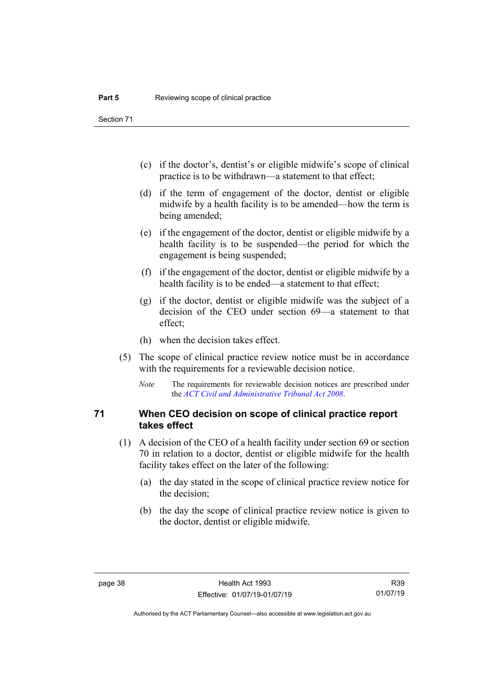Section 71

- (c) if the doctor's, dentist's or eligible midwife's scope of clinical practice is to be withdrawn—a statement to that effect;
- (d) if the term of engagement of the doctor, dentist or eligible midwife by a health facility is to be amended—how the term is being amended;
- (e) if the engagement of the doctor, dentist or eligible midwife by a health facility is to be suspended—the period for which the engagement is being suspended;
- (f) if the engagement of the doctor, dentist or eligible midwife by a health facility is to be ended—a statement to that effect;
- (g) if the doctor, dentist or eligible midwife was the subject of a decision of the CEO under section 69—a statement to that effect;
- (h) when the decision takes effect.
- (5) The scope of clinical practice review notice must be in accordance with the requirements for a reviewable decision notice.
	- *Note* The requirements for reviewable decision notices are prescribed under the *[ACT Civil and Administrative Tribunal Act 2008](http://www.legislation.act.gov.au/a/2008-35)*.

#### **71 When CEO decision on scope of clinical practice report takes effect**

- (1) A decision of the CEO of a health facility under section 69 or section 70 in relation to a doctor, dentist or eligible midwife for the health facility takes effect on the later of the following:
	- (a) the day stated in the scope of clinical practice review notice for the decision;
	- (b) the day the scope of clinical practice review notice is given to the doctor, dentist or eligible midwife.

Authorised by the ACT Parliamentary Counsel—also accessible at www.legislation.act.gov.au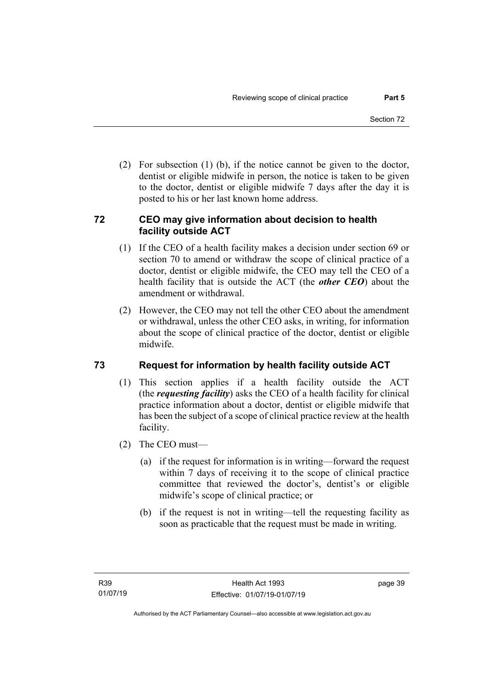(2) For subsection (1) (b), if the notice cannot be given to the doctor, dentist or eligible midwife in person, the notice is taken to be given to the doctor, dentist or eligible midwife 7 days after the day it is posted to his or her last known home address.

## **72 CEO may give information about decision to health facility outside ACT**

- (1) If the CEO of a health facility makes a decision under section 69 or section 70 to amend or withdraw the scope of clinical practice of a doctor, dentist or eligible midwife, the CEO may tell the CEO of a health facility that is outside the ACT (the *other CEO*) about the amendment or withdrawal.
- (2) However, the CEO may not tell the other CEO about the amendment or withdrawal, unless the other CEO asks, in writing, for information about the scope of clinical practice of the doctor, dentist or eligible midwife.

## **73 Request for information by health facility outside ACT**

- (1) This section applies if a health facility outside the ACT (the *requesting facility*) asks the CEO of a health facility for clinical practice information about a doctor, dentist or eligible midwife that has been the subject of a scope of clinical practice review at the health facility.
- (2) The CEO must—
	- (a) if the request for information is in writing—forward the request within 7 days of receiving it to the scope of clinical practice committee that reviewed the doctor's, dentist's or eligible midwife's scope of clinical practice; or
	- (b) if the request is not in writing—tell the requesting facility as soon as practicable that the request must be made in writing.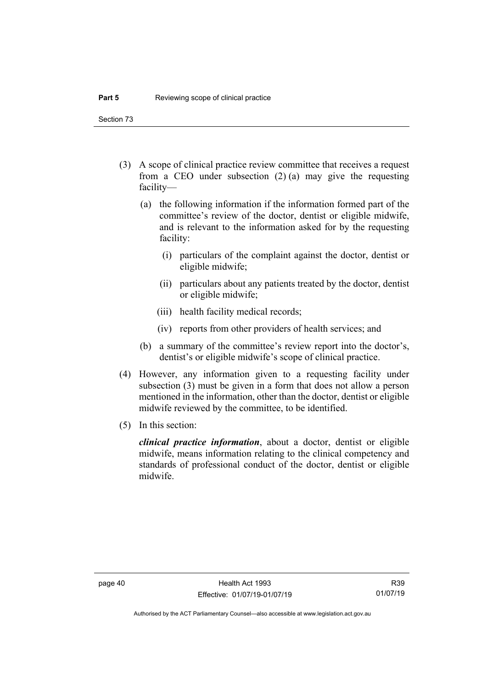Section 73

- (3) A scope of clinical practice review committee that receives a request from a CEO under subsection (2) (a) may give the requesting facility—
	- (a) the following information if the information formed part of the committee's review of the doctor, dentist or eligible midwife, and is relevant to the information asked for by the requesting facility:
		- (i) particulars of the complaint against the doctor, dentist or eligible midwife;
		- (ii) particulars about any patients treated by the doctor, dentist or eligible midwife;
		- (iii) health facility medical records;
		- (iv) reports from other providers of health services; and
	- (b) a summary of the committee's review report into the doctor's, dentist's or eligible midwife's scope of clinical practice.
- (4) However, any information given to a requesting facility under subsection (3) must be given in a form that does not allow a person mentioned in the information, other than the doctor, dentist or eligible midwife reviewed by the committee, to be identified.
- (5) In this section:

*clinical practice information*, about a doctor, dentist or eligible midwife, means information relating to the clinical competency and standards of professional conduct of the doctor, dentist or eligible midwife.

Authorised by the ACT Parliamentary Counsel—also accessible at www.legislation.act.gov.au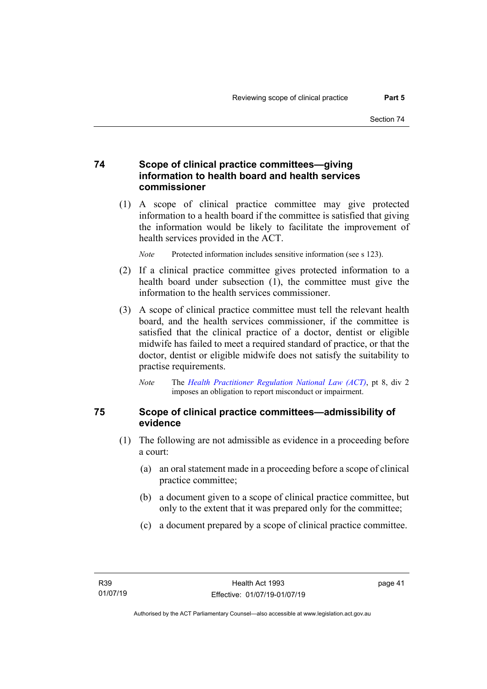#### **74 Scope of clinical practice committees—giving information to health board and health services commissioner**

(1) A scope of clinical practice committee may give protected information to a health board if the committee is satisfied that giving the information would be likely to facilitate the improvement of health services provided in the ACT.

*Note* Protected information includes sensitive information (see s 123).

- (2) If a clinical practice committee gives protected information to a health board under subsection (1), the committee must give the information to the health services commissioner.
- (3) A scope of clinical practice committee must tell the relevant health board, and the health services commissioner, if the committee is satisfied that the clinical practice of a doctor, dentist or eligible midwife has failed to meet a required standard of practice, or that the doctor, dentist or eligible midwife does not satisfy the suitability to practise requirements.
	- *Note* The *[Health Practitioner Regulation National Law \(ACT\)](http://www.legislation.act.gov.au/a/db_39269/default.asp)*, pt 8, div 2 imposes an obligation to report misconduct or impairment.

### **75 Scope of clinical practice committees—admissibility of evidence**

- (1) The following are not admissible as evidence in a proceeding before a court:
	- (a) an oral statement made in a proceeding before a scope of clinical practice committee;
	- (b) a document given to a scope of clinical practice committee, but only to the extent that it was prepared only for the committee;
	- (c) a document prepared by a scope of clinical practice committee.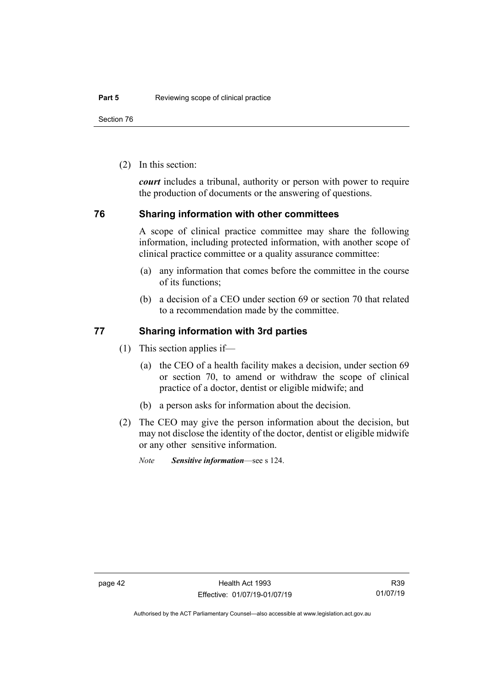Section 76

(2) In this section:

*court* includes a tribunal, authority or person with power to require the production of documents or the answering of questions.

#### **76 Sharing information with other committees**

A scope of clinical practice committee may share the following information, including protected information, with another scope of clinical practice committee or a quality assurance committee:

- (a) any information that comes before the committee in the course of its functions;
- (b) a decision of a CEO under section 69 or section 70 that related to a recommendation made by the committee.

#### **77 Sharing information with 3rd parties**

- (1) This section applies if—
	- (a) the CEO of a health facility makes a decision, under section 69 or section 70, to amend or withdraw the scope of clinical practice of a doctor, dentist or eligible midwife; and
	- (b) a person asks for information about the decision.
- (2) The CEO may give the person information about the decision, but may not disclose the identity of the doctor, dentist or eligible midwife or any other sensitive information.
	- *Note Sensitive information*—see s 124.

Authorised by the ACT Parliamentary Counsel—also accessible at www.legislation.act.gov.au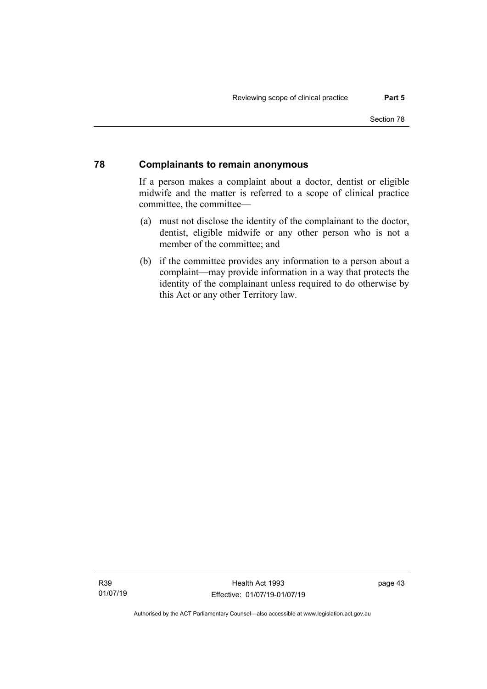#### **78 Complainants to remain anonymous**

If a person makes a complaint about a doctor, dentist or eligible midwife and the matter is referred to a scope of clinical practice committee, the committee—

- (a) must not disclose the identity of the complainant to the doctor, dentist, eligible midwife or any other person who is not a member of the committee; and
- (b) if the committee provides any information to a person about a complaint—may provide information in a way that protects the identity of the complainant unless required to do otherwise by this Act or any other Territory law.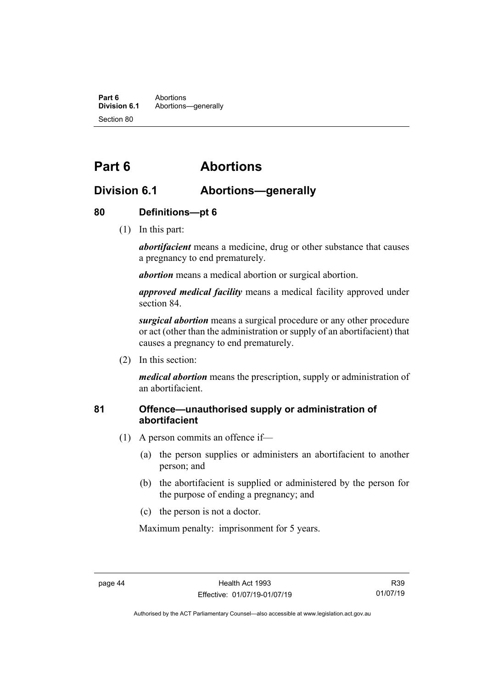**Part 6** Abortions<br>**Division 6.1** Abortions Abortions-qenerally Section 80

# **Part 6 Abortions**

## **Division 6.1 Abortions—generally**

### **80 Definitions—pt 6**

(1) In this part:

*abortifacient* means a medicine, drug or other substance that causes a pregnancy to end prematurely.

*abortion* means a medical abortion or surgical abortion.

*approved medical facility* means a medical facility approved under section 84.

*surgical abortion* means a surgical procedure or any other procedure or act (other than the administration or supply of an abortifacient) that causes a pregnancy to end prematurely.

(2) In this section:

*medical abortion* means the prescription, supply or administration of an abortifacient.

### **81 Offence—unauthorised supply or administration of abortifacient**

- (1) A person commits an offence if—
	- (a) the person supplies or administers an abortifacient to another person; and
	- (b) the abortifacient is supplied or administered by the person for the purpose of ending a pregnancy; and
	- (c) the person is not a doctor.

Maximum penalty: imprisonment for 5 years.

Authorised by the ACT Parliamentary Counsel—also accessible at www.legislation.act.gov.au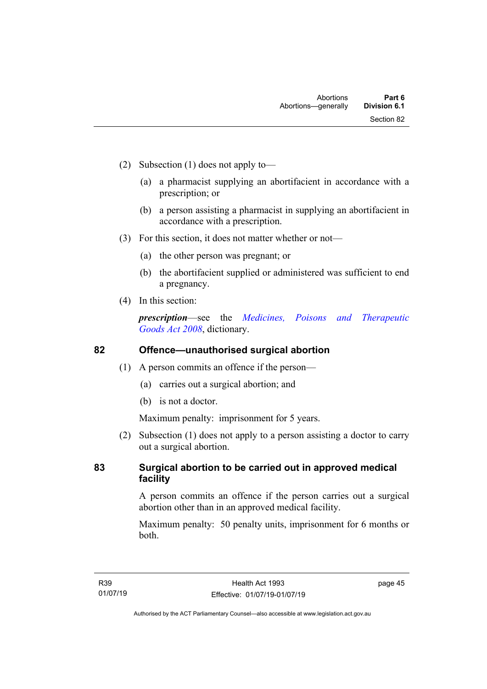- (2) Subsection (1) does not apply to—
	- (a) a pharmacist supplying an abortifacient in accordance with a prescription; or
	- (b) a person assisting a pharmacist in supplying an abortifacient in accordance with a prescription.
- (3) For this section, it does not matter whether or not—
	- (a) the other person was pregnant; or
	- (b) the abortifacient supplied or administered was sufficient to end a pregnancy.
- (4) In this section:

*prescription*—see the *[Medicines, Poisons and Therapeutic](http://www.legislation.act.gov.au/a/2008-26)  Goods [Act 2008](http://www.legislation.act.gov.au/a/2008-26)*, dictionary.

## **82 Offence—unauthorised surgical abortion**

- (1) A person commits an offence if the person—
	- (a) carries out a surgical abortion; and
	- (b) is not a doctor.

Maximum penalty: imprisonment for 5 years.

(2) Subsection (1) does not apply to a person assisting a doctor to carry out a surgical abortion.

### **83 Surgical abortion to be carried out in approved medical facility**

A person commits an offence if the person carries out a surgical abortion other than in an approved medical facility.

Maximum penalty: 50 penalty units, imprisonment for 6 months or both.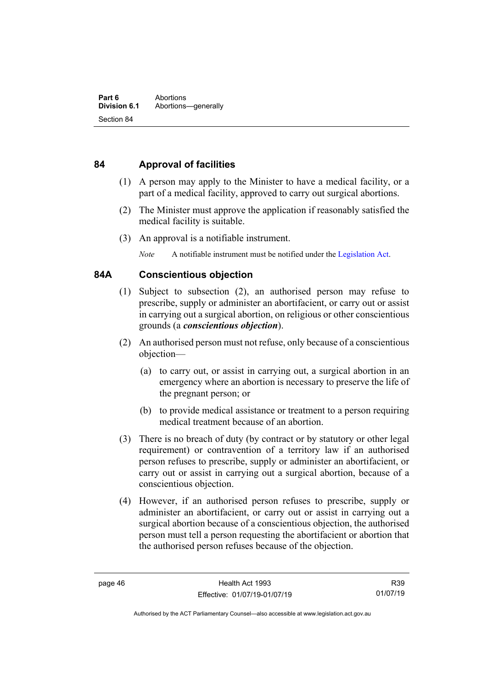## **84 Approval of facilities**

- (1) A person may apply to the Minister to have a medical facility, or a part of a medical facility, approved to carry out surgical abortions.
- (2) The Minister must approve the application if reasonably satisfied the medical facility is suitable.
- (3) An approval is a notifiable instrument.

*Note* A notifiable instrument must be notified under the [Legislation Act.](http://www.legislation.act.gov.au/a/2001-14)

#### **84A Conscientious objection**

- (1) Subject to subsection (2), an authorised person may refuse to prescribe, supply or administer an abortifacient, or carry out or assist in carrying out a surgical abortion, on religious or other conscientious grounds (a *conscientious objection*).
- (2) An authorised person must not refuse, only because of a conscientious objection—
	- (a) to carry out, or assist in carrying out, a surgical abortion in an emergency where an abortion is necessary to preserve the life of the pregnant person; or
	- (b) to provide medical assistance or treatment to a person requiring medical treatment because of an abortion.
- (3) There is no breach of duty (by contract or by statutory or other legal requirement) or contravention of a territory law if an authorised person refuses to prescribe, supply or administer an abortifacient, or carry out or assist in carrying out a surgical abortion, because of a conscientious objection.
- (4) However, if an authorised person refuses to prescribe, supply or administer an abortifacient, or carry out or assist in carrying out a surgical abortion because of a conscientious objection, the authorised person must tell a person requesting the abortifacient or abortion that the authorised person refuses because of the objection.

Authorised by the ACT Parliamentary Counsel—also accessible at www.legislation.act.gov.au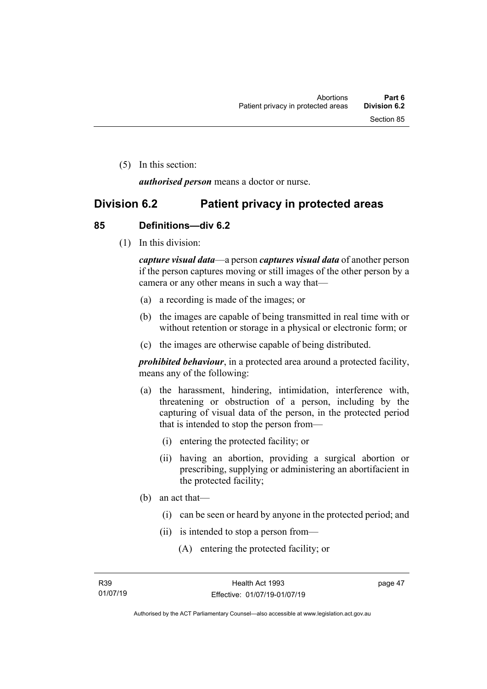(5) In this section:

*authorised person* means a doctor or nurse.

## **Division 6.2 Patient privacy in protected areas**

#### **85 Definitions—div 6.2**

(1) In this division:

*capture visual data*—a person *captures visual data* of another person if the person captures moving or still images of the other person by a camera or any other means in such a way that—

- (a) a recording is made of the images; or
- (b) the images are capable of being transmitted in real time with or without retention or storage in a physical or electronic form; or
- (c) the images are otherwise capable of being distributed.

*prohibited behaviour*, in a protected area around a protected facility, means any of the following:

- (a) the harassment, hindering, intimidation, interference with, threatening or obstruction of a person, including by the capturing of visual data of the person, in the protected period that is intended to stop the person from—
	- (i) entering the protected facility; or
	- (ii) having an abortion, providing a surgical abortion or prescribing, supplying or administering an abortifacient in the protected facility;
- (b) an act that—
	- (i) can be seen or heard by anyone in the protected period; and
	- (ii) is intended to stop a person from—
		- (A) entering the protected facility; or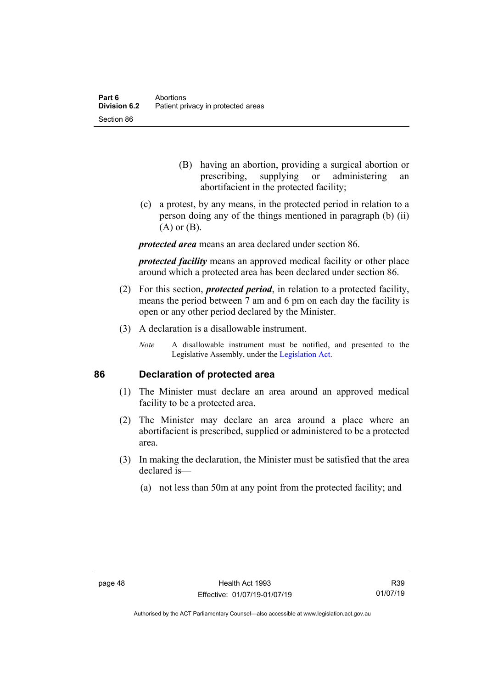- (B) having an abortion, providing a surgical abortion or prescribing, supplying or administering an abortifacient in the protected facility;
- (c) a protest, by any means, in the protected period in relation to a person doing any of the things mentioned in paragraph (b) (ii) (A) or (B).

*protected area* means an area declared under section 86.

*protected facility* means an approved medical facility or other place around which a protected area has been declared under section 86.

- (2) For this section, *protected period*, in relation to a protected facility, means the period between 7 am and 6 pm on each day the facility is open or any other period declared by the Minister.
- (3) A declaration is a disallowable instrument.
	- *Note* A disallowable instrument must be notified, and presented to the Legislative Assembly, under the [Legislation Act.](http://www.legislation.act.gov.au/a/2001-14)

#### **86 Declaration of protected area**

- (1) The Minister must declare an area around an approved medical facility to be a protected area.
- (2) The Minister may declare an area around a place where an abortifacient is prescribed, supplied or administered to be a protected area.
- (3) In making the declaration, the Minister must be satisfied that the area declared is—
	- (a) not less than 50m at any point from the protected facility; and

Authorised by the ACT Parliamentary Counsel—also accessible at www.legislation.act.gov.au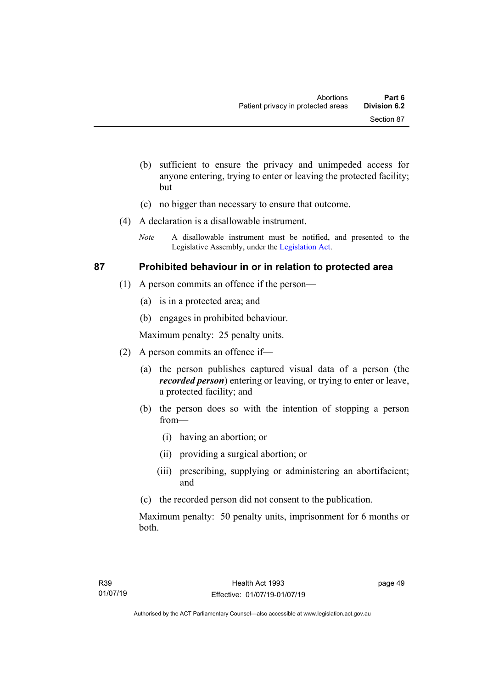- (b) sufficient to ensure the privacy and unimpeded access for anyone entering, trying to enter or leaving the protected facility; but
- (c) no bigger than necessary to ensure that outcome.
- (4) A declaration is a disallowable instrument.
	- *Note* A disallowable instrument must be notified, and presented to the Legislative Assembly, under the [Legislation Act.](http://www.legislation.act.gov.au/a/2001-14)

#### **87 Prohibited behaviour in or in relation to protected area**

- (1) A person commits an offence if the person—
	- (a) is in a protected area; and
	- (b) engages in prohibited behaviour.

Maximum penalty: 25 penalty units.

- (2) A person commits an offence if—
	- (a) the person publishes captured visual data of a person (the *recorded person*) entering or leaving, or trying to enter or leave, a protected facility; and
	- (b) the person does so with the intention of stopping a person from—
		- (i) having an abortion; or
		- (ii) providing a surgical abortion; or
		- (iii) prescribing, supplying or administering an abortifacient; and
	- (c) the recorded person did not consent to the publication.

Maximum penalty: 50 penalty units, imprisonment for 6 months or both.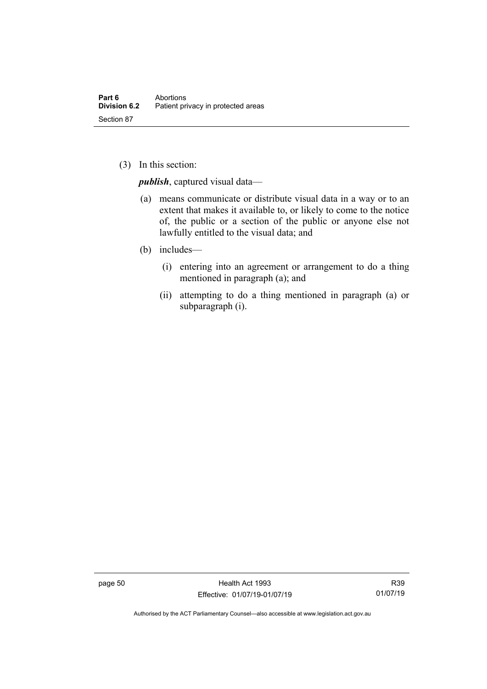(3) In this section:

*publish*, captured visual data—

- (a) means communicate or distribute visual data in a way or to an extent that makes it available to, or likely to come to the notice of, the public or a section of the public or anyone else not lawfully entitled to the visual data; and
- (b) includes—
	- (i) entering into an agreement or arrangement to do a thing mentioned in paragraph (a); and
	- (ii) attempting to do a thing mentioned in paragraph (a) or subparagraph (i).

page 50 Health Act 1993 Effective: 01/07/19-01/07/19

R39 01/07/19

Authorised by the ACT Parliamentary Counsel—also accessible at www.legislation.act.gov.au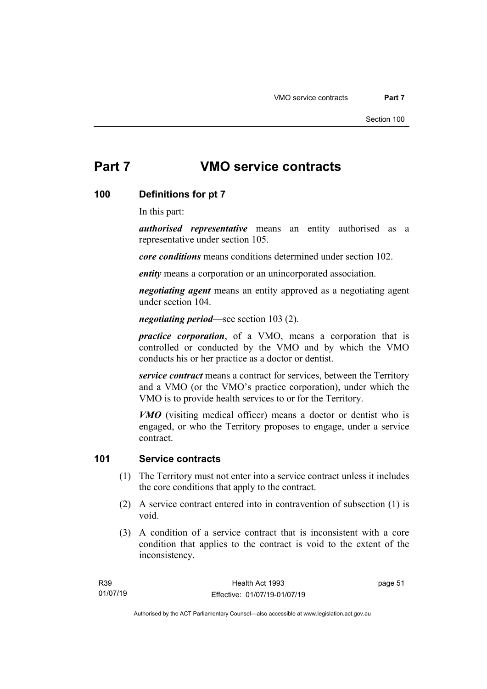# **Part 7 VMO service contracts**

#### **100 Definitions for pt 7**

In this part:

*authorised representative* means an entity authorised as a representative under section 105.

*core conditions* means conditions determined under section 102.

*entity* means a corporation or an unincorporated association.

*negotiating agent* means an entity approved as a negotiating agent under section 104.

*negotiating period*—see section 103 (2).

*practice corporation*, of a VMO, means a corporation that is controlled or conducted by the VMO and by which the VMO conducts his or her practice as a doctor or dentist.

*service contract* means a contract for services, between the Territory and a VMO (or the VMO's practice corporation), under which the VMO is to provide health services to or for the Territory.

*VMO* (visiting medical officer) means a doctor or dentist who is engaged, or who the Territory proposes to engage, under a service contract.

#### **101 Service contracts**

- (1) The Territory must not enter into a service contract unless it includes the core conditions that apply to the contract.
- (2) A service contract entered into in contravention of subsection (1) is void.
- (3) A condition of a service contract that is inconsistent with a core condition that applies to the contract is void to the extent of the inconsistency.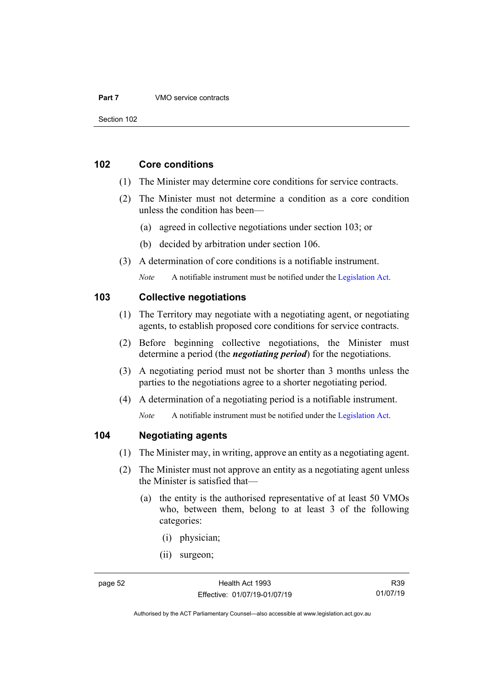#### **Part 7** VMO service contracts

Section 102

#### **102 Core conditions**

- (1) The Minister may determine core conditions for service contracts.
- (2) The Minister must not determine a condition as a core condition unless the condition has been—
	- (a) agreed in collective negotiations under section 103; or
	- (b) decided by arbitration under section 106.
- (3) A determination of core conditions is a notifiable instrument.

*Note* A notifiable instrument must be notified under the [Legislation Act.](http://www.legislation.act.gov.au/a/2001-14)

#### **103 Collective negotiations**

- (1) The Territory may negotiate with a negotiating agent, or negotiating agents, to establish proposed core conditions for service contracts.
- (2) Before beginning collective negotiations, the Minister must determine a period (the *negotiating period*) for the negotiations.
- (3) A negotiating period must not be shorter than 3 months unless the parties to the negotiations agree to a shorter negotiating period.
- (4) A determination of a negotiating period is a notifiable instrument.

*Note* A notifiable instrument must be notified under the [Legislation Act.](http://www.legislation.act.gov.au/a/2001-14)

## **104 Negotiating agents**

- (1) The Minister may, in writing, approve an entity as a negotiating agent.
- (2) The Minister must not approve an entity as a negotiating agent unless the Minister is satisfied that—
	- (a) the entity is the authorised representative of at least 50 VMOs who, between them, belong to at least 3 of the following categories:
		- (i) physician;
		- (ii) surgeon;

R39 01/07/19

Authorised by the ACT Parliamentary Counsel—also accessible at www.legislation.act.gov.au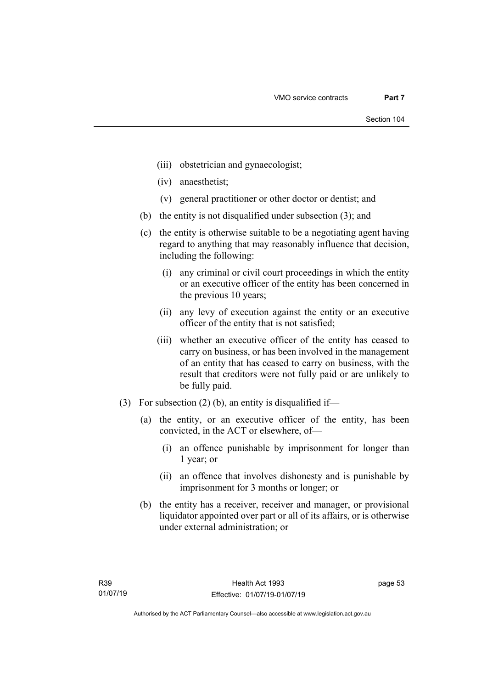- (iii) obstetrician and gynaecologist;
- (iv) anaesthetist;
- (v) general practitioner or other doctor or dentist; and
- (b) the entity is not disqualified under subsection (3); and
- (c) the entity is otherwise suitable to be a negotiating agent having regard to anything that may reasonably influence that decision, including the following:
	- (i) any criminal or civil court proceedings in which the entity or an executive officer of the entity has been concerned in the previous 10 years;
	- (ii) any levy of execution against the entity or an executive officer of the entity that is not satisfied;
	- (iii) whether an executive officer of the entity has ceased to carry on business, or has been involved in the management of an entity that has ceased to carry on business, with the result that creditors were not fully paid or are unlikely to be fully paid.
- (3) For subsection (2) (b), an entity is disqualified if—
	- (a) the entity, or an executive officer of the entity, has been convicted, in the ACT or elsewhere, of—
		- (i) an offence punishable by imprisonment for longer than 1 year; or
		- (ii) an offence that involves dishonesty and is punishable by imprisonment for 3 months or longer; or
	- (b) the entity has a receiver, receiver and manager, or provisional liquidator appointed over part or all of its affairs, or is otherwise under external administration; or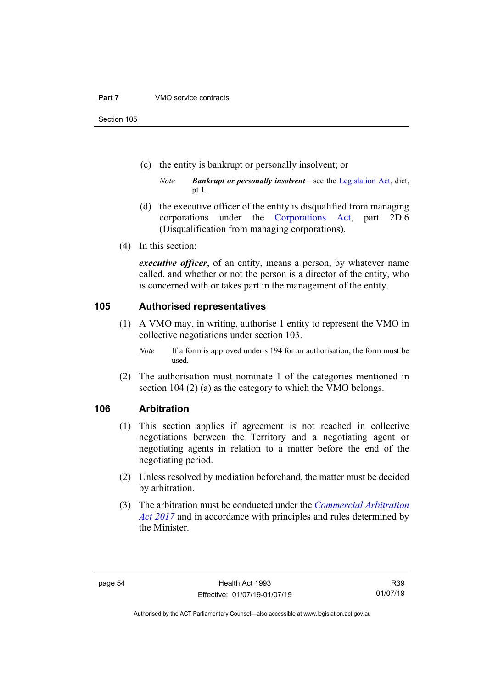#### **Part 7** VMO service contracts

Section 105

- (c) the entity is bankrupt or personally insolvent; or
	- *Note Bankrupt or personally insolvent*—see the [Legislation Act,](http://www.legislation.act.gov.au/a/2001-14) dict, pt 1.
- (d) the executive officer of the entity is disqualified from managing corporations under the [Corporations Act,](http://www.comlaw.gov.au/Series/C2004A00818) part 2D.6 (Disqualification from managing corporations).
- (4) In this section:

*executive officer*, of an entity, means a person, by whatever name called, and whether or not the person is a director of the entity, who is concerned with or takes part in the management of the entity.

#### **105 Authorised representatives**

- (1) A VMO may, in writing, authorise 1 entity to represent the VMO in collective negotiations under section 103.
	- *Note* If a form is approved under s 194 for an authorisation, the form must be used.
- (2) The authorisation must nominate 1 of the categories mentioned in section 104 (2) (a) as the category to which the VMO belongs.

## **106 Arbitration**

- (1) This section applies if agreement is not reached in collective negotiations between the Territory and a negotiating agent or negotiating agents in relation to a matter before the end of the negotiating period.
- (2) Unless resolved by mediation beforehand, the matter must be decided by arbitration.
- (3) The arbitration must be conducted under the *[Commercial Arbitration](http://www.legislation.act.gov.au/a/2017-7/default.asp)  [Act 2017](http://www.legislation.act.gov.au/a/2017-7/default.asp)* and in accordance with principles and rules determined by the Minister.

R39 01/07/19

Authorised by the ACT Parliamentary Counsel—also accessible at www.legislation.act.gov.au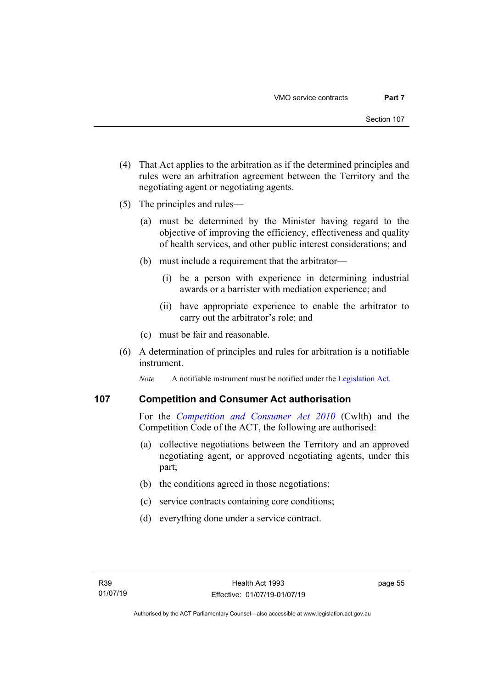- (4) That Act applies to the arbitration as if the determined principles and rules were an arbitration agreement between the Territory and the negotiating agent or negotiating agents.
- (5) The principles and rules—
	- (a) must be determined by the Minister having regard to the objective of improving the efficiency, effectiveness and quality of health services, and other public interest considerations; and
	- (b) must include a requirement that the arbitrator—
		- (i) be a person with experience in determining industrial awards or a barrister with mediation experience; and
		- (ii) have appropriate experience to enable the arbitrator to carry out the arbitrator's role; and
	- (c) must be fair and reasonable.
- (6) A determination of principles and rules for arbitration is a notifiable instrument.

*Note* A notifiable instrument must be notified under the [Legislation Act.](http://www.legislation.act.gov.au/a/2001-14)

### **107 Competition and Consumer Act authorisation**

For the *[Competition and Consumer Act 2010](http://www.comlaw.gov.au/Details/C2013C00004)* (Cwlth) and the Competition Code of the ACT, the following are authorised:

- (a) collective negotiations between the Territory and an approved negotiating agent, or approved negotiating agents, under this part;
- (b) the conditions agreed in those negotiations;
- (c) service contracts containing core conditions;
- (d) everything done under a service contract.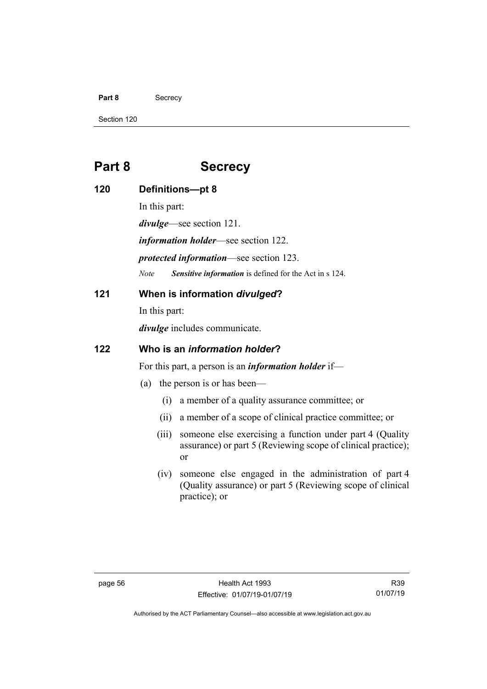#### Part 8 Secrecy

Section 120

**120** 

# **Part 8 Secrecy**

| Part o |                                                             | эесгесу                                                                                                                             |
|--------|-------------------------------------------------------------|-------------------------------------------------------------------------------------------------------------------------------------|
| 120    | Definitions-pt 8                                            |                                                                                                                                     |
|        | In this part:                                               |                                                                                                                                     |
|        | <i>divulge</i> —see section 121.                            |                                                                                                                                     |
|        | <i>information holder</i> —see section 122.                 |                                                                                                                                     |
|        | <i>protected information</i> —see section 123.              |                                                                                                                                     |
|        | <b>Note</b>                                                 | Sensitive information is defined for the Act in s 124.                                                                              |
| 121    | When is information divulged?                               |                                                                                                                                     |
|        | In this part:                                               |                                                                                                                                     |
|        | <i>divulge</i> includes communicate.                        |                                                                                                                                     |
| 122    | Who is an information holder?                               |                                                                                                                                     |
|        | For this part, a person is an <i>information holder</i> if— |                                                                                                                                     |
|        | (a)                                                         | the person is or has been—                                                                                                          |
|        | (i)                                                         | a member of a quality assurance committee; or                                                                                       |
|        | (ii)                                                        | a member of a scope of clinical practice committee; or                                                                              |
|        | (iii)                                                       | someone else exercising a function under part 4 (Quality<br>assurance) or part 5 (Reviewing scope of clinical practice);<br>or      |
|        | (iv)                                                        | someone else engaged in the administration of part 4<br>(Quality assurance) or part 5 (Reviewing scope of clinical<br>practice); or |

Authorised by the ACT Parliamentary Counsel—also accessible at www.legislation.act.gov.au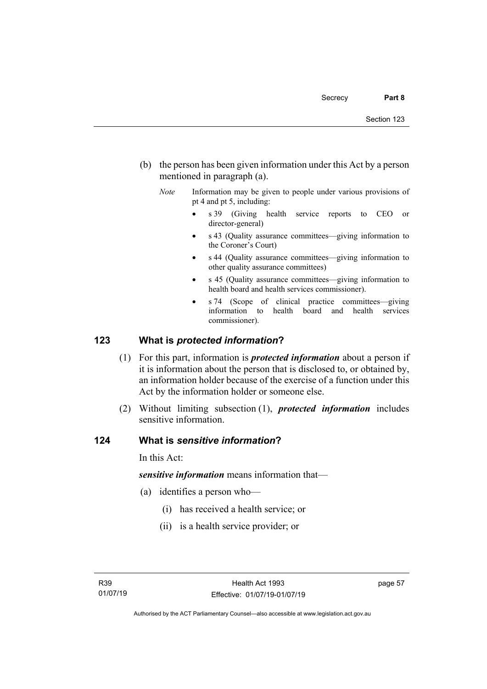- (b) the person has been given information under this Act by a person mentioned in paragraph (a).
	- *Note* Information may be given to people under various provisions of pt 4 and pt 5, including:
		- s 39 (Giving health service reports to CEO or director-general)
		- s 43 (Quality assurance committees—giving information to the Coroner's Court)
		- s 44 (Quality assurance committees—giving information to other quality assurance committees)
		- s 45 (Quality assurance committees—giving information to health board and health services commissioner).
		- s 74 (Scope of clinical practice committees—giving information to health board and health services commissioner).

#### **123 What is** *protected information***?**

- (1) For this part, information is *protected information* about a person if it is information about the person that is disclosed to, or obtained by, an information holder because of the exercise of a function under this Act by the information holder or someone else.
- (2) Without limiting subsection (1), *protected information* includes sensitive information.

#### **124 What is** *sensitive information***?**

In this Act:

*sensitive information* means information that—

- (a) identifies a person who—
	- (i) has received a health service; or
	- (ii) is a health service provider; or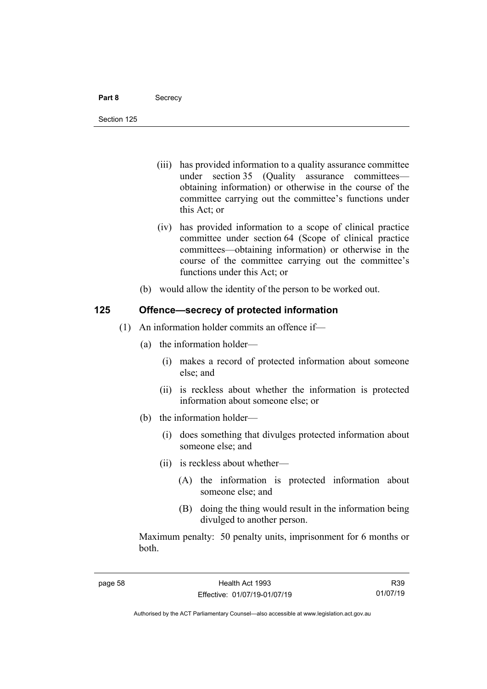- (iii) has provided information to a quality assurance committee under section 35 (Quality assurance committees obtaining information) or otherwise in the course of the committee carrying out the committee's functions under this Act; or
- (iv) has provided information to a scope of clinical practice committee under section 64 (Scope of clinical practice committees—obtaining information) or otherwise in the course of the committee carrying out the committee's functions under this Act; or
- (b) would allow the identity of the person to be worked out.

#### **125 Offence—secrecy of protected information**

- (1) An information holder commits an offence if—
	- (a) the information holder—
		- (i) makes a record of protected information about someone else; and
		- (ii) is reckless about whether the information is protected information about someone else; or
	- (b) the information holder—
		- (i) does something that divulges protected information about someone else; and
		- (ii) is reckless about whether—
			- (A) the information is protected information about someone else; and
			- (B) doing the thing would result in the information being divulged to another person.

Maximum penalty: 50 penalty units, imprisonment for 6 months or both.

R39 01/07/19

Authorised by the ACT Parliamentary Counsel—also accessible at www.legislation.act.gov.au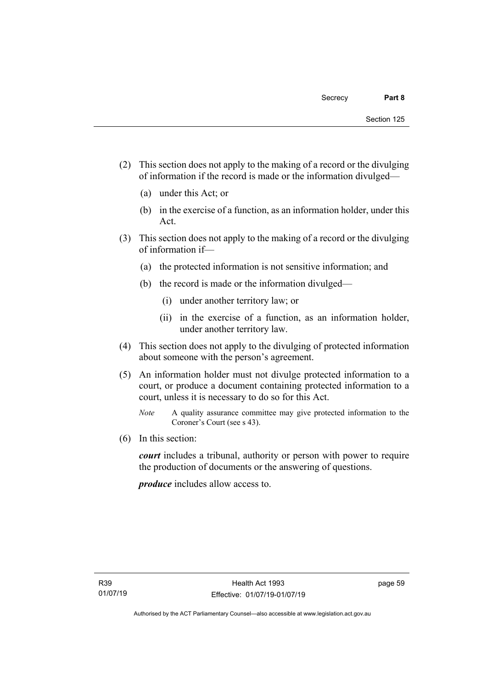- (2) This section does not apply to the making of a record or the divulging of information if the record is made or the information divulged—
	- (a) under this Act; or
	- (b) in the exercise of a function, as an information holder, under this Act.
- (3) This section does not apply to the making of a record or the divulging of information if—
	- (a) the protected information is not sensitive information; and
	- (b) the record is made or the information divulged—
		- (i) under another territory law; or
		- (ii) in the exercise of a function, as an information holder, under another territory law.
- (4) This section does not apply to the divulging of protected information about someone with the person's agreement.
- (5) An information holder must not divulge protected information to a court, or produce a document containing protected information to a court, unless it is necessary to do so for this Act.
	- *Note* A quality assurance committee may give protected information to the Coroner's Court (see s 43).
- (6) In this section:

*court* includes a tribunal, authority or person with power to require the production of documents or the answering of questions.

*produce* includes allow access to.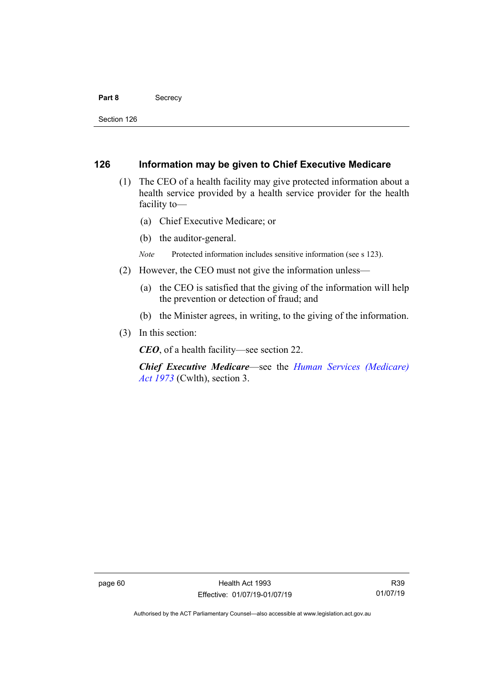#### Part 8 **Secrecy**

Section 126

#### **126 Information may be given to Chief Executive Medicare**

- (1) The CEO of a health facility may give protected information about a health service provided by a health service provider for the health facility to—
	- (a) Chief Executive Medicare; or
	- (b) the auditor-general.
	- *Note* Protected information includes sensitive information (see s 123).
- (2) However, the CEO must not give the information unless—
	- (a) the CEO is satisfied that the giving of the information will help the prevention or detection of fraud; and
	- (b) the Minister agrees, in writing, to the giving of the information.
- (3) In this section:

*CEO*, of a health facility—see section 22.

*Chief Executive Medicare*—see the *[Human Services \(Medicare\)](https://www.legislation.gov.au/Series/C2004A00100)  Act [1973](https://www.legislation.gov.au/Series/C2004A00100)* (Cwlth), section 3.

Authorised by the ACT Parliamentary Counsel—also accessible at www.legislation.act.gov.au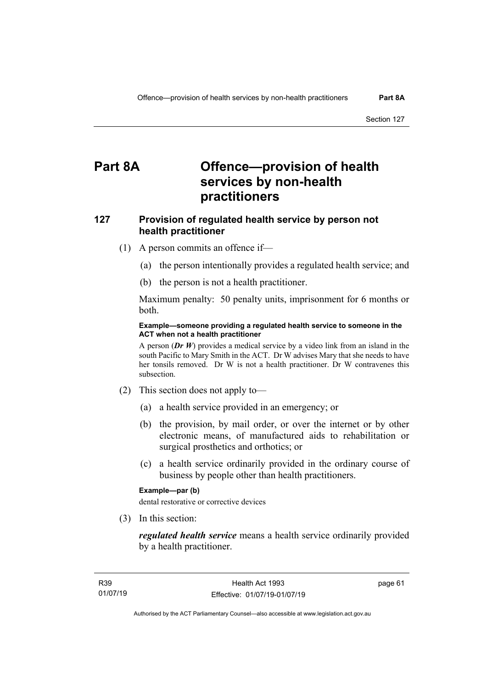# **Part 8A Offence—provision of health services by non-health practitioners**

## **127 Provision of regulated health service by person not health practitioner**

- (1) A person commits an offence if—
	- (a) the person intentionally provides a regulated health service; and
	- (b) the person is not a health practitioner.

Maximum penalty: 50 penalty units, imprisonment for 6 months or both.

#### **Example—someone providing a regulated health service to someone in the ACT when not a health practitioner**

A person (*Dr W*) provides a medical service by a video link from an island in the south Pacific to Mary Smith in the ACT. Dr W advises Mary that she needs to have her tonsils removed. Dr W is not a health practitioner. Dr W contravenes this subsection.

- (2) This section does not apply to—
	- (a) a health service provided in an emergency; or
	- (b) the provision, by mail order, or over the internet or by other electronic means, of manufactured aids to rehabilitation or surgical prosthetics and orthotics; or
	- (c) a health service ordinarily provided in the ordinary course of business by people other than health practitioners.

#### **Example—par (b)**

dental restorative or corrective devices

(3) In this section:

*regulated health service* means a health service ordinarily provided by a health practitioner.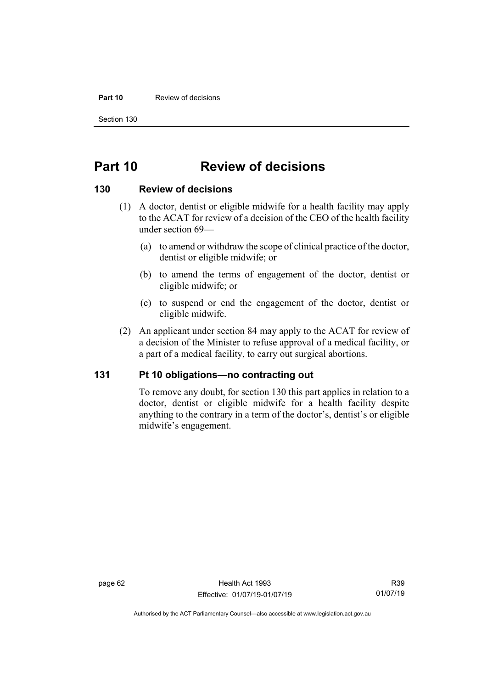#### **Part 10** Review of decisions

Section 130

## **Part 10 Review of decisions**

#### **130 Review of decisions**

- (1) A doctor, dentist or eligible midwife for a health facility may apply to the ACAT for review of a decision of the CEO of the health facility under section 69—
	- (a) to amend or withdraw the scope of clinical practice of the doctor, dentist or eligible midwife; or
	- (b) to amend the terms of engagement of the doctor, dentist or eligible midwife; or
	- (c) to suspend or end the engagement of the doctor, dentist or eligible midwife.
- (2) An applicant under section 84 may apply to the ACAT for review of a decision of the Minister to refuse approval of a medical facility, or a part of a medical facility, to carry out surgical abortions.

#### **131 Pt 10 obligations—no contracting out**

To remove any doubt, for section 130 this part applies in relation to a doctor, dentist or eligible midwife for a health facility despite anything to the contrary in a term of the doctor's, dentist's or eligible midwife's engagement.

Authorised by the ACT Parliamentary Counsel—also accessible at www.legislation.act.gov.au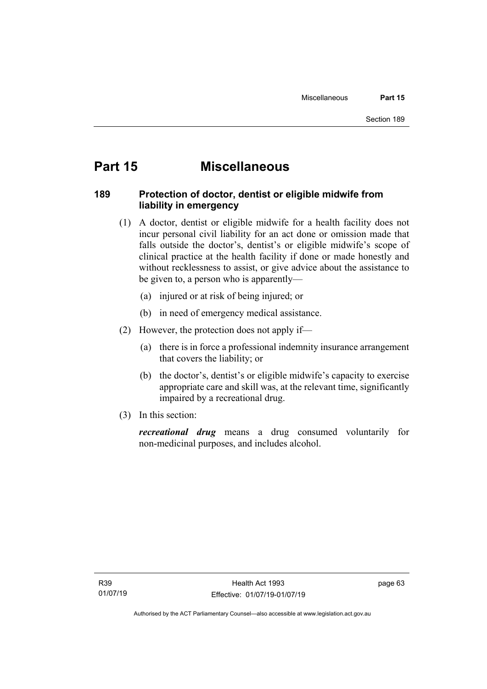# **Part 15 Miscellaneous**

## **189 Protection of doctor, dentist or eligible midwife from liability in emergency**

- (1) A doctor, dentist or eligible midwife for a health facility does not incur personal civil liability for an act done or omission made that falls outside the doctor's, dentist's or eligible midwife's scope of clinical practice at the health facility if done or made honestly and without recklessness to assist, or give advice about the assistance to be given to, a person who is apparently—
	- (a) injured or at risk of being injured; or
	- (b) in need of emergency medical assistance.
- (2) However, the protection does not apply if—
	- (a) there is in force a professional indemnity insurance arrangement that covers the liability; or
	- (b) the doctor's, dentist's or eligible midwife's capacity to exercise appropriate care and skill was, at the relevant time, significantly impaired by a recreational drug.
- (3) In this section:

*recreational drug* means a drug consumed voluntarily for non-medicinal purposes, and includes alcohol.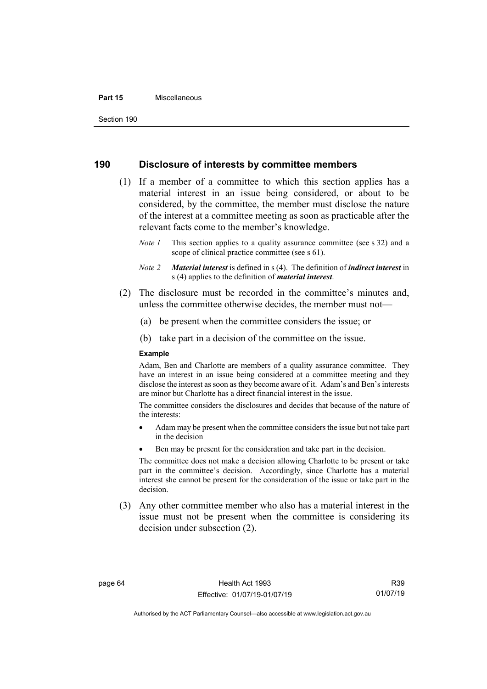#### **Part 15** Miscellaneous

Section 190

#### **190 Disclosure of interests by committee members**

- (1) If a member of a committee to which this section applies has a material interest in an issue being considered, or about to be considered, by the committee, the member must disclose the nature of the interest at a committee meeting as soon as practicable after the relevant facts come to the member's knowledge.
	- *Note 1* This section applies to a quality assurance committee (see s 32) and a scope of clinical practice committee (see s 61).
	- *Note 2 Material interest* is defined in s (4). The definition of *indirect interest* in s (4) applies to the definition of *material interest*.
- (2) The disclosure must be recorded in the committee's minutes and, unless the committee otherwise decides, the member must not—
	- (a) be present when the committee considers the issue; or
	- (b) take part in a decision of the committee on the issue.

#### **Example**

Adam, Ben and Charlotte are members of a quality assurance committee. They have an interest in an issue being considered at a committee meeting and they disclose the interest as soon as they become aware of it. Adam's and Ben's interests are minor but Charlotte has a direct financial interest in the issue.

The committee considers the disclosures and decides that because of the nature of the interests:

- Adam may be present when the committee considers the issue but not take part in the decision
- Ben may be present for the consideration and take part in the decision.

The committee does not make a decision allowing Charlotte to be present or take part in the committee's decision. Accordingly, since Charlotte has a material interest she cannot be present for the consideration of the issue or take part in the decision.

(3) Any other committee member who also has a material interest in the issue must not be present when the committee is considering its decision under subsection (2).

R39 01/07/19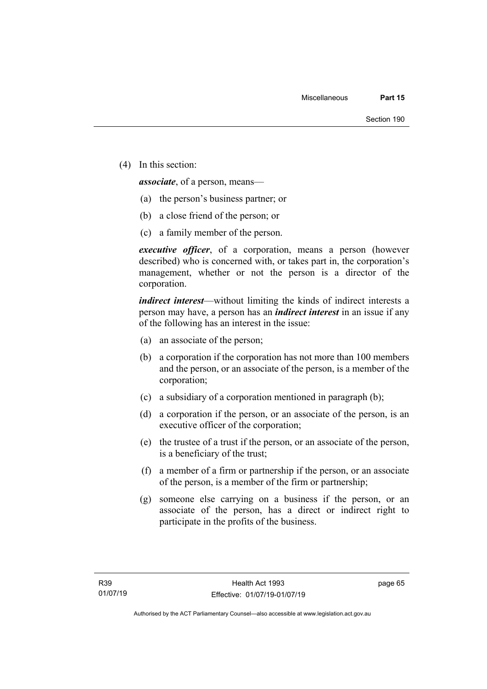(4) In this section:

*associate*, of a person, means—

- (a) the person's business partner; or
- (b) a close friend of the person; or
- (c) a family member of the person.

*executive officer*, of a corporation, means a person (however described) who is concerned with, or takes part in, the corporation's management, whether or not the person is a director of the corporation.

*indirect interest*—without limiting the kinds of indirect interests a person may have, a person has an *indirect interest* in an issue if any of the following has an interest in the issue:

- (a) an associate of the person;
- (b) a corporation if the corporation has not more than 100 members and the person, or an associate of the person, is a member of the corporation;
- (c) a subsidiary of a corporation mentioned in paragraph (b);
- (d) a corporation if the person, or an associate of the person, is an executive officer of the corporation;
- (e) the trustee of a trust if the person, or an associate of the person, is a beneficiary of the trust;
- (f) a member of a firm or partnership if the person, or an associate of the person, is a member of the firm or partnership;
- (g) someone else carrying on a business if the person, or an associate of the person, has a direct or indirect right to participate in the profits of the business.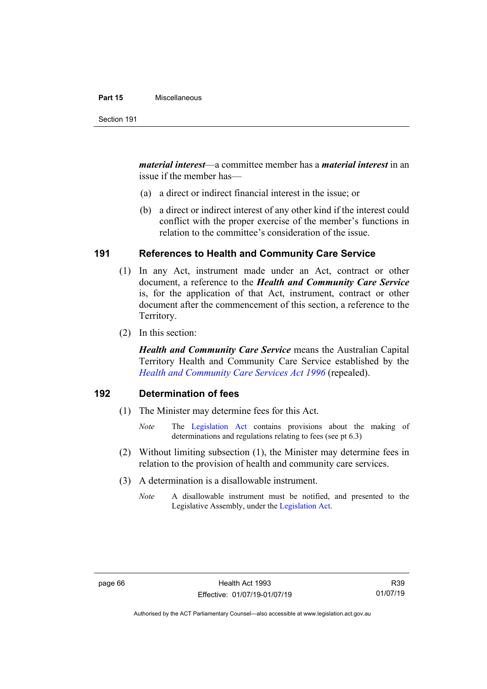#### **Part 15** Miscellaneous

*material interest*—a committee member has a *material interest* in an issue if the member has—

- (a) a direct or indirect financial interest in the issue; or
- (b) a direct or indirect interest of any other kind if the interest could conflict with the proper exercise of the member's functions in relation to the committee's consideration of the issue.

# **191 References to Health and Community Care Service**

- (1) In any Act, instrument made under an Act, contract or other document, a reference to the *Health and Community Care Service* is, for the application of that Act, instrument, contract or other document after the commencement of this section, a reference to the Territory.
- (2) In this section:

*Health and Community Care Service* means the Australian Capital Territory Health and Community Care Service established by the *[Health and Community Care Services Act 1996](http://www.legislation.act.gov.au/a/1996-34)* (repealed).

# **192 Determination of fees**

- (1) The Minister may determine fees for this Act.
	- *Note* The [Legislation Act](http://www.legislation.act.gov.au/a/2001-14) contains provisions about the making of determinations and regulations relating to fees (see pt 6.3)
- (2) Without limiting subsection (1), the Minister may determine fees in relation to the provision of health and community care services.
- (3) A determination is a disallowable instrument.
	- *Note* A disallowable instrument must be notified, and presented to the Legislative Assembly, under the [Legislation Act.](http://www.legislation.act.gov.au/a/2001-14)

Authorised by the ACT Parliamentary Counsel—also accessible at www.legislation.act.gov.au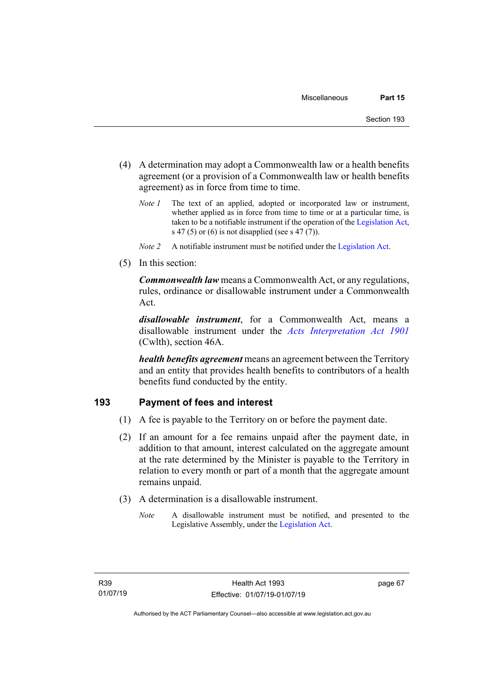- (4) A determination may adopt a Commonwealth law or a health benefits agreement (or a provision of a Commonwealth law or health benefits agreement) as in force from time to time.
	- *Note 1* The text of an applied, adopted or incorporated law or instrument, whether applied as in force from time to time or at a particular time, is taken to be a notifiable instrument if the operation of the [Legislation Act,](http://www.legislation.act.gov.au/a/2001-14) s 47 (5) or (6) is not disapplied (see s 47 (7)).
	- *Note 2* A notifiable instrument must be notified under the [Legislation Act.](http://www.legislation.act.gov.au/a/2001-14)
- (5) In this section:

*Commonwealth law* means a Commonwealth Act, or any regulations, rules, ordinance or disallowable instrument under a Commonwealth Act.

*disallowable instrument*, for a Commonwealth Act, means a disallowable instrument under the *[Acts Interpretation Act 1901](http://www.comlaw.gov.au/Details/C2012C00001)* (Cwlth), section 46A.

*health benefits agreement* means an agreement between the Territory and an entity that provides health benefits to contributors of a health benefits fund conducted by the entity.

# **193 Payment of fees and interest**

- (1) A fee is payable to the Territory on or before the payment date.
- (2) If an amount for a fee remains unpaid after the payment date, in addition to that amount, interest calculated on the aggregate amount at the rate determined by the Minister is payable to the Territory in relation to every month or part of a month that the aggregate amount remains unpaid.
- (3) A determination is a disallowable instrument.
	- *Note* A disallowable instrument must be notified, and presented to the Legislative Assembly, under the [Legislation Act.](http://www.legislation.act.gov.au/a/2001-14)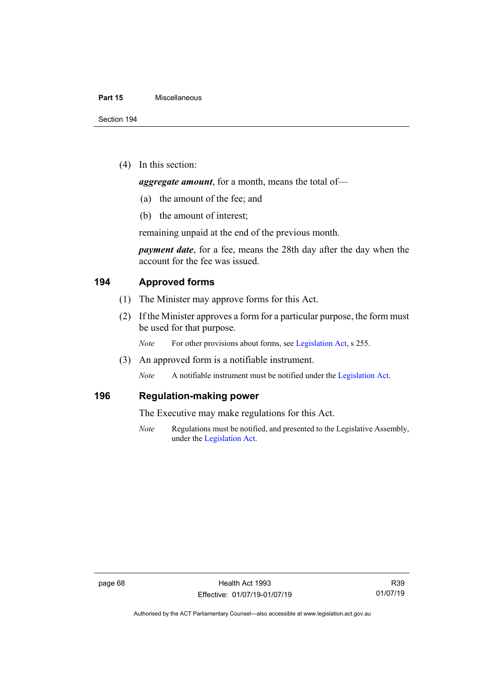### **Part 15** Miscellaneous

(4) In this section:

*aggregate amount*, for a month, means the total of—

- (a) the amount of the fee; and
- (b) the amount of interest;

remaining unpaid at the end of the previous month.

*payment date*, for a fee, means the 28th day after the day when the account for the fee was issued.

# **194 Approved forms**

- (1) The Minister may approve forms for this Act.
- (2) If the Minister approves a form for a particular purpose, the form must be used for that purpose.

*Note* For other provisions about forms, see [Legislation Act,](http://www.legislation.act.gov.au/a/2001-14) s 255.

(3) An approved form is a notifiable instrument.

*Note* A notifiable instrument must be notified under the [Legislation Act.](http://www.legislation.act.gov.au/a/2001-14)

# **196 Regulation-making power**

The Executive may make regulations for this Act.

*Note* Regulations must be notified, and presented to the Legislative Assembly, under the [Legislation Act.](http://www.legislation.act.gov.au/a/2001-14)

Authorised by the ACT Parliamentary Counsel—also accessible at www.legislation.act.gov.au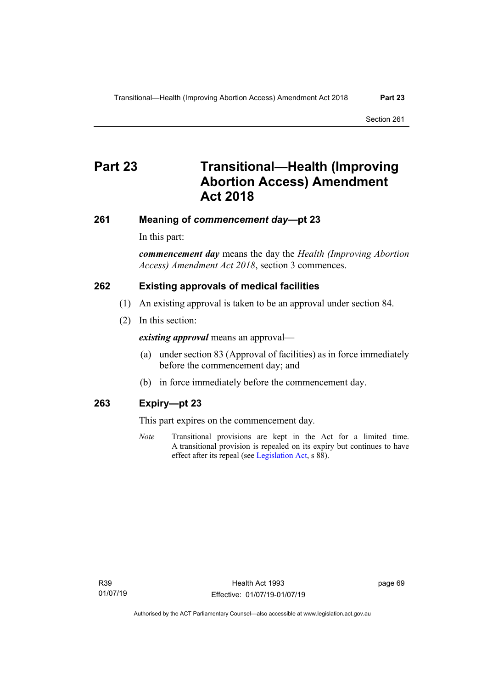# **Part 23 Transitional—Health (Improving Abortion Access) Amendment Act 2018**

# **261 Meaning of** *commencement day***—pt 23**

In this part:

*commencement day* means the day the *Health (Improving Abortion Access) Amendment Act 2018*, section 3 commences.

# **262 Existing approvals of medical facilities**

- (1) An existing approval is taken to be an approval under section 84.
- (2) In this section:

*existing approval* means an approval—

- (a) under section 83 (Approval of facilities) as in force immediately before the commencement day; and
- (b) in force immediately before the commencement day.

# **263 Expiry—pt 23**

This part expires on the commencement day*.*

*Note* Transitional provisions are kept in the Act for a limited time. A transitional provision is repealed on its expiry but continues to have effect after its repeal (se[e Legislation Act,](http://www.legislation.act.gov.au/a/2001-14) s 88).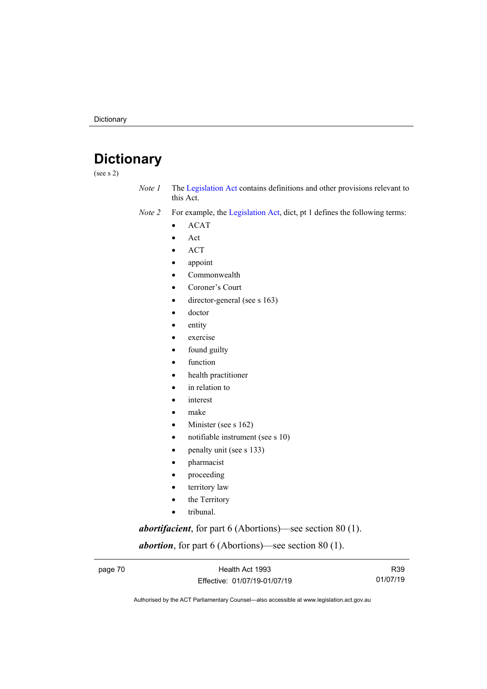# **Dictionary**

(see s 2)

- *Note 1* The [Legislation Act](http://www.legislation.act.gov.au/a/2001-14) contains definitions and other provisions relevant to this Act.
- *Note 2* For example, the [Legislation Act,](http://www.legislation.act.gov.au/a/2001-14) dict, pt 1 defines the following terms:
	- ACAT
	- Act
	- ACT
	- appoint
	- Commonwealth
	- Coroner's Court
	- director-general (see s 163)
	- doctor
	- entity
	- exercise
	- found guilty
	- function
	- health practitioner
	- in relation to
	- *interest*
	- make
	- Minister (see s 162)
	- notifiable instrument (see s 10)
	- penalty unit (see s 133)
	- pharmacist
	- proceeding
	- territory law
	- the Territory
	- tribunal.

*abortifacient*, for part 6 (Abortions)—see section 80 (1).

*abortion*, for part 6 (Abortions)—see section 80 (1).

page 70 **Health Act 1993** Effective: 01/07/19-01/07/19

R39 01/07/19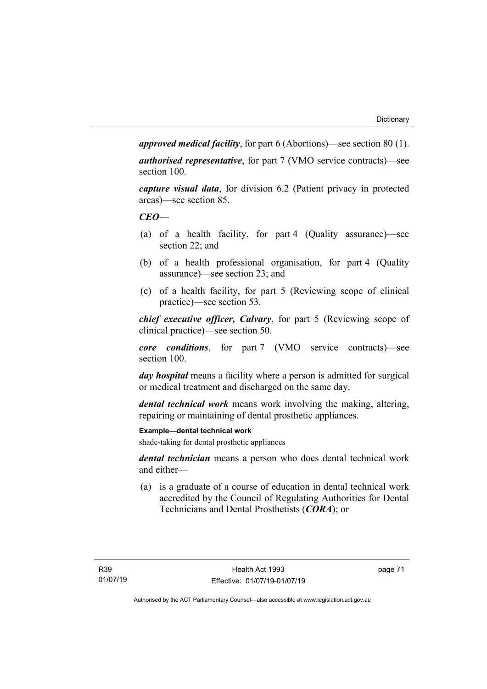*approved medical facility*, for part 6 (Abortions)—see section 80 (1).

*authorised representative*, for part 7 (VMO service contracts)—see section 100.

*capture visual data*, for division 6.2 (Patient privacy in protected areas)—see section 85.

# *CEO*—

- (a) of a health facility, for part 4 (Quality assurance)—see section 22; and
- (b) of a health professional organisation, for part 4 (Quality assurance)—see section 23; and
- (c) of a health facility, for part 5 (Reviewing scope of clinical practice)—see section 53.

*chief executive officer, Calvary*, for part 5 (Reviewing scope of clinical practice)—see section 50.

*core conditions*, for part 7 (VMO service contracts)—see section 100.

*day hospital* means a facility where a person is admitted for surgical or medical treatment and discharged on the same day.

*dental technical work* means work involving the making, altering, repairing or maintaining of dental prosthetic appliances.

**Example—dental technical work**

shade-taking for dental prosthetic appliances

*dental technician* means a person who does dental technical work and either—

(a) is a graduate of a course of education in dental technical work accredited by the Council of Regulating Authorities for Dental Technicians and Dental Prosthetists (*CORA*); or

page 71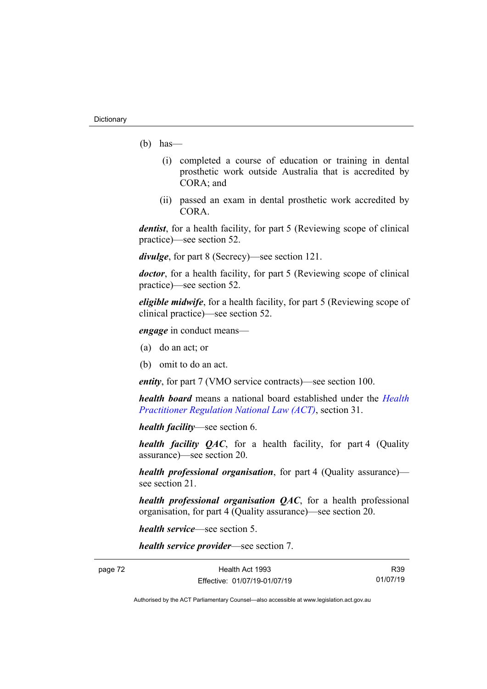- $(b)$  has
	- (i) completed a course of education or training in dental prosthetic work outside Australia that is accredited by CORA; and
	- (ii) passed an exam in dental prosthetic work accredited by CORA.

*dentist*, for a health facility, for part 5 (Reviewing scope of clinical practice)—see section 52.

*divulge*, for part 8 (Secrecy)—see section 121.

*doctor*, for a health facility, for part 5 (Reviewing scope of clinical practice)—see section 52.

*eligible midwife*, for a health facility, for part 5 (Reviewing scope of clinical practice)—see section 52.

*engage* in conduct means—

- (a) do an act; or
- (b) omit to do an act.

*entity*, for part 7 (VMO service contracts)—see section 100.

*health board* means a national board established under the *[Health](http://www.legislation.act.gov.au/a/db_39269/default.asp)  [Practitioner Regulation National Law \(ACT\)](http://www.legislation.act.gov.au/a/db_39269/default.asp)*, section 31.

*health facility*—see section 6.

*health facility QAC*, for a health facility, for part 4 (Quality assurance)—see section 20.

*health professional organisation*, for part 4 (Quality assurance) see section 21.

*health professional organisation QAC*, for a health professional organisation, for part 4 (Quality assurance)—see section 20.

*health service*—see section 5.

*health service provider*—see section 7.

page 72 Health Act 1993 Effective: 01/07/19-01/07/19

R39 01/07/19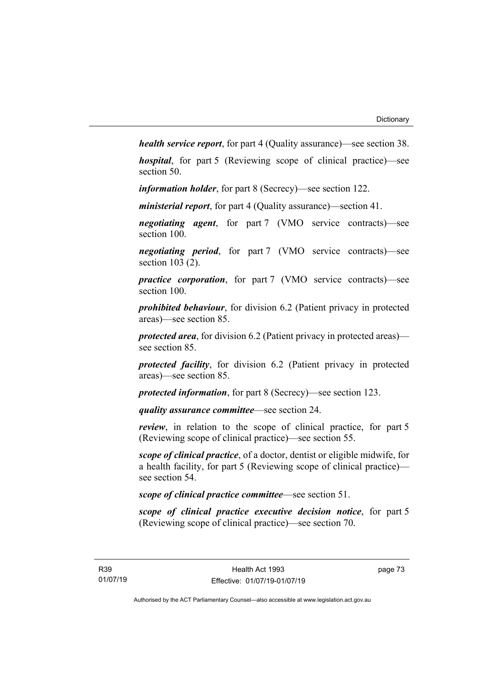*health service report*, for part 4 (Quality assurance)—see section 38.

*hospital*, for part 5 (Reviewing scope of clinical practice)—see section 50.

*information holder*, for part 8 (Secrecy)—see section 122.

*ministerial report*, for part 4 (Quality assurance)—section 41.

*negotiating agent*, for part 7 (VMO service contracts)—see section 100.

*negotiating period*, for part 7 (VMO service contracts)—see section 103 (2).

*practice corporation*, for part 7 (VMO service contracts)—see section 100.

*prohibited behaviour*, for division 6.2 (Patient privacy in protected areas)—see section 85.

*protected area*, for division 6.2 (Patient privacy in protected areas) see section 85.

*protected facility*, for division 6.2 (Patient privacy in protected areas)—see section 85.

*protected information*, for part 8 (Secrecy)—see section 123.

*quality assurance committee*—see section 24.

*review*, in relation to the scope of clinical practice, for part 5 (Reviewing scope of clinical practice)—see section 55.

*scope of clinical practice*, of a doctor, dentist or eligible midwife, for a health facility, for part 5 (Reviewing scope of clinical practice) see section 54.

*scope of clinical practice committee*—see section 51.

*scope of clinical practice executive decision notice*, for part 5 (Reviewing scope of clinical practice)—see section 70.

page 73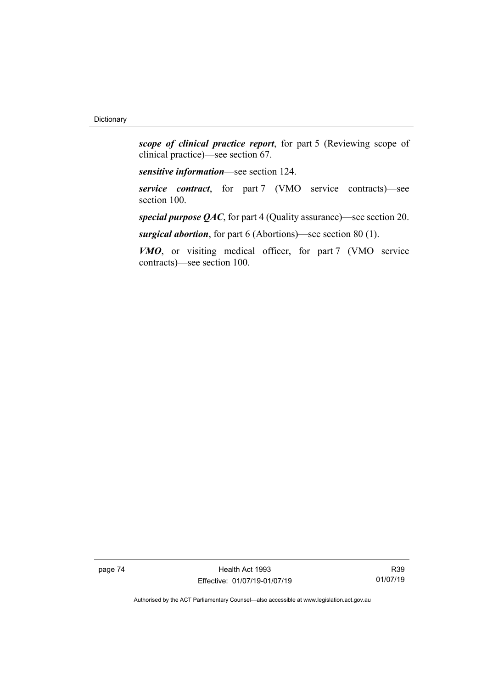*scope of clinical practice report*, for part 5 (Reviewing scope of clinical practice)—see section 67.

*sensitive information*—see section 124.

*service contract*, for part 7 (VMO service contracts)—see section 100.

*special purpose QAC*, for part 4 (Quality assurance)—see section 20.

*surgical abortion*, for part 6 (Abortions)—see section 80 (1).

*VMO*, or visiting medical officer, for part 7 (VMO service contracts)—see section 100.

page 74 Health Act 1993 Effective: 01/07/19-01/07/19

R39 01/07/19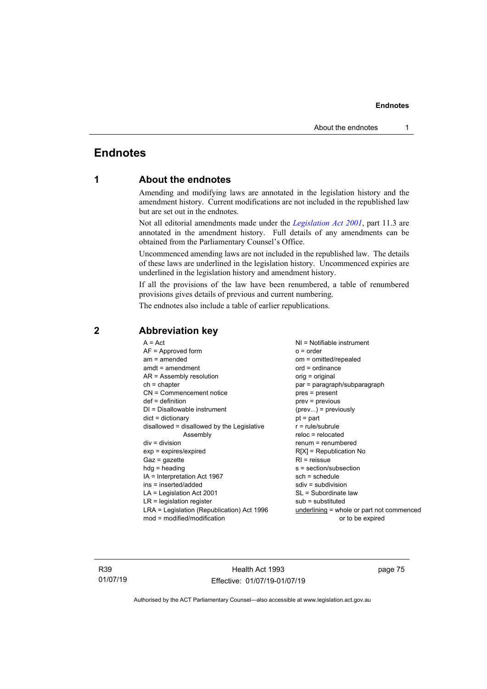# **Endnotes**

# **1 About the endnotes**

Amending and modifying laws are annotated in the legislation history and the amendment history. Current modifications are not included in the republished law but are set out in the endnotes.

Not all editorial amendments made under the *[Legislation Act 2001](http://www.legislation.act.gov.au/a/2001-14)*, part 11.3 are annotated in the amendment history. Full details of any amendments can be obtained from the Parliamentary Counsel's Office.

Uncommenced amending laws are not included in the republished law. The details of these laws are underlined in the legislation history. Uncommenced expiries are underlined in the legislation history and amendment history.

If all the provisions of the law have been renumbered, a table of renumbered provisions gives details of previous and current numbering.

The endnotes also include a table of earlier republications.

| $A = Act$                                    | $NI = Notifiable$ instrument                |
|----------------------------------------------|---------------------------------------------|
| $AF =$ Approved form                         | $o = order$                                 |
| $am = amended$                               | om = omitted/repealed                       |
| $amdt = amendment$                           | $ord = ordinance$                           |
| $AR = Assembly resolution$                   | orig = original                             |
| $ch = chapter$                               | par = paragraph/subparagraph                |
| CN = Commencement notice                     | $pres = present$                            |
| $def = definition$                           | prev = previous                             |
| $DI = Disallowable instrument$               | $(\text{prev})$ = previously                |
| $dict = dictionary$                          | $pt = part$                                 |
| $disallowed = disallowed by the Legislative$ | $r = rule/subrule$                          |
| Assembly                                     | $reloc = relocated$                         |
| $div = division$                             | $renum = renumbered$                        |
| $exp = expires/expired$                      | $R[X]$ = Republication No                   |
| $Gaz = gazette$                              | $R1$ = reissue                              |
| $hdg =$ heading                              | $s = section/subsection$                    |
| $IA = Interpretation Act 1967$               | $sch = schedule$                            |
| $ins = inserted/added$                       | $sdiv = subdivision$                        |
| $LA =$ Legislation Act 2001                  | SL = Subordinate law                        |
| $LR =$ legislation register                  | $sub =$ substituted                         |
| LRA = Legislation (Republication) Act 1996   |                                             |
|                                              | underlining $=$ whole or part not commenced |
| $mod = modified/modification$                | or to be expired                            |

# **2 Abbreviation key**

R39 01/07/19

Health Act 1993 Effective: 01/07/19-01/07/19 page 75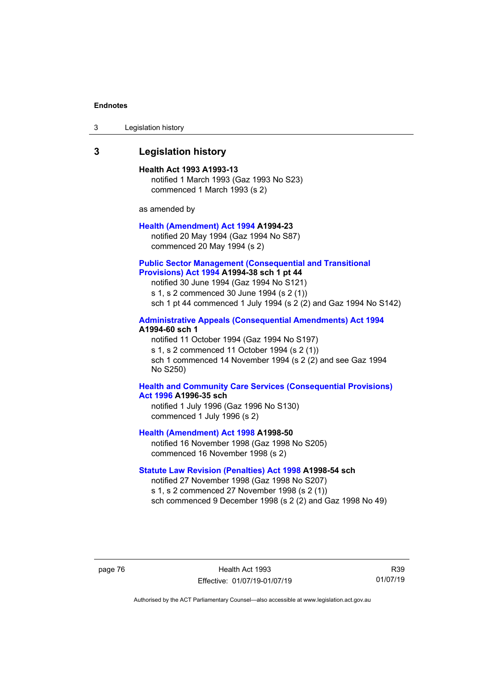3 Legislation history

# **3 Legislation history**

#### **Health Act 1993 A1993-13**

notified 1 March 1993 (Gaz 1993 No S23) commenced 1 March 1993 (s 2)

as amended by

#### **[Health \(Amendment\) Act 1994](http://www.legislation.act.gov.au/a/1994-23) A1994-23**

notified 20 May 1994 (Gaz 1994 No S87) commenced 20 May 1994 (s 2)

#### **[Public Sector Management \(Consequential and Transitional](http://www.legislation.act.gov.au/a/1994-38)  [Provisions\) Act 1994](http://www.legislation.act.gov.au/a/1994-38) A1994-38 sch 1 pt 44**

notified 30 June 1994 (Gaz 1994 No S121) s 1, s 2 commenced 30 June 1994 (s 2 (1)) sch 1 pt 44 commenced 1 July 1994 (s 2 (2) and Gaz 1994 No S142)

## **[Administrative Appeals \(Consequential Amendments\) Act 1994](http://www.legislation.act.gov.au/a/1994-60) A1994-60 sch 1**

notified 11 October 1994 (Gaz 1994 No S197) s 1, s 2 commenced 11 October 1994 (s 2 (1)) sch 1 commenced 14 November 1994 (s 2 (2) and see Gaz 1994 No S250)

### **[Health and Community Care Services \(Consequential Provisions\)](http://www.legislation.act.gov.au/a/1996-35)  Act [1996](http://www.legislation.act.gov.au/a/1996-35) A1996-35 sch**

notified 1 July 1996 (Gaz 1996 No S130) commenced 1 July 1996 (s 2)

**[Health \(Amendment\) Act 1998](http://www.legislation.act.gov.au/a/1998-50) A1998-50** 

notified 16 November 1998 (Gaz 1998 No S205) commenced 16 November 1998 (s 2)

# **[Statute Law Revision \(Penalties\) Act 1998](http://www.legislation.act.gov.au/a/1998-54) A1998-54 sch**

notified 27 November 1998 (Gaz 1998 No S207) s 1, s 2 commenced 27 November 1998 (s 2 (1)) sch commenced 9 December 1998 (s 2 (2) and Gaz 1998 No 49)

page 76 **Health Act 1993** Effective: 01/07/19-01/07/19

R39 01/07/19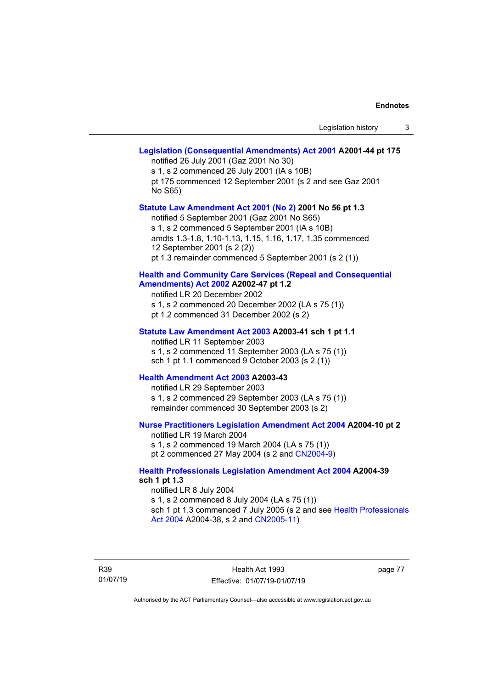# **[Legislation \(Consequential Amendments\) Act 2001](http://www.legislation.act.gov.au/a/2001-44) A2001-44 pt 175** notified 26 July 2001 (Gaz 2001 No 30) s 1, s 2 commenced 26 July 2001 (IA s 10B)

pt 175 commenced 12 September 2001 (s 2 and see Gaz 2001 No S65)

#### **[Statute Law Amendment Act 2001 \(No 2\)](http://www.legislation.act.gov.au/a/2001-56) 2001 No 56 pt 1.3**

notified 5 September 2001 (Gaz 2001 No S65) s 1, s 2 commenced 5 September 2001 (IA s 10B) amdts 1.3-1.8, 1.10-1.13, 1.15, 1.16, 1.17, 1.35 commenced 12 September 2001 (s 2 (2)) pt 1.3 remainder commenced 5 September 2001 (s 2 (1))

### **[Health and Community Care Services \(Repeal and Consequential](http://www.legislation.act.gov.au/a/2002-47)  [Amendments\) Act 2002](http://www.legislation.act.gov.au/a/2002-47) A2002-47 pt 1.2**

notified LR 20 December 2002 s 1, s 2 commenced 20 December 2002 (LA s 75 (1)) pt 1.2 commenced 31 December 2002 (s 2)

#### **[Statute Law Amendment Act 2003](http://www.legislation.act.gov.au/a/2003-41) A2003-41 sch 1 pt 1.1**

notified LR 11 September 2003 s 1, s 2 commenced 11 September 2003 (LA s 75 (1)) sch 1 pt 1.1 commenced 9 October 2003 (s 2 (1))

# **[Health Amendment Act 2003](http://www.legislation.act.gov.au/a/2003-43) A2003-43**

notified LR 29 September 2003 s 1, s 2 commenced 29 September 2003 (LA s 75 (1)) remainder commenced 30 September 2003 (s 2)

# **[Nurse Practitioners Legislation Amendment Act 2004](http://www.legislation.act.gov.au/a/2004-10) A2004-10 pt 2**

notified LR 19 March 2004 s 1, s 2 commenced 19 March 2004 (LA s 75 (1)) pt 2 commenced 27 May 2004 (s 2 and [CN2004-9\)](http://www.legislation.act.gov.au/cn/2004-9/default.asp)

### **[Health Professionals Legislation Amendment Act 2004](http://www.legislation.act.gov.au/a/2004-39) A2004-39 sch 1 pt 1.3**

notified LR 8 July 2004 s 1, s 2 commenced 8 July 2004 (LA s 75 (1)) sch 1 pt 1.3 commenced 7 July 2005 (s 2 and see Health Professionals [Act 2004](http://www.legislation.act.gov.au/a/2004-38) A2004-38, s 2 and [CN2005-11\)](http://www.legislation.act.gov.au/cn/2005-11/default.asp)

R39 01/07/19

Health Act 1993 Effective: 01/07/19-01/07/19 page 77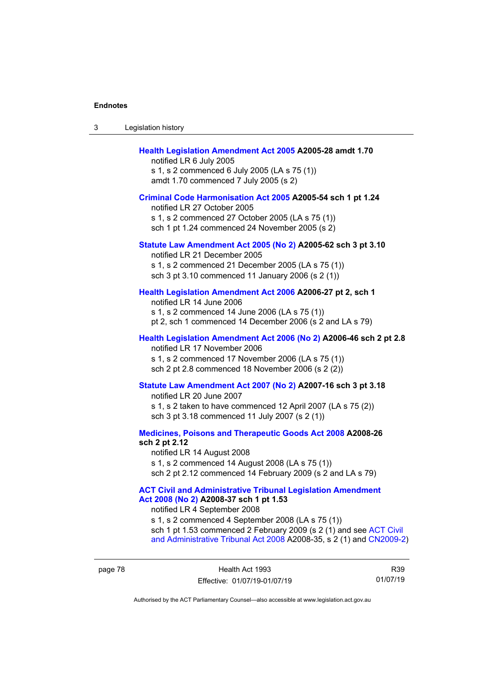| 3 | Legislation history                                                                                                                                                                                                                                                                                                                             |
|---|-------------------------------------------------------------------------------------------------------------------------------------------------------------------------------------------------------------------------------------------------------------------------------------------------------------------------------------------------|
|   | Health Legislation Amendment Act 2005 A2005-28 amdt 1.70<br>notified LR 6 July 2005<br>s 1, s 2 commenced 6 July 2005 (LA s 75 (1))<br>amdt 1.70 commenced 7 July 2005 (s 2)                                                                                                                                                                    |
|   | Criminal Code Harmonisation Act 2005 A2005-54 sch 1 pt 1.24<br>notified LR 27 October 2005<br>s 1, s 2 commenced 27 October 2005 (LA s 75 (1))<br>sch 1 pt 1.24 commenced 24 November 2005 (s 2)                                                                                                                                                |
|   | Statute Law Amendment Act 2005 (No 2) A2005-62 sch 3 pt 3.10<br>notified LR 21 December 2005<br>s 1, s 2 commenced 21 December 2005 (LA s 75 (1))<br>sch 3 pt 3.10 commenced 11 January 2006 (s 2 (1))                                                                                                                                          |
|   | Health Legislation Amendment Act 2006 A2006-27 pt 2, sch 1<br>notified LR 14 June 2006<br>s 1, s 2 commenced 14 June 2006 (LA s 75 (1))<br>pt 2, sch 1 commenced 14 December 2006 (s 2 and LA s 79)                                                                                                                                             |
|   | Health Legislation Amendment Act 2006 (No 2) A2006-46 sch 2 pt 2.8<br>notified LR 17 November 2006<br>s 1, s 2 commenced 17 November 2006 (LA s 75 (1))<br>sch 2 pt 2.8 commenced 18 November 2006 (s 2 (2))                                                                                                                                    |
|   | Statute Law Amendment Act 2007 (No 2) A2007-16 sch 3 pt 3.18<br>notified LR 20 June 2007<br>s 1, s 2 taken to have commenced 12 April 2007 (LA s 75 (2))<br>sch 3 pt 3.18 commenced 11 July 2007 (s 2 (1))                                                                                                                                      |
|   | Medicines, Poisons and Therapeutic Goods Act 2008 A2008-26<br>sch 2 pt 2.12<br>notified LR 14 August 2008<br>s 1, s 2 commenced 14 August 2008 (LA s 75 (1))<br>sch 2 pt 2.12 commenced 14 February 2009 (s 2 and LA s 79)                                                                                                                      |
|   | <b>ACT Civil and Administrative Tribunal Legislation Amendment</b><br>Act 2008 (No 2) A2008-37 sch 1 pt 1.53<br>notified LR 4 September 2008<br>s 1, s 2 commenced 4 September 2008 (LA s 75 (1))<br>sch 1 pt 1.53 commenced 2 February 2009 (s 2 (1) and see ACT Civil<br>and Administrative Tribunal Act 2008 A2008-35, s 2 (1) and CN2009-2) |

page 78 **Health Act 1993** Effective: 01/07/19-01/07/19

R39 01/07/19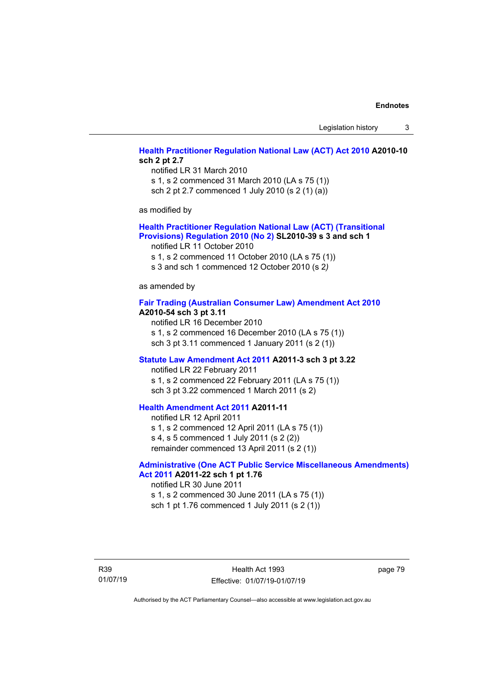Legislation history 3

# **[Health Practitioner Regulation National Law \(ACT\) Act 2010](http://www.legislation.act.gov.au/a/2010-10) A2010-10 sch 2 pt 2.7**

notified LR 31 March 2010 s 1, s 2 commenced 31 March 2010 (LA s 75 (1)) sch 2 pt 2.7 commenced 1 July 2010 (s 2 (1) (a))

as modified by

#### **[Health Practitioner Regulation National Law \(ACT\) \(Transitional](http://www.legislation.act.gov.au/sl/2010-39)  [Provisions\) Regulation 2010 \(No 2\)](http://www.legislation.act.gov.au/sl/2010-39) SL2010-39 s 3 and sch 1**

notified LR 11 October 2010

s 1, s 2 commenced 11 October 2010 (LA s 75 (1))

s 3 and sch 1 commenced 12 October 2010 (s 2*)*

as amended by

#### **[Fair Trading \(Australian Consumer Law\) Amendment Act 2010](http://www.legislation.act.gov.au/a/2010-54) A2010-54 sch 3 pt 3.11**

notified LR 16 December 2010 s 1, s 2 commenced 16 December 2010 (LA s 75 (1)) sch 3 pt 3.11 commenced 1 January 2011 (s 2 (1))

#### **[Statute Law Amendment Act 2011](http://www.legislation.act.gov.au/a/2011-3) A2011-3 sch 3 pt 3.22**

notified LR 22 February 2011 s 1, s 2 commenced 22 February 2011 (LA s 75 (1)) sch 3 pt 3.22 commenced 1 March 2011 (s 2)

# **[Health Amendment Act 2011](http://www.legislation.act.gov.au/a/2011-11) A2011-11**

notified LR 12 April 2011 s 1, s 2 commenced 12 April 2011 (LA s 75 (1)) s 4, s 5 commenced 1 July 2011 (s 2 (2)) remainder commenced 13 April 2011 (s 2 (1))

# **[Administrative \(One ACT Public Service Miscellaneous Amendments\)](http://www.legislation.act.gov.au/a/2011-22)  Act [2011](http://www.legislation.act.gov.au/a/2011-22) A2011-22 sch 1 pt 1.76**

notified LR 30 June 2011 s 1, s 2 commenced 30 June 2011 (LA s 75 (1)) sch 1 pt 1.76 commenced 1 July 2011 (s 2 (1))

R39 01/07/19 page 79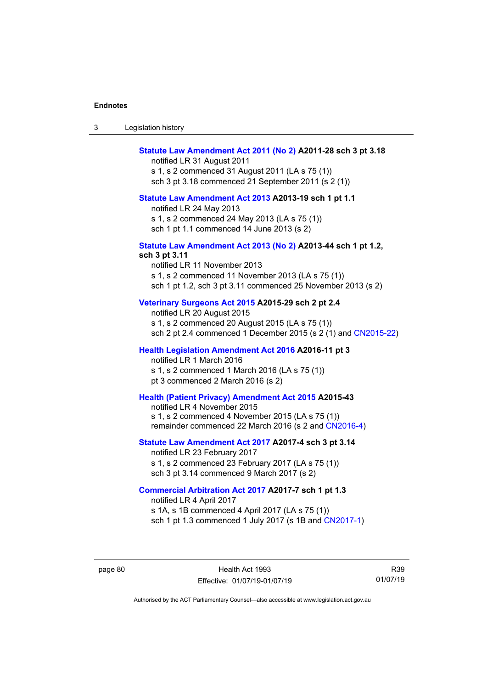| Legislation history<br>-3 |  |
|---------------------------|--|
|---------------------------|--|

# **[Statute Law Amendment Act 2011 \(No 2\)](http://www.legislation.act.gov.au/a/2011-28) A2011-28 sch 3 pt 3.18**

notified LR 31 August 2011 s 1, s 2 commenced 31 August 2011 (LA s 75 (1)) sch 3 pt 3.18 commenced 21 September 2011 (s 2 (1))

#### **[Statute Law Amendment Act 2013](http://www.legislation.act.gov.au/a/2013-19) A2013-19 sch 1 pt 1.1**

notified LR 24 May 2013

s 1, s 2 commenced 24 May 2013 (LA s 75 (1))

sch 1 pt 1.1 commenced 14 June 2013 (s 2)

# **[Statute Law Amendment Act 2013 \(No](http://www.legislation.act.gov.au/a/2013-44) 2) A2013-44 sch 1 pt 1.2,**

**sch 3 pt 3.11**

notified LR 11 November 2013 s 1, s 2 commenced 11 November 2013 (LA s 75 (1)) sch 1 pt 1.2, sch 3 pt 3.11 commenced 25 November 2013 (s 2)

# **[Veterinary Surgeons Act 2015](http://www.legislation.act.gov.au/a/2015-29/default.asp) A2015-29 sch 2 pt 2.4**

notified LR 20 August 2015 s 1, s 2 commenced 20 August 2015 (LA s 75 (1)) sch 2 pt 2.4 commenced 1 December 2015 (s 2 (1) and [CN2015-22\)](http://www.legislation.act.gov.au/cn/2015-22/default.asp)

#### **[Health Legislation Amendment Act 2016](http://www.legislation.act.gov.au/a/2016-11/default.asp) A2016-11 pt 3**

notified LR 1 March 2016 s 1, s 2 commenced 1 March 2016 (LA s 75 (1)) pt 3 commenced 2 March 2016 (s 2)

### **[Health \(Patient Privacy\) Amendment Act 2015](http://www.legislation.act.gov.au/a/2015-43/default.asp) A2015-43**

notified LR 4 November 2015 s 1, s 2 commenced 4 November 2015 (LA s 75 (1)) remainder commenced 22 March 2016 (s 2 and [CN2016-4\)](http://www.legislation.act.gov.au/cn/2016-4/default.asp)

### **[Statute Law Amendment Act 2017](http://www.legislation.act.gov.au/a/2017-4/default.asp) A2017-4 sch 3 pt 3.14**

notified LR 23 February 2017 s 1, s 2 commenced 23 February 2017 (LA s 75 (1)) sch 3 pt 3.14 commenced 9 March 2017 (s 2)

## **[Commercial Arbitration Act 2017](http://www.legislation.act.gov.au/a/2017-7/default.asp) A2017-7 sch 1 pt 1.3**

notified LR 4 April 2017 s 1A, s 1B commenced 4 April 2017 (LA s 75 (1)) sch 1 pt 1.3 commenced 1 July 2017 (s 1B and [CN2017-1\)](http://www.legislation.act.gov.au/cn/2017-1/default.asp)

page 80 Health Act 1993 Effective: 01/07/19-01/07/19

R39 01/07/19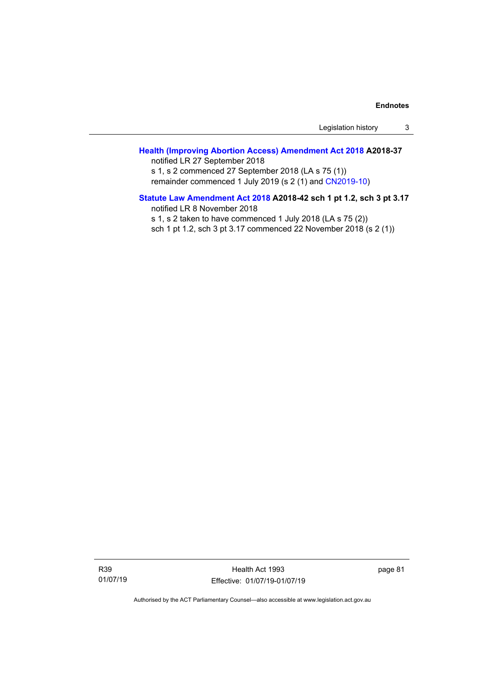Legislation history 3

# **[Health \(Improving Abortion Access\) Amendment Act 2018](http://www.legislation.act.gov.au/a/2018-37/default.asp) A2018-37** notified LR 27 September 2018

s 1, s 2 commenced 27 September 2018 (LA s 75 (1)) remainder commenced 1 July 2019 (s 2 (1) and [CN2019-10\)](https://www.legislation.act.gov.au/cn/2019-10/)

# **[Statute Law Amendment Act 2018](http://www.legislation.act.gov.au/a/2018-42/default.asp) A2018-42 sch 1 pt 1.2, sch 3 pt 3.17** notified LR 8 November 2018

s 1, s 2 taken to have commenced 1 July 2018 (LA s 75 (2)) sch 1 pt 1.2, sch 3 pt 3.17 commenced 22 November 2018 (s 2 (1))

R39 01/07/19

Health Act 1993 Effective: 01/07/19-01/07/19 page 81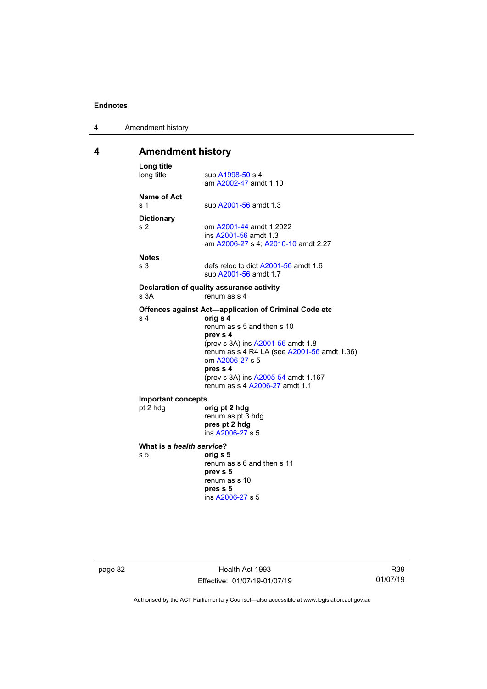| 4 | Amendment history |
|---|-------------------|
|---|-------------------|

# **4 Amendment history**

| Long title<br>long title                                          | sub A1998-50 s 4<br>am A2002-47 amdt 1.10                                                                                                                                                                                                                                                               |
|-------------------------------------------------------------------|---------------------------------------------------------------------------------------------------------------------------------------------------------------------------------------------------------------------------------------------------------------------------------------------------------|
| Name of Act<br>s 1                                                | sub A2001-56 amdt 1.3                                                                                                                                                                                                                                                                                   |
| <b>Dictionary</b><br>s <sub>2</sub>                               | om A2001-44 amdt 1.2022<br>ins A2001-56 amdt 1.3<br>am A2006-27 s 4; A2010-10 amdt 2.27                                                                                                                                                                                                                 |
| <b>Notes</b><br>s 3                                               | defs reloc to dict A2001-56 amdt 1.6<br>sub A2001-56 amdt 1.7                                                                                                                                                                                                                                           |
| Declaration of quality assurance activity<br>renum as s 4<br>s 3A |                                                                                                                                                                                                                                                                                                         |
| s <sub>4</sub>                                                    | Offences against Act-application of Criminal Code etc<br>orig s 4<br>renum as s 5 and then s 10<br>prev s 4<br>(prev s 3A) ins A2001-56 amdt 1.8<br>renum as s 4 R4 LA (see A2001-56 amdt 1.36)<br>om A2006-27 s 5<br>pres s 4<br>(prev s 3A) ins A2005-54 amdt 1.167<br>renum as s 4 A2006-27 amdt 1.1 |
| <b>Important concepts</b><br>pt 2 hdg                             | orig pt 2 hdg<br>renum as pt 3 hdg<br>pres pt 2 hdg<br>ins A2006-27 s 5                                                                                                                                                                                                                                 |
| What is a health service?<br>s <sub>5</sub>                       | orig s 5<br>renum as s 6 and then s 11<br>prev s 5<br>renum as s 10<br>pres s 5<br>ins A2006-27 s 5                                                                                                                                                                                                     |

page 82 **Health Act 1993** Effective: 01/07/19-01/07/19

R39 01/07/19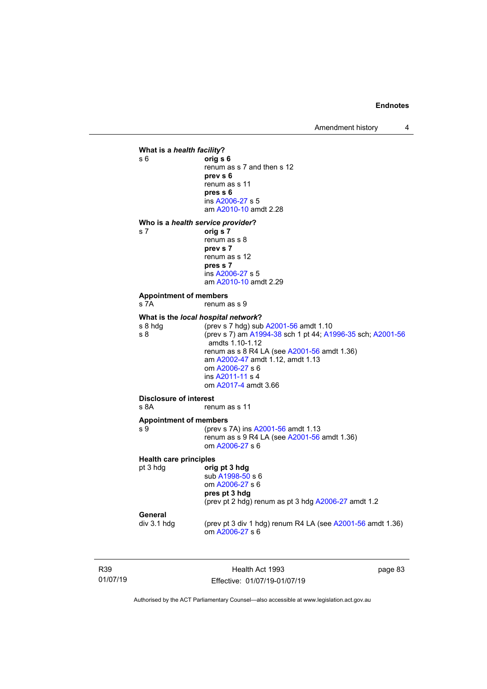Amendment history 4



R39 01/07/19

Health Act 1993 Effective: 01/07/19-01/07/19 page 83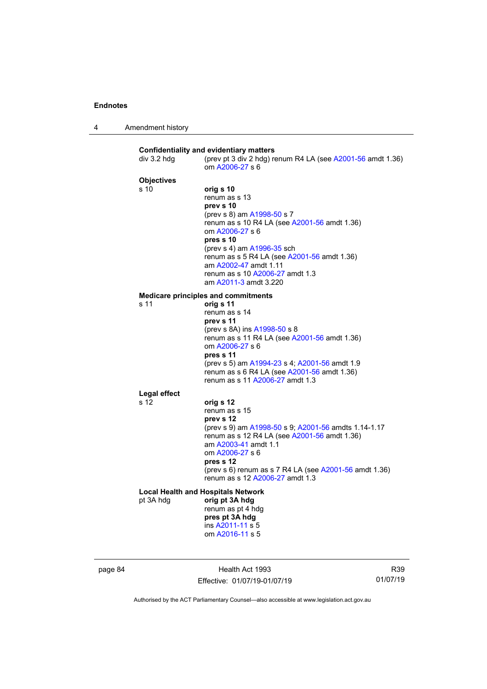4 Amendment history

| div 3.2 hdg                          | <b>Confidentiality and evidentiary matters</b><br>(prev pt 3 div 2 hdg) renum R4 LA (see A2001-56 amdt 1.36)<br>om A2006-27 s 6                                                                                                                                                                                         |
|--------------------------------------|-------------------------------------------------------------------------------------------------------------------------------------------------------------------------------------------------------------------------------------------------------------------------------------------------------------------------|
| <b>Objectives</b><br>s <sub>10</sub> | orig s 10<br>renum as s 13<br>prev s 10<br>(prev s 8) am A1998-50 s 7<br>renum as s 10 R4 LA (see A2001-56 amdt 1.36)<br>om A2006-27 s 6<br>pres s 10<br>(prev s 4) am A1996-35 sch<br>renum as s 5 R4 LA (see A2001-56 amdt 1.36)<br>am A2002-47 amdt 1.11<br>renum as s 10 A2006-27 amdt 1.3<br>am A2011-3 amdt 3.220 |
|                                      | <b>Medicare principles and commitments</b>                                                                                                                                                                                                                                                                              |
| s 11                                 | orig s 11<br>renum as s 14<br>prev s 11<br>(prev s 8A) ins A1998-50 s 8<br>renum as s 11 R4 LA (see A2001-56 amdt 1.36)<br>om A2006-27 s 6<br>pres s 11<br>(prev s 5) am A1994-23 s 4; A2001-56 amdt 1.9<br>renum as s 6 R4 LA (see A2001-56 amdt 1.36)<br>renum as s 11 A2006-27 amdt 1.3                              |
| <b>Legal effect</b>                  |                                                                                                                                                                                                                                                                                                                         |
| s 12                                 | orig s 12<br>renum as s 15<br>prev s 12<br>(prev s 9) am A1998-50 s 9; A2001-56 amdts 1.14-1.17<br>renum as s 12 R4 LA (see A2001-56 amdt 1.36)<br>am A2003-41 amdt 1.1<br>om A2006-27 s 6<br>pres s 12<br>(prev s 6) renum as s 7 R4 LA (see A2001-56 amdt 1.36)<br>renum as s 12 A2006-27 amdt 1.3                    |
| pt 3A hdg                            | <b>Local Health and Hospitals Network</b><br>orig pt 3A hdg<br>renum as pt 4 hdg<br>pres pt 3A hdg<br>ins A2011-11 s 5<br>om A2016-11 s 5                                                                                                                                                                               |

page 84 **Health Act 1993** Effective: 01/07/19-01/07/19

R39 01/07/19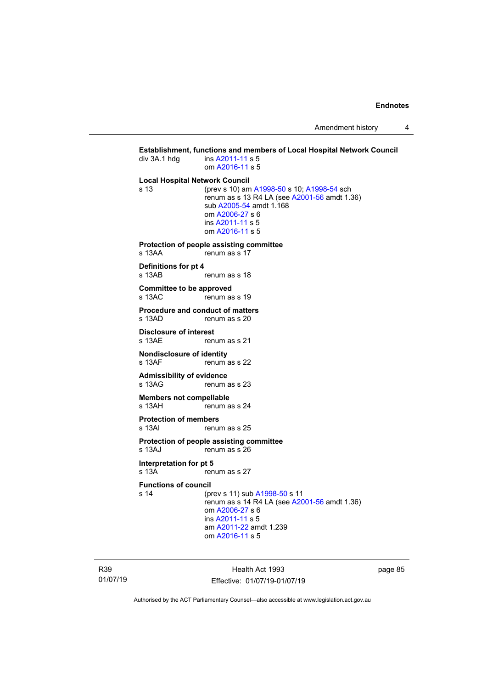Amendment history 4

**Establishment, functions and members of Local Hospital Network Council div 3A.1 hdg ins A2011-11 s 5** ins [A2011-11](http://www.legislation.act.gov.au/a/2011-11) s 5 om [A2016-11](http://www.legislation.act.gov.au/a/2016-11) s 5 **Local Hospital Network Council** (prev s 10) am [A1998-50](http://www.legislation.act.gov.au/a/1998-50) s 10; [A1998-54](http://www.legislation.act.gov.au/a/1998-54) sch renum as s 13 R4 LA (see [A2001-56](http://www.legislation.act.gov.au/a/2001-56) amdt 1.36) sub [A2005-54](http://www.legislation.act.gov.au/a/2005-54) amdt 1.168 om [A2006-27](http://www.legislation.act.gov.au/a/2006-27) s 6 ins [A2011-11](http://www.legislation.act.gov.au/a/2011-11) s 5 om [A2016-11](http://www.legislation.act.gov.au/a/2016-11) s 5 **Protection of people assisting committee**<br>s 13AA renum as s 17 renum as s 17 **Definitions for pt 4** s 13AB renum as s 18 **Committee to be approved**<br>s 13AC renum as renum as s 19 **Procedure and conduct of matters**<br>s 13AD renum as s 20 renum as s 20 **Disclosure of interest**<br>s 13AF reni renum as s 21 **Nondisclosure of identity**<br>s 13AF renum renum as s 22 **Admissibility of evidence** s 13AG renum as s 23 **Members not compellable**<br>s 13AH renum a renum as s 24 **Protection of members**<br>s 13Al renui renum as s 25 **Protection of people assisting committee** s 13AJ renum as s 26 **Interpretation for pt 5**<br>s 13A rem renum as s 27 **Functions of council** s 14 (prev s 11) sub [A1998-50](http://www.legislation.act.gov.au/a/1998-50) s 11 renum as  $\overline{s}$  14 R4 LA (see [A2001-56](http://www.legislation.act.gov.au/a/2001-56) amdt 1.36) om [A2006-27](http://www.legislation.act.gov.au/a/2006-27) s 6 ins [A2011-11](http://www.legislation.act.gov.au/a/2011-11) s 5 am [A2011-22](http://www.legislation.act.gov.au/a/2011-22) amdt 1.239 om [A2016-11](http://www.legislation.act.gov.au/a/2016-11) s 5

R39 01/07/19

Health Act 1993 Effective: 01/07/19-01/07/19 page 85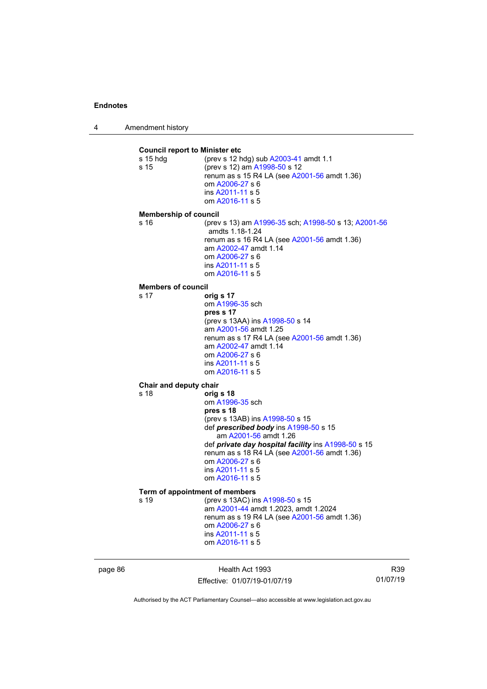4 Amendment history

**Council report to Minister etc**<br>s 15 hdg (prev s 12 h (prev s 12 hdg) sub [A2003-41](http://www.legislation.act.gov.au/a/2003-41) amdt 1.1 s 15 (prev s 12) am [A1998-50](http://www.legislation.act.gov.au/a/1998-50) s 12 renum as s 15 R4 LA (see [A2001-56](http://www.legislation.act.gov.au/a/2001-56) amdt 1.36) om [A2006-27](http://www.legislation.act.gov.au/a/2006-27) s 6 ins [A2011-11](http://www.legislation.act.gov.au/a/2011-11) s 5 om [A2016-11](http://www.legislation.act.gov.au/a/2016-11) s 5 **Membership of council** s 16 (prev s 13) am [A1996-35](http://www.legislation.act.gov.au/a/1996-35) sch; [A1998-50](http://www.legislation.act.gov.au/a/1998-50) s 13[; A2001-56](http://www.legislation.act.gov.au/a/2001-56) amdts 1.18-1.24 renum as s 16 R4 LA (see [A2001-56](http://www.legislation.act.gov.au/a/2001-56) amdt 1.36) am [A2002-47](http://www.legislation.act.gov.au/a/2002-47) amdt 1.14 om [A2006-27](http://www.legislation.act.gov.au/a/2006-27) s 6 ins [A2011-11](http://www.legislation.act.gov.au/a/2011-11) s 5 om [A2016-11](http://www.legislation.act.gov.au/a/2016-11) s 5 **Members of council** s 17 **orig s 17** om [A1996-35](http://www.legislation.act.gov.au/a/1996-35) sch **pres s 17** (prev s 13AA) in[s A1998-50](http://www.legislation.act.gov.au/a/1998-50) s 14 am [A2001-56](http://www.legislation.act.gov.au/a/2001-56) amdt 1.25 renum as s 17 R4 LA (see [A2001-56](http://www.legislation.act.gov.au/a/2001-56) amdt 1.36) am [A2002-47](http://www.legislation.act.gov.au/a/2002-47) amdt 1.14 om [A2006-27](http://www.legislation.act.gov.au/a/2006-27) s 6 ins [A2011-11](http://www.legislation.act.gov.au/a/2011-11) s 5 om [A2016-11](http://www.legislation.act.gov.au/a/2016-11) s 5 **Chair and deputy chair**<br>s 18 orig s 18 **orig s 18** om [A1996-35](http://www.legislation.act.gov.au/a/1996-35) sch **pres s 18** (prev s 13AB) in[s A1998-50](http://www.legislation.act.gov.au/a/1998-50) s 15 def *prescribed body* in[s A1998-50](http://www.legislation.act.gov.au/a/1998-50) s 15 am [A2001-56](http://www.legislation.act.gov.au/a/2001-56) amdt 1.26 def *private day hospital facility* ins [A1998-50](http://www.legislation.act.gov.au/a/1998-50) s 15 renum as s 18 R4 LA (see [A2001-56](http://www.legislation.act.gov.au/a/2001-56) amdt 1.36) om [A2006-27](http://www.legislation.act.gov.au/a/2006-27) s 6 ins [A2011-11](http://www.legislation.act.gov.au/a/2011-11) s 5 om [A2016-11](http://www.legislation.act.gov.au/a/2016-11) s 5 **Term of appointment of members**<br>s 19 (prev s 13AC) in (prev s 13AC) ins [A1998-50](http://www.legislation.act.gov.au/a/1998-50) s 15 am [A2001-44](http://www.legislation.act.gov.au/a/2001-44) amdt 1.2023, amdt 1.2024 renum as s 19 R4 LA (see [A2001-56](http://www.legislation.act.gov.au/a/2001-56) amdt 1.36) om [A2006-27](http://www.legislation.act.gov.au/a/2006-27) s 6 ins [A2011-11](http://www.legislation.act.gov.au/a/2011-11) s 5 om [A2016-11](http://www.legislation.act.gov.au/a/2016-11) s 5

page 86 Health Act 1993 Effective: 01/07/19-01/07/19

R39 01/07/19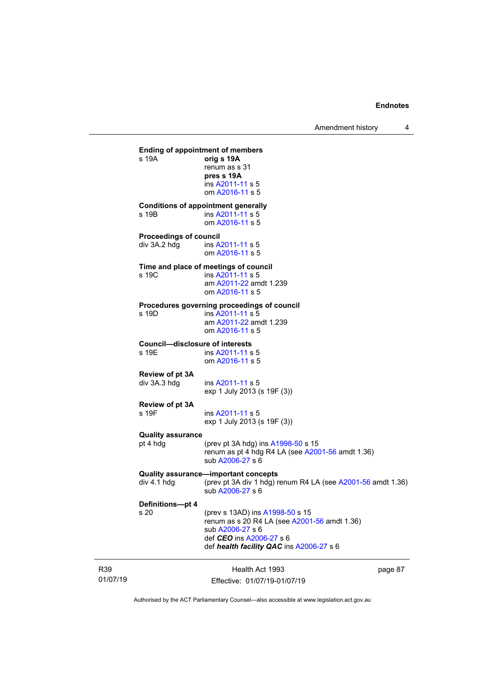01/07/19 Health Act 1993 Effective: 01/07/19-01/07/19 page 87 **Ending of appointment of members** s 19A **orig s 19A** renum as s 31 **pres s 19A** ins [A2011-11](http://www.legislation.act.gov.au/a/2011-11) s 5 om [A2016-11](http://www.legislation.act.gov.au/a/2016-11) s 5 **Conditions of appointment generally**<br>s 19B **ins A2011-11** s 5 ins [A2011-11](http://www.legislation.act.gov.au/a/2011-11) s 5 om [A2016-11](http://www.legislation.act.gov.au/a/2016-11) s 5 **Proceedings of council**<br>div 3A.2 hdg ins A ins [A2011-11](http://www.legislation.act.gov.au/a/2011-11) s 5 om [A2016-11](http://www.legislation.act.gov.au/a/2016-11) s 5 **Time and place of meetings of council** s 19C ins [A2011-11](http://www.legislation.act.gov.au/a/2011-11) s 5 am [A2011-22](http://www.legislation.act.gov.au/a/2011-22) amdt 1.239 om [A2016-11](http://www.legislation.act.gov.au/a/2016-11) s 5 **Procedures governing proceedings of council** ins [A2011-11](http://www.legislation.act.gov.au/a/2011-11) s 5 am [A2011-22](http://www.legislation.act.gov.au/a/2011-22) amdt 1.239 om [A2016-11](http://www.legislation.act.gov.au/a/2016-11) s 5 **Council—disclosure of interests** ins [A2011-11](http://www.legislation.act.gov.au/a/2011-11) s 5 om [A2016-11](http://www.legislation.act.gov.au/a/2016-11) s 5 **Review of pt 3A** ins [A2011-11](http://www.legislation.act.gov.au/a/2011-11) s 5 exp 1 July 2013 (s 19F (3)) **Review of pt 3A** ins [A2011-11](http://www.legislation.act.gov.au/a/2011-11) s 5 exp 1 July 2013 (s 19F (3)) **Quality assurance** (prev pt 3A hdg) ins  $A1998-50$  s 15 renum as pt 4 hdg R4 LA (se[e A2001-56](http://www.legislation.act.gov.au/a/2001-56) amdt 1.36) sub [A2006-27](http://www.legislation.act.gov.au/a/2006-27) s 6 **Quality assurance—important concepts**<br>div 4.1 hdg (prev pt 3A div 1 hdg) r (prev pt 3A div 1 hdg) renum R4 LA (see  $A2001-56$  amdt 1.36) sub [A2006-27](http://www.legislation.act.gov.au/a/2006-27) s 6 **Definitions—pt 4** (prev s 13AD) ins [A1998-50](http://www.legislation.act.gov.au/a/1998-50) s 15 renum as s 20 R4 LA (see [A2001-56](http://www.legislation.act.gov.au/a/2001-56) amdt 1.36) sub [A2006-27](http://www.legislation.act.gov.au/a/2006-27) s 6 def *CEO* ins [A2006-27](http://www.legislation.act.gov.au/a/2006-27) s 6 def *health facility QAC* in[s A2006-27](http://www.legislation.act.gov.au/a/2006-27) s 6

Authorised by the ACT Parliamentary Counsel—also accessible at www.legislation.act.gov.au

R39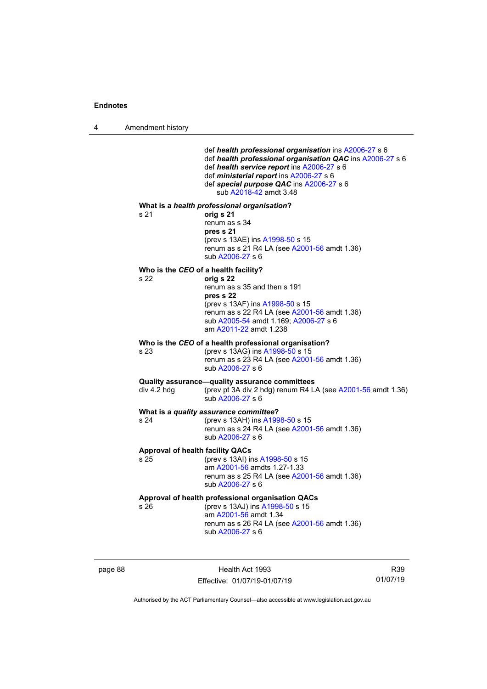4 Amendment history

def *health professional organisation* in[s A2006-27](http://www.legislation.act.gov.au/a/2006-27) s 6 def *health professional organisation QAC* ins [A2006-27](http://www.legislation.act.gov.au/a/2006-27) s 6 def *health service report* ins [A2006-27](http://www.legislation.act.gov.au/a/2006-27) s 6 def *ministerial report* ins [A2006-27](http://www.legislation.act.gov.au/a/2006-27) s 6 def *special purpose QAC* in[s A2006-27](http://www.legislation.act.gov.au/a/2006-27) s 6 sub [A2018-42](http://www.legislation.act.gov.au/a/2018-42/default.asp) amdt 3.48 **What is a** *health professional organisation***?** s 21 **orig s 21** renum as s 34 **pres s 21** (prev s 13AE) in[s A1998-50](http://www.legislation.act.gov.au/a/1998-50) s 15 renum as s  $21$  R4 LA (see  $A2001 - 56$  amdt 1.36) sub [A2006-27](http://www.legislation.act.gov.au/a/2006-27) s 6 **Who is the CEO of a health facility?**<br>s 22 orig s 22 s 22 **orig s 22** renum as s 35 and then s 191 **pres s 22** (prev s 13AF) ins [A1998-50](http://www.legislation.act.gov.au/a/1998-50) s 15 renum as s 22 R4 LA (see [A2001-56](http://www.legislation.act.gov.au/a/2001-56) amdt 1.36) sub [A2005-54](http://www.legislation.act.gov.au/a/2005-54) amdt 1.169[; A2006-27](http://www.legislation.act.gov.au/a/2006-27) s 6 am [A2011-22](http://www.legislation.act.gov.au/a/2011-22) amdt 1.238 **Who is the** *CEO* **of a health professional organisation?**<br>s 23 (prev s 13AG) ins A1998-50 s 15 (prev s 13AG) in[s A1998-50](http://www.legislation.act.gov.au/a/1998-50) s 15 renum as s 23 R4 LA (see [A2001-56](http://www.legislation.act.gov.au/a/2001-56) amdt 1.36) sub [A2006-27](http://www.legislation.act.gov.au/a/2006-27) s 6 **Quality assurance—quality assurance committees**<br>div 4.2 hdg (prev pt 3A div 2 hdg) renum R4 L (prev pt 3A div 2 hdg) renum R4 LA (see  $A2001-56$  amdt 1.36) sub [A2006-27](http://www.legislation.act.gov.au/a/2006-27) s 6 **What is a** *quality assurance committee***?** s 24 (prev s 13AH) ins [A1998-50](http://www.legislation.act.gov.au/a/1998-50) s 15 renum as s 24 R4 LA (see [A2001-56](http://www.legislation.act.gov.au/a/2001-56) amdt 1.36) sub [A2006-27](http://www.legislation.act.gov.au/a/2006-27) s 6 **Approval of health facility QACs**<br>s 25 (prev s 13Al) in (prev s 13AI) ins [A1998-50](http://www.legislation.act.gov.au/a/1998-50) s 15 am [A2001-56](http://www.legislation.act.gov.au/a/2001-56) amdts 1.27-1.33 renum as s 25 R4 LA (see [A2001-56](http://www.legislation.act.gov.au/a/2001-56) amdt 1.36) sub [A2006-27](http://www.legislation.act.gov.au/a/2006-27) s 6 **Approval of health professional organisation QACs** s 26 (prev s 13AJ) ins [A1998-50](http://www.legislation.act.gov.au/a/1998-50) s 15 am [A2001-56](http://www.legislation.act.gov.au/a/2001-56) amdt 1.34 renum as s 26 R4 LA (see [A2001-56](http://www.legislation.act.gov.au/a/2001-56) amdt 1.36) sub [A2006-27](http://www.legislation.act.gov.au/a/2006-27) s 6

page 88 Health Act 1993 Effective: 01/07/19-01/07/19

R39 01/07/19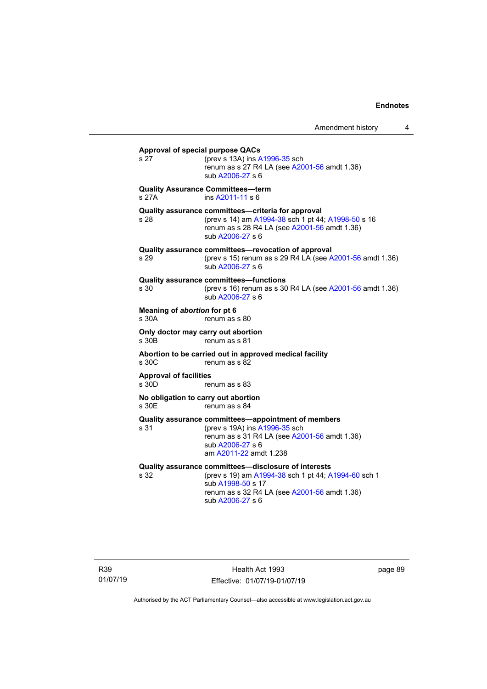| <b>Approval of special purpose QACs</b><br>s 27               | (prev s 13A) ins A1996-35 sch<br>renum as s 27 R4 LA (see A2001-56 amdt 1.36)<br>sub A2006-27 s 6                                                                                                    |  |
|---------------------------------------------------------------|------------------------------------------------------------------------------------------------------------------------------------------------------------------------------------------------------|--|
| s 27A                                                         | <b>Quality Assurance Committees-term</b><br>ins A2011-11 s 6                                                                                                                                         |  |
| s 28                                                          | Quality assurance committees-criteria for approval<br>(prev s 14) am A1994-38 sch 1 pt 44; A1998-50 s 16<br>renum as s 28 R4 LA (see A2001-56 amdt 1.36)<br>sub A2006-27 s 6                         |  |
| s 29                                                          | Quality assurance committees-revocation of approval<br>(prev s 15) renum as s 29 R4 LA (see A2001-56 amdt 1.36)<br>sub A2006-27 s 6                                                                  |  |
| s 30                                                          | <b>Quality assurance committees-functions</b><br>(prev s 16) renum as s 30 R4 LA (see A2001-56 amdt 1.36)<br>sub A2006-27 s 6                                                                        |  |
| Meaning of abortion for pt 6<br>s 30A<br>renum as s 80        |                                                                                                                                                                                                      |  |
| Only doctor may carry out abortion<br>s 30B                   | renum as s 81                                                                                                                                                                                        |  |
| s, 30C                                                        | Abortion to be carried out in approved medical facility<br>renum as s 82                                                                                                                             |  |
| <b>Approval of facilities</b><br>s 30D                        | renum as s 83                                                                                                                                                                                        |  |
| No obligation to carry out abortion<br>s 30E<br>renum as s 84 |                                                                                                                                                                                                      |  |
| s 31                                                          | Quality assurance committees—appointment of members<br>(prev s 19A) ins A1996-35 sch<br>renum as s 31 R4 LA (see A2001-56 amdt 1.36)<br>sub A2006-27 s 6<br>am A2011-22 amdt 1.238                   |  |
| s 32                                                          | Quality assurance committees-disclosure of interests<br>(prev s 19) am A1994-38 sch 1 pt 44; A1994-60 sch 1<br>sub A1998-50 s 17<br>renum as s 32 R4 LA (see A2001-56 amdt 1.36)<br>sub A2006-27 s 6 |  |

R39 01/07/19

Health Act 1993 Effective: 01/07/19-01/07/19 page 89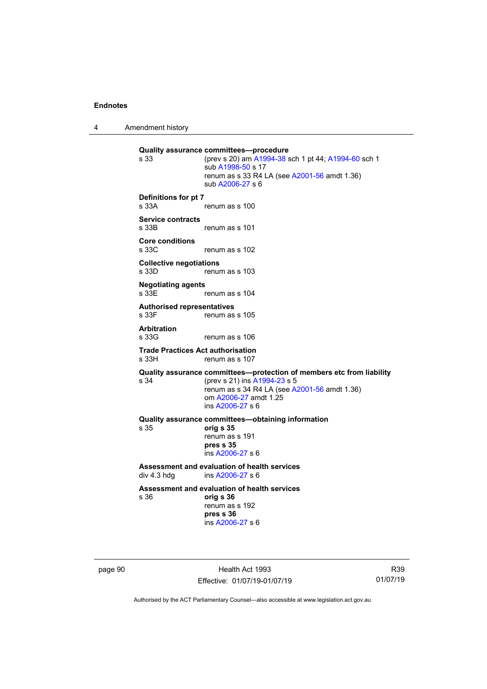4 Amendment history

```
Quality assurance committees—procedure<br>s 33 (prev s 20) am A1994-38
                    A1994-38 A1994-60 sch 1
                   sub A1998-50 s 17
                   renum as s 33 R4 LA (see A2001-56 amdt 1.36)
                   sub A2006-27 s 6
Definitions for pt 7
                   renum as s 100
Service contracts
                   renum as s 101
Core conditions
                   renum as s 102
Collective negotiations
                   renum as s 103
Negotiating agents
s 33E renum as s 104
Authorised representatives
                   renum as s 105
Arbitration
                   renum as s 106
Trade Practices Act authorisation
                   renum as s 107
Quality assurance committees—protection of members etc from liability<br>s 34 (prev s 21) ins A1994-23 s 5
                    A1994-23 s 5
                   renum as s 34 R4 LA (see A2001-56 amdt 1.36)
                   om A2006-27 amdt 1.25
                   ins A2006-27 s 6
Quality assurance committees—obtaining information
                   s 35 orig s 35
                   renum as s 191
                   pres s 35
                   ins A2006-27 s 6
Assessment and evaluation of health services<br>div 4.3 hdg ins A2006-27 s 6
                    A2006-27 s 6
Assessment and evaluation of health services
                   s 36 orig s 36
                   renum as s 192
                   pres s 36
                   ins A2006-27 s 6
```
page 90 Health Act 1993 Effective: 01/07/19-01/07/19

R39 01/07/19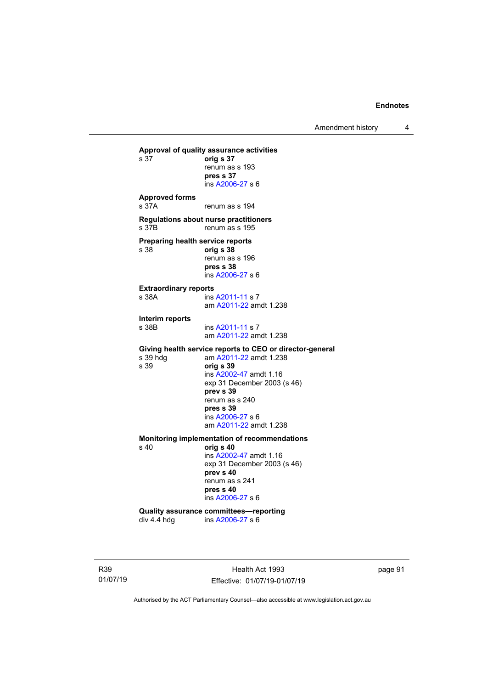Amendment history 4

```
Approval of quality assurance activities
                    s 37 orig s 37
                    renum as s 193
                    pres s 37
                    ins A2006-27 s 6
Approved forms
s 37A renum as s 194
Regulations about nurse practitioners
                    renum as s 195
Preparing health service reports<br>s 38 orig s 38
                    s 38 orig s 38
                    renum as s 196
                    pres s 38
                    ins A2006-27 s 6
Extraordinary reports
                     A2011-11 s 7
                    am A2011-22 amdt 1.238
Interim reports
                     A2011-11 s 7
                    am A2011-22 amdt 1.238
Giving health service reports to CEO or director-general<br>s 39 hdg am A2011-22 amdt 1.238
s 39 hdg am \frac{\text{A2011-22}}{\text{201}} amdt 1.238
                    s 39 orig s 39
                    ins A2002-47 amdt 1.16
                    exp 31 December 2003 (s 46)
                    prev s 39
                    renum as s 240
                    pres s 39
                    ins A2006-27 s 6
                    am A2011-22 amdt 1.238
Monitoring implementation of recommendations
                    s 40 orig s 40
                    ins A2002-47 amdt 1.16
                    exp 31 December 2003 (s 46)
                    prev s 40
                    renum as s 241
                    pres s 40
                    ins A2006-27 s 6
Quality assurance committees—reporting<br>div 4.4 hdg ins A2006-27 s 6
                     A2006-27 s 6
```
R39 01/07/19

Health Act 1993 Effective: 01/07/19-01/07/19 page 91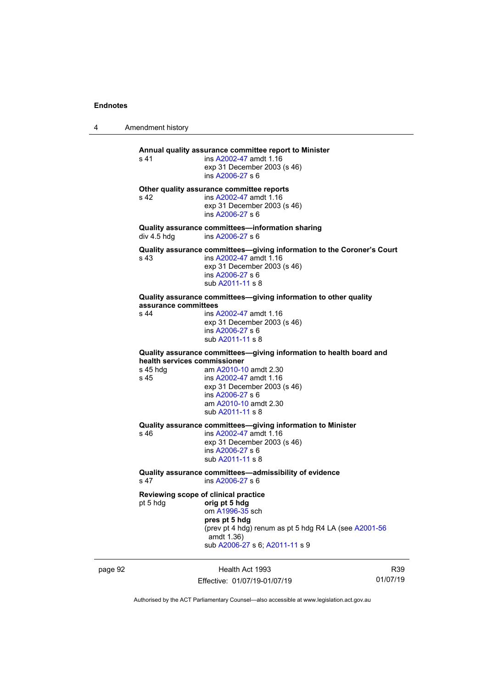4 Amendment history

| s <sub>41</sub>                                  | Annual quality assurance committee report to Minister<br>ins A2002-47 amdt 1.16<br>exp 31 December 2003 (s 46)<br>ins A2006-27 s 6                                                                 |
|--------------------------------------------------|----------------------------------------------------------------------------------------------------------------------------------------------------------------------------------------------------|
| s <sub>42</sub>                                  | Other quality assurance committee reports<br>ins A2002-47 amdt 1.16<br>exp 31 December 2003 (s 46)<br>ins A2006-27 s 6                                                                             |
| div 4.5 hdg                                      | Quality assurance committees-information sharing<br>ins A2006-27 s 6                                                                                                                               |
| s 43                                             | Quality assurance committees-giving information to the Coroner's Court<br>ins A2002-47 amdt 1.16<br>exp 31 December 2003 (s 46)<br>ins A2006-27 s 6<br>sub A2011-11 s 8                            |
| assurance committees                             | Quality assurance committees-giving information to other quality                                                                                                                                   |
| s44                                              | ins A2002-47 amdt 1.16<br>exp 31 December 2003 (s 46)<br>ins A2006-27 s 6<br>sub A2011-11 s 8                                                                                                      |
|                                                  | Quality assurance committees-giving information to health board and                                                                                                                                |
| health services commissioner<br>s 45 hda<br>s 45 | am A2010-10 amdt 2.30<br>ins A2002-47 amdt 1.16<br>exp 31 December 2003 (s 46)<br>ins A2006-27 s 6<br>am A2010-10 amdt 2.30<br>sub A2011-11 s 8                                                    |
| s 46                                             | Quality assurance committees-giving information to Minister<br>ins A2002-47 amdt 1.16<br>exp 31 December 2003 (s 46)<br>ins A2006-27 s 6<br>sub A2011-11 s 8                                       |
| s <sub>47</sub>                                  | Quality assurance committees-admissibility of evidence<br>ins A2006-27 s 6                                                                                                                         |
| pt 5 hdg                                         | Reviewing scope of clinical practice<br>orig pt 5 hdg<br>om A1996-35 sch<br>pres pt 5 hdg<br>(prev pt 4 hdg) renum as pt 5 hdg R4 LA (see A2001-56<br>amdt 1.36)<br>sub A2006-27 s 6; A2011-11 s 9 |

page 92 **Health Act 1993** Effective: 01/07/19-01/07/19

R39 01/07/19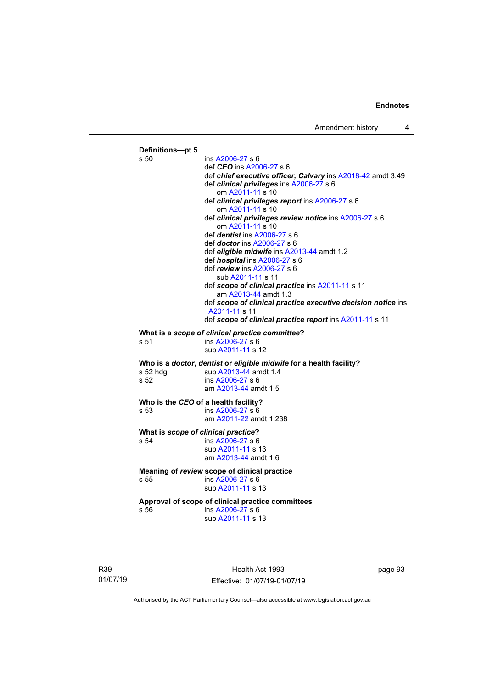

R39 01/07/19

Health Act 1993 Effective: 01/07/19-01/07/19 page 93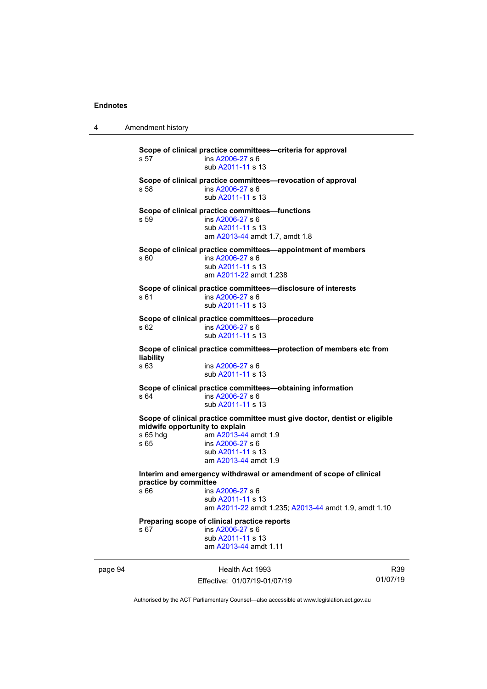4 Amendment history page 94 Health Act 1993 R39 01/07/19 **Scope of clinical practice committees—criteria for approval**<br>s 57 **ins A2006-27** s 6 ins [A2006-27](http://www.legislation.act.gov.au/a/2006-27) s 6 sub [A2011-11](http://www.legislation.act.gov.au/a/2011-11) s 13 **Scope of clinical practice committees—revocation of approval**<br>s 58 **ignal committees** ins [A2006-27](http://www.legislation.act.gov.au/a/2006-27) s 6 sub [A2011-11](http://www.legislation.act.gov.au/a/2011-11) s 13 **Scope of clinical practice committees—functions**<br>s 59 **ins A2006-27** s 6 ins [A2006-27](http://www.legislation.act.gov.au/a/2006-27) s 6 sub [A2011-11](http://www.legislation.act.gov.au/a/2011-11) s 13 am [A2013-44](http://www.legislation.act.gov.au/a/2013-44) amdt 1.7, amdt 1.8 **Scope of clinical practice committees—appointment of members**<br>s 60 **ins A2006-27 s 6** ins [A2006-27](http://www.legislation.act.gov.au/a/2006-27) s 6 sub [A2011-11](http://www.legislation.act.gov.au/a/2011-11) s 13 am [A2011-22](http://www.legislation.act.gov.au/a/2011-22) amdt 1.238 **Scope of clinical practice committees—disclosure of interests**<br>s 61 **ins A2006-27** s 6 ins [A2006-27](http://www.legislation.act.gov.au/a/2006-27) s 6 sub [A2011-11](http://www.legislation.act.gov.au/a/2011-11) s 13 **Scope of clinical practice committees—procedure** s 62 ins [A2006-27](http://www.legislation.act.gov.au/a/2006-27) s 6 sub [A2011-11](http://www.legislation.act.gov.au/a/2011-11) s 13 **Scope of clinical practice committees—protection of members etc from liability** ins [A2006-27](http://www.legislation.act.gov.au/a/2006-27) s 6 sub [A2011-11](http://www.legislation.act.gov.au/a/2011-11) s 13 **Scope of clinical practice committees—obtaining information**<br>s 64 **ins A2006-27** s 6 ins [A2006-27](http://www.legislation.act.gov.au/a/2006-27) s 6 sub [A2011-11](http://www.legislation.act.gov.au/a/2011-11) s 13 **Scope of clinical practice committee must give doctor, dentist or eligible midwife opportunity to explain**<br>s 65 hdq am A2013-44 s 65 hdg am [A2013-44](http://www.legislation.act.gov.au/a/2013-44) amdt 1.9<br>s 65 ins A2006-27 s 6 ins [A2006-27](http://www.legislation.act.gov.au/a/2006-27) s 6 sub [A2011-11](http://www.legislation.act.gov.au/a/2011-11) s 13 am [A2013-44](http://www.legislation.act.gov.au/a/2013-44) amdt 1.9 **Interim and emergency withdrawal or amendment of scope of clinical practice by committee**<br>s 66 **ins** ins [A2006-27](http://www.legislation.act.gov.au/a/2006-27) s 6 sub [A2011-11](http://www.legislation.act.gov.au/a/2011-11) s 13 am [A2011-22](http://www.legislation.act.gov.au/a/2011-22) amdt 1.235; [A2013-44](http://www.legislation.act.gov.au/a/2013-44) amdt 1.9, amdt 1.10 **Preparing scope of clinical practice reports**<br>s 67 ms A2006-27 s 6 ins [A2006-27](http://www.legislation.act.gov.au/a/2006-27) s 6 sub [A2011-11](http://www.legislation.act.gov.au/a/2011-11) s 13 am [A2013-44](http://www.legislation.act.gov.au/a/2013-44) amdt 1.11

Authorised by the ACT Parliamentary Counsel—also accessible at www.legislation.act.gov.au

Effective: 01/07/19-01/07/19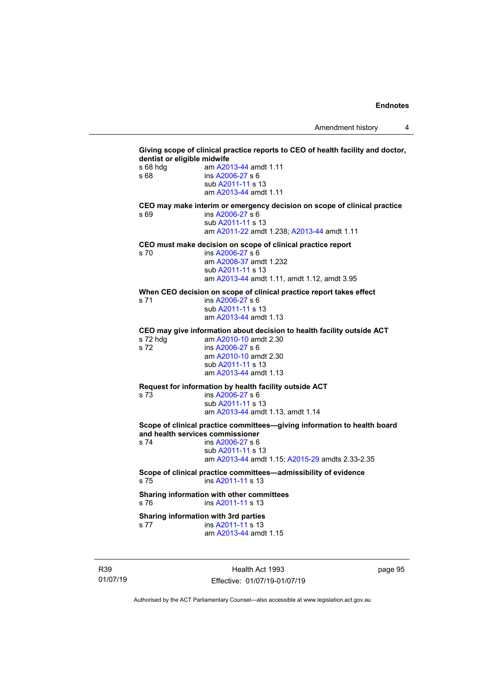# **Giving scope of clinical practice reports to CEO of health facility and doctor, dentist or eligible midwife**<br>s 68 hdg am A20 s 68 hdg am [A2013-44](http://www.legislation.act.gov.au/a/2013-44) amdt 1.11<br>s 68 ins A2006-27 s 6 ins [A2006-27](http://www.legislation.act.gov.au/a/2006-27) s 6 sub [A2011-11](http://www.legislation.act.gov.au/a/2011-11) s 13 am [A2013-44](http://www.legislation.act.gov.au/a/2013-44) amdt 1.11 **CEO may make interim or emergency decision on scope of clinical practice** s 69 ins [A2006-27](http://www.legislation.act.gov.au/a/2006-27) s 6 sub [A2011-11](http://www.legislation.act.gov.au/a/2011-11) s 13 am [A2011-22](http://www.legislation.act.gov.au/a/2011-22) amdt 1.238; [A2013-44](http://www.legislation.act.gov.au/a/2013-44) amdt 1.11 **CEO must make decision on scope of clinical practice report** ins [A2006-27](http://www.legislation.act.gov.au/a/2006-27) s 6 am [A2008-37](http://www.legislation.act.gov.au/a/2008-37) amdt 1.232 sub [A2011-11](http://www.legislation.act.gov.au/a/2011-11) s 13 am [A2013-44](http://www.legislation.act.gov.au/a/2013-44) amdt 1.11, amdt 1.12, amdt 3.95 When CEO decision on scope of clinical practice report takes effect<br>s 71 **ins A2006-27 s 6** ins [A2006-27](http://www.legislation.act.gov.au/a/2006-27) s 6 sub [A2011-11](http://www.legislation.act.gov.au/a/2011-11) s 13 am [A2013-44](http://www.legislation.act.gov.au/a/2013-44) amdt 1.13 **CEO may give information about decision to health facility outside ACT** s 72 hdg am [A2010-10](http://www.legislation.act.gov.au/a/2010-10) amdt 2.30<br>s 72 ins A2006-27 s 6  $ins A2006-27 s 6$  $ins A2006-27 s 6$  $ins A2006-27 s 6$ am [A2010-10](http://www.legislation.act.gov.au/a/2010-10) amdt 2.30 sub [A2011-11](http://www.legislation.act.gov.au/a/2011-11) s 13 am [A2013-44](http://www.legislation.act.gov.au/a/2013-44) amdt 1.13 **Request for information by health facility outside ACT**<br>s 73 **ms A2006-27** s 6 ins [A2006-27](http://www.legislation.act.gov.au/a/2006-27) s 6 sub [A2011-11](http://www.legislation.act.gov.au/a/2011-11) s 13 am [A2013-44](http://www.legislation.act.gov.au/a/2013-44) amdt 1.13, amdt 1.14 **Scope of clinical practice committees—giving information to health board and health services commissioner** ins [A2006-27](http://www.legislation.act.gov.au/a/2006-27) s 6 sub [A2011-11](http://www.legislation.act.gov.au/a/2011-11) s 13 am [A2013-44](http://www.legislation.act.gov.au/a/2013-44) amdt 1.15[; A2015-29](http://www.legislation.act.gov.au/a/2015-29/default.asp) amdts 2.33-2.35 **Scope of clinical practice committees—admissibility of evidence**<br>s 75 **ims A2011-11** s 13 ins [A2011-11](http://www.legislation.act.gov.au/a/2011-11) s 13 **Sharing information with other committees** s 76 ins [A2011-11](http://www.legislation.act.gov.au/a/2011-11) s 13 **Sharing information with 3rd parties**<br>s 77 **black** ins A2011-11 s 13 ins [A2011-11](http://www.legislation.act.gov.au/a/2011-11) s 13 am [A2013-44](http://www.legislation.act.gov.au/a/2013-44) amdt 1.15

R39 01/07/19

Health Act 1993 Effective: 01/07/19-01/07/19 page 95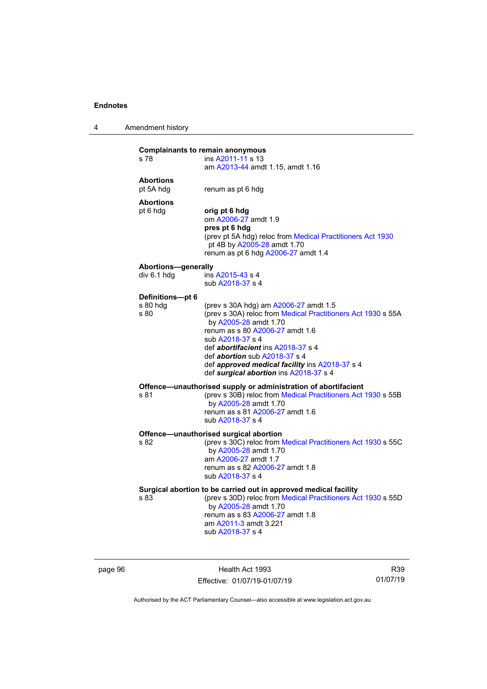| 4 | Amendment history |
|---|-------------------|
|---|-------------------|

| s 78                                      | <b>Complainants to remain anonymous</b><br>ins A2011-11 s 13                                                                                                                                                                                                                                                          |
|-------------------------------------------|-----------------------------------------------------------------------------------------------------------------------------------------------------------------------------------------------------------------------------------------------------------------------------------------------------------------------|
|                                           | am A2013-44 amdt 1.15, amdt 1.16                                                                                                                                                                                                                                                                                      |
| <b>Abortions</b><br>pt 5A hdg             | renum as pt 6 hdg                                                                                                                                                                                                                                                                                                     |
| <b>Abortions</b>                          |                                                                                                                                                                                                                                                                                                                       |
| pt 6 hdg                                  | orig pt 6 hdg<br>om A2006-27 amdt 1.9<br>pres pt 6 hdg<br>(prev pt 5A hdg) reloc from Medical Practitioners Act 1930<br>pt 4B by A2005-28 amdt 1.70<br>renum as pt 6 hdg A2006-27 amdt 1.4                                                                                                                            |
|                                           |                                                                                                                                                                                                                                                                                                                       |
| <b>Abortions-generally</b><br>div 6.1 hdg | ins A2015-43 s 4<br>sub A2018-37 s 4                                                                                                                                                                                                                                                                                  |
| Definitions-pt 6                          |                                                                                                                                                                                                                                                                                                                       |
| s 80 hdg<br>s 80                          | (prev s 30A hdg) am A2006-27 amdt 1.5<br>(prev s 30A) reloc from Medical Practitioners Act 1930 s 55A<br>by A2005-28 amdt 1.70<br>renum as s 80 A2006-27 amdt 1.6<br>sub A2018-37 s 4<br>def <b>abortifacient</b> ins A2018-37 s 4<br>def abortion sub A2018-37 s 4<br>def approved medical facility ins A2018-37 s 4 |
|                                           | def surgical abortion ins A2018-37 s 4                                                                                                                                                                                                                                                                                |
| s 81                                      | Offence-unauthorised supply or administration of abortifacient<br>(prev s 30B) reloc from Medical Practitioners Act 1930 s 55B<br>by A2005-28 amdt 1.70<br>renum as s 81 A2006-27 amdt 1.6<br>sub A2018-37 s 4                                                                                                        |
|                                           | Offence-unauthorised surgical abortion                                                                                                                                                                                                                                                                                |
| s 82                                      | (prev s 30C) reloc from Medical Practitioners Act 1930 s 55C<br>by A2005-28 amdt 1.70<br>am A2006-27 amdt 1.7<br>renum as s 82 A2006-27 amdt 1.8                                                                                                                                                                      |
|                                           | sub A2018-37 s 4                                                                                                                                                                                                                                                                                                      |
| s 83                                      | Surgical abortion to be carried out in approved medical facility<br>(prev s 30D) reloc from Medical Practitioners Act 1930 s 55D<br>by A2005-28 amdt 1.70<br>renum as s 83 A2006-27 amdt 1.8<br>am A2011-3 amdt 3.221<br>sub A2018-37 s 4                                                                             |

page 96 **Health Act 1993** Effective: 01/07/19-01/07/19

R39 01/07/19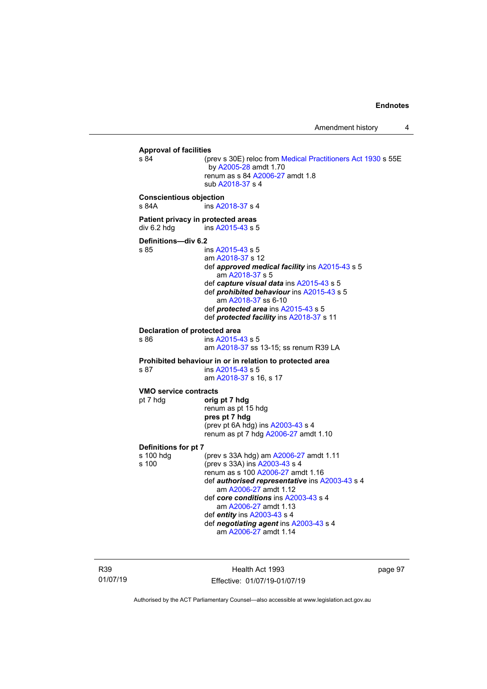# **Approval of facilities** (prev s 30E) reloc from [Medical Practitioners Act 1930](http://www.legislation.act.gov.au/a/1930-13) s 55E by [A2005-28](http://www.legislation.act.gov.au/a/2005-28) amdt 1.70 renum as s 84 [A2006-27](http://www.legislation.act.gov.au/a/2006-27) amdt 1.8 sub [A2018-37](http://www.legislation.act.gov.au/a/2018-37/default.asp) s 4 **Conscientious objection** ins [A2018-37](http://www.legislation.act.gov.au/a/2018-37/default.asp) s 4 **Patient privacy in protected areas**<br>div 6.2 hdg ins A2015-43 s 5  $ins$  [A2015-43](http://www.legislation.act.gov.au/a/2015-43/default.asp) s 5 **Definitions—div 6.2** ins [A2015-43](http://www.legislation.act.gov.au/a/2015-43/default.asp) s 5 am [A2018-37](http://www.legislation.act.gov.au/a/2018-37/default.asp) s 12 def *approved medical facility* ins [A2015-43](http://www.legislation.act.gov.au/a/2015-43/default.asp) s 5 am [A2018-37](http://www.legislation.act.gov.au/a/2018-37/default.asp) s 5 def *capture visual data* ins [A2015-43](http://www.legislation.act.gov.au/a/2015-43/default.asp) s 5 def *prohibited behaviour* ins [A2015-43](http://www.legislation.act.gov.au/a/2015-43/default.asp) s 5 am [A2018-37](http://www.legislation.act.gov.au/a/2018-37/default.asp) ss 6-10 def *protected area* ins [A2015-43](http://www.legislation.act.gov.au/a/2015-43/default.asp) s 5 def *protected facility* in[s A2018-37](http://www.legislation.act.gov.au/a/2018-37/default.asp) s 11 **Declaration of protected area** s 86 ins [A2015-43](http://www.legislation.act.gov.au/a/2015-43/default.asp) s 5 am [A2018-37](http://www.legislation.act.gov.au/a/2018-37/default.asp) ss 13-15; ss renum R39 LA **Prohibited behaviour in or in relation to protected area**<br>s 87 **ins A2015-43** s 5 ins [A2015-43](http://www.legislation.act.gov.au/a/2015-43/default.asp) s 5 am [A2018-37](http://www.legislation.act.gov.au/a/2018-37/default.asp) s 16, s 17 **VMO service contracts** pt 7 hdg **orig pt 7 hdg** renum as pt 15 hdg **pres pt 7 hdg** (prev pt 6A hdg) ins [A2003-43](http://www.legislation.act.gov.au/a/2003-43) s 4 renum as pt 7 hdg [A2006-27](http://www.legislation.act.gov.au/a/2006-27) amdt 1.10 **Definitions for pt 7** s 100 hdg (prev s 33A hdg) am [A2006-27](http://www.legislation.act.gov.au/a/2006-27) amdt 1.11<br>s 100 (prev s 33A) ins A2003-43 s 4 (prev s 33A) in[s A2003-43](http://www.legislation.act.gov.au/a/2003-43) s 4 renum as s 10[0 A2006-27](http://www.legislation.act.gov.au/a/2006-27) amdt 1.16 def *authorised representative* in[s A2003-43](http://www.legislation.act.gov.au/a/2003-43) s 4 am [A2006-27](http://www.legislation.act.gov.au/a/2006-27) amdt 1.12 def *core conditions* in[s A2003-43](http://www.legislation.act.gov.au/a/2003-43) s 4 am [A2006-27](http://www.legislation.act.gov.au/a/2006-27) amdt 1.13 def *entity* in[s A2003-43](http://www.legislation.act.gov.au/a/2003-43) s 4 def *negotiating agent* in[s A2003-43](http://www.legislation.act.gov.au/a/2003-43) s 4 am [A2006-27](http://www.legislation.act.gov.au/a/2006-27) amdt 1.14

R39 01/07/19

Health Act 1993 Effective: 01/07/19-01/07/19 page 97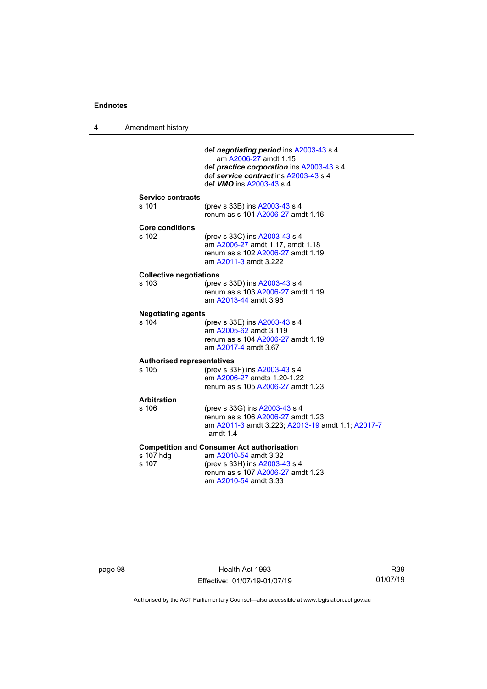| 4 | Amendment history                          |                                                                                                                                                                                                  |
|---|--------------------------------------------|--------------------------------------------------------------------------------------------------------------------------------------------------------------------------------------------------|
|   |                                            | def negotiating period ins A2003-43 s 4<br>am A2006-27 amdt 1.15<br>def <i>practice corporation</i> ins A2003-43 s 4<br>def service contract ins A2003-43 s 4<br>def <b>VMO</b> ins A2003-43 s 4 |
|   | <b>Service contracts</b><br>s 101          | (prev s 33B) ins A2003-43 s 4<br>renum as s 101 A2006-27 amdt 1.16                                                                                                                               |
|   | <b>Core conditions</b><br>s 102            | (prev s 33C) ins A2003-43 s 4<br>am A2006-27 amdt 1.17, amdt 1.18<br>renum as s 102 A2006-27 amdt 1.19<br>am A2011-3 amdt 3.222                                                                  |
|   | <b>Collective negotiations</b><br>s 103    | (prev s 33D) ins A2003-43 s 4<br>renum as s 103 A2006-27 amdt 1.19<br>am A2013-44 amdt 3.96                                                                                                      |
|   | <b>Negotiating agents</b><br>s 104         | (prev s 33E) ins A2003-43 s 4<br>am A2005-62 amdt 3.119<br>renum as s 104 A2006-27 amdt 1.19<br>am A2017-4 amdt 3.67                                                                             |
|   | <b>Authorised representatives</b><br>s 105 | (prev s 33F) ins A2003-43 s 4<br>am A2006-27 amdts 1.20-1.22<br>renum as s 105 A2006-27 amdt 1.23                                                                                                |
|   | <b>Arbitration</b><br>s 106                | (prev s 33G) ins A2003-43 s 4<br>renum as s 106 A2006-27 amdt 1.23<br>am A2011-3 amdt 3.223; A2013-19 amdt 1.1; A2017-7<br>amdt 1.4                                                              |
|   | s 107 hdg<br>s 107                         | <b>Competition and Consumer Act authorisation</b><br>am A2010-54 amdt 3.32<br>(prev s 33H) ins A2003-43 s 4<br>renum as s 107 A2006-27 amdt 1.23<br>am A2010-54 amdt 3.33                        |

page 98 **Health Act 1993** Effective: 01/07/19-01/07/19

R39 01/07/19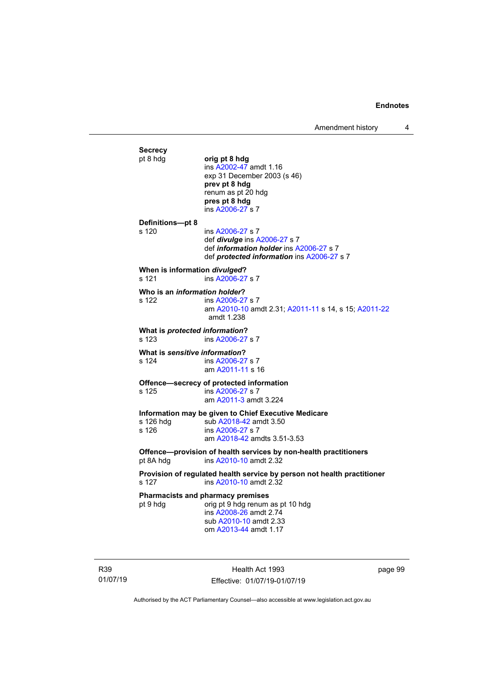**Secrecy**<br>pt 8 hdg pt 8 hdg **orig pt 8 hdg** ins [A2002-47](http://www.legislation.act.gov.au/a/2002-47) amdt 1.16 exp 31 December 2003 (s 46) **prev pt 8 hdg** renum as pt 20 hdg **pres pt 8 hdg** ins [A2006-27](http://www.legislation.act.gov.au/a/2006-27) s 7 **Definitions—pt 8** ins [A2006-27](http://www.legislation.act.gov.au/a/2006-27) s 7 def *divulge* ins [A2006-27](http://www.legislation.act.gov.au/a/2006-27) s 7 def *information holder* ins [A2006-27](http://www.legislation.act.gov.au/a/2006-27) s 7 def *protected information* in[s A2006-27](http://www.legislation.act.gov.au/a/2006-27) s 7 **When is information** *divulged***?**<br>s 121 ins A2006-27 ins [A2006-27](http://www.legislation.act.gov.au/a/2006-27) s 7 **Who is an** *information holder***?**<br> **s** 122 **ins A2006-27** ins [A2006-27](http://www.legislation.act.gov.au/a/2006-27) s 7 am [A2010-10](http://www.legislation.act.gov.au/a/2010-10) amdt 2.31[; A2011-11](http://www.legislation.act.gov.au/a/2011-11) s 14, s 15; [A2011-22](http://www.legislation.act.gov.au/a/2011-22) amdt 1.238 **What is** *protected information***?** s 123 ins [A2006-27](http://www.legislation.act.gov.au/a/2006-27) s 7 **What is sensitive information?**<br> **s** 124 **ins A2006-27** ins [A2006-27](http://www.legislation.act.gov.au/a/2006-27) s 7 am [A2011-11](http://www.legislation.act.gov.au/a/2011-11) s 16 **Offence—secrecy of protected information**<br>s 125 ins A2006-27 s 7 ins [A2006-27](http://www.legislation.act.gov.au/a/2006-27) s 7 am [A2011-3](http://www.legislation.act.gov.au/a/2011-3) amdt 3.224 **Information may be given to Chief Executive Medicare** s 126 hdg sub [A2018-42](http://www.legislation.act.gov.au/a/2018-42/default.asp) amdt 3.50<br>s 126 s ins A2006-27 s 7 ins [A2006-27](http://www.legislation.act.gov.au/a/2006-27) s 7 am [A2018-42](http://www.legislation.act.gov.au/a/2018-42/default.asp) amdts 3.51-3.53 **Offence—provision of health services by non-health practitioners**<br>pt 8A hdg ins A2010-10 amdt 2.32 ins [A2010-10](http://www.legislation.act.gov.au/a/2010-10) amdt 2.32 **Provision of regulated health service by person not health practitioner** ins [A2010-10](http://www.legislation.act.gov.au/a/2010-10) amdt 2.32 **Pharmacists and pharmacy premises**<br>pt 9 hdg<br>orig pt 9 hdg renum orig pt 9 hdg renum as pt 10 hdg ins [A2008-26](http://www.legislation.act.gov.au/a/2008-26) amdt 2.74 sub [A2010-10](http://www.legislation.act.gov.au/a/2010-10) amdt 2.33 om [A2013-44](http://www.legislation.act.gov.au/a/2013-44) amdt 1.17

R39 01/07/19

Health Act 1993 Effective: 01/07/19-01/07/19 page 99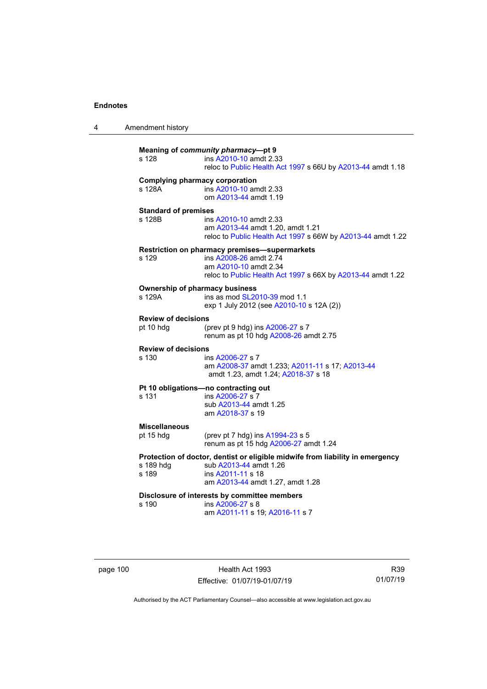4 Amendment history

| s 128                                           | Meaning of community pharmacy-pt 9<br>ins A2010-10 amdt 2.33<br>reloc to Public Health Act 1997 s 66U by A2013-44 amdt 1.18                                      |
|-------------------------------------------------|------------------------------------------------------------------------------------------------------------------------------------------------------------------|
| <b>Complying pharmacy corporation</b><br>s 128A | ins A2010-10 amdt 2.33<br>om A2013-44 amdt 1.19                                                                                                                  |
| <b>Standard of premises</b><br>s 128B           | ins A2010-10 amdt 2.33<br>am A2013-44 amdt 1.20, amdt 1.21<br>reloc to Public Health Act 1997 s 66W by A2013-44 amdt 1.22                                        |
| s 129                                           | Restriction on pharmacy premises-supermarkets<br>ins A2008-26 amdt 2.74<br>am A2010-10 amdt 2.34<br>reloc to Public Health Act 1997 s 66X by A2013-44 amdt 1.22  |
| <b>Ownership of pharmacy business</b><br>s 129A | ins as mod SL2010-39 mod 1.1<br>exp 1 July 2012 (see A2010-10 s 12A (2))                                                                                         |
| <b>Review of decisions</b><br>pt 10 hdg         | (prev pt 9 hdg) ins A2006-27 s 7<br>renum as pt 10 hdg A2008-26 amdt 2.75                                                                                        |
| <b>Review of decisions</b><br>s 130             | ins A2006-27 s 7<br>am A2008-37 amdt 1.233; A2011-11 s 17; A2013-44<br>amdt 1.23, amdt 1.24; A2018-37 s 18                                                       |
| s 131                                           | Pt 10 obligations-no contracting out<br>ins A2006-27 s 7<br>sub A2013-44 amdt 1.25<br>am A2018-37 s 19                                                           |
| <b>Miscellaneous</b><br>pt 15 hdg               | (prev pt 7 hdg) ins A1994-23 s 5<br>renum as pt 15 hdg A2006-27 amdt 1.24                                                                                        |
| s 189 hdg<br>s 189                              | Protection of doctor, dentist or eligible midwife from liability in emergency<br>sub A2013-44 amdt 1.26<br>ins A2011-11 s 18<br>am A2013-44 amdt 1.27, amdt 1.28 |
| s 190                                           | Disclosure of interests by committee members<br>ins A2006-27 s 8<br>am A2011-11 s 19; A2016-11 s 7                                                               |

page 100 **Health Act 1993** Effective: 01/07/19-01/07/19

R39 01/07/19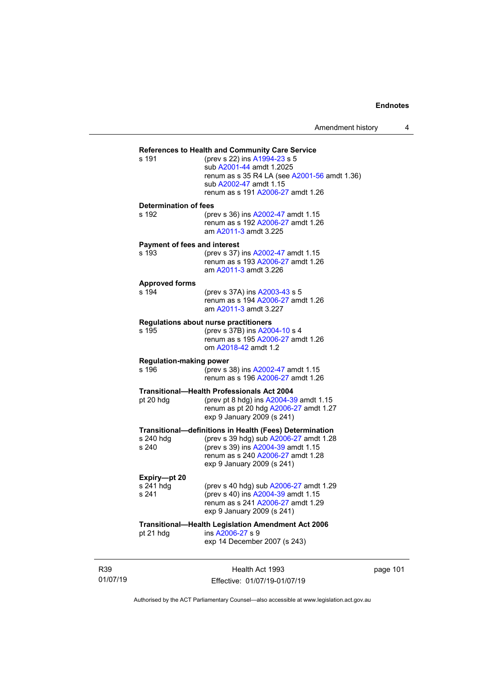| <b>References to Health and Community Care Service</b> |                                                                                                                                                                         |  |  |  |
|--------------------------------------------------------|-------------------------------------------------------------------------------------------------------------------------------------------------------------------------|--|--|--|
| s 191                                                  | (prev s 22) ins A1994-23 s 5<br>sub A2001-44 amdt 1.2025<br>renum as s 35 R4 LA (see A2001-56 amdt 1.36)<br>sub A2002-47 amdt 1.15<br>renum as s 191 A2006-27 amdt 1.26 |  |  |  |
| <b>Determination of fees</b>                           |                                                                                                                                                                         |  |  |  |
| s 192                                                  | (prev s 36) ins A2002-47 amdt 1.15<br>renum as s 192 A2006-27 amdt 1.26<br>am A2011-3 amdt 3.225                                                                        |  |  |  |
| <b>Payment of fees and interest</b>                    |                                                                                                                                                                         |  |  |  |
| s 193                                                  | (prev s 37) ins A2002-47 amdt 1.15<br>renum as s 193 A2006-27 amdt 1.26<br>am A2011-3 amdt 3.226                                                                        |  |  |  |
| <b>Approved forms</b>                                  |                                                                                                                                                                         |  |  |  |
| s 194                                                  | (prev s 37A) ins A2003-43 s 5<br>renum as s 194 A2006-27 amdt 1.26<br>am A2011-3 amdt 3.227                                                                             |  |  |  |
|                                                        | Regulations about nurse practitioners                                                                                                                                   |  |  |  |
| s 195                                                  | (prev s 37B) ins A2004-10 s 4<br>renum as s 195 A2006-27 amdt 1.26<br>om A2018-42 amdt 1.2                                                                              |  |  |  |
| <b>Regulation-making power</b><br>s 196                | (prev s 38) ins A2002-47 amdt 1.15<br>renum as s 196 A2006-27 amdt 1.26                                                                                                 |  |  |  |
| pt 20 hdg                                              | <b>Transitional-Health Professionals Act 2004</b><br>(prev pt 8 hdg) ins A2004-39 amdt 1.15<br>renum as pt 20 hdg A2006-27 amdt 1.27<br>exp 9 January 2009 (s 241)      |  |  |  |
|                                                        | Transitional-definitions in Health (Fees) Determination                                                                                                                 |  |  |  |
| s 240 hdg<br>s 240                                     | (prev s 39 hdg) sub A2006-27 amdt 1.28<br>(prev s 39) ins A2004-39 amdt 1.15<br>renum as s 240 A2006-27 amdt 1.28<br>exp 9 January 2009 (s 241)                         |  |  |  |
| Expiry-pt 20                                           |                                                                                                                                                                         |  |  |  |
| s 241 hdg<br>s 241                                     | (prev s 40 hdg) sub A2006-27 amdt 1.29<br>(prev s 40) ins A2004-39 amdt 1.15<br>renum as s 241 A2006-27 amdt 1.29<br>exp 9 January 2009 (s 241)                         |  |  |  |
| Transitional-Health Legislation Amendment Act 2006     |                                                                                                                                                                         |  |  |  |
| pt 21 hdg                                              | ins A2006-27 s 9<br>exp 14 December 2007 (s 243)                                                                                                                        |  |  |  |
|                                                        |                                                                                                                                                                         |  |  |  |

R39 01/07/19

Health Act 1993 Effective: 01/07/19-01/07/19 page 101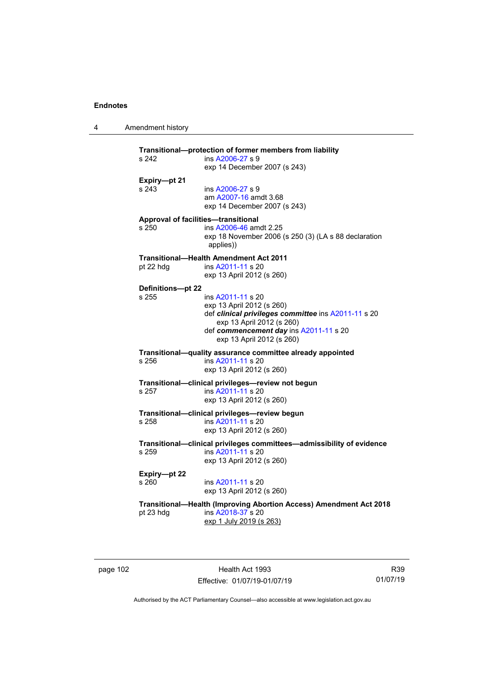4 Amendment history

| s 242                                        | Transitional-protection of former members from liability<br>ins A2006-27 s 9<br>exp 14 December 2007 (s 243)                                                                                              |
|----------------------------------------------|-----------------------------------------------------------------------------------------------------------------------------------------------------------------------------------------------------------|
| Expiry-pt 21<br>s 243                        | ins A2006-27 s 9<br>am A2007-16 amdt 3.68<br>exp 14 December 2007 (s 243)                                                                                                                                 |
| Approval of facilities-transitional<br>s 250 | ins A2006-46 amdt 2.25<br>exp 18 November 2006 (s 250 (3) (LA s 88 declaration<br>applies))                                                                                                               |
| pt 22 hdg                                    | <b>Transitional-Health Amendment Act 2011</b><br>ins A2011-11 s 20<br>exp 13 April 2012 (s 260)                                                                                                           |
| Definitions-pt 22<br>s 255                   | ins A2011-11 s 20<br>exp 13 April 2012 (s 260)<br>def clinical privileges committee ins A2011-11 s 20<br>exp 13 April 2012 (s 260)<br>def commencement day ins A2011-11 s 20<br>exp 13 April 2012 (s 260) |
| s 256                                        | Transitional-quality assurance committee already appointed<br>ins A2011-11 s 20<br>exp 13 April 2012 (s 260)                                                                                              |
| s 257                                        | Transitional-clinical privileges-review not begun<br>ins A2011-11 s 20<br>exp 13 April 2012 (s 260)                                                                                                       |
| s 258                                        | Transitional-clinical privileges-review begun<br>ins A2011-11 s 20<br>exp 13 April 2012 (s 260)                                                                                                           |
| s 259                                        | Transitional--clinical privileges committees-admissibility of evidence<br>ins A2011-11 s 20<br>exp 13 April 2012 (s 260)                                                                                  |
| Expiry-pt 22<br>s 260                        | ins A2011-11 s 20<br>exp 13 April 2012 (s 260)                                                                                                                                                            |
| pt 23 hdg                                    | Transitional-Health (Improving Abortion Access) Amendment Act 2018<br>ins A2018-37 s 20<br>exp 1 July 2019 (s 263)                                                                                        |

page 102 **Health Act 1993** Effective: 01/07/19-01/07/19

R39 01/07/19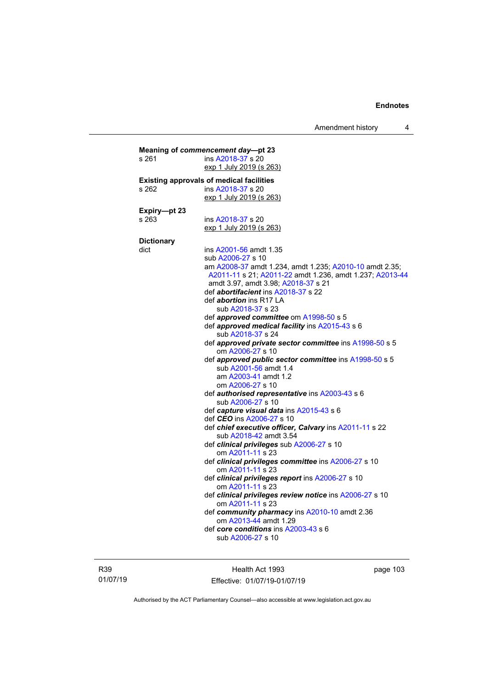Amendment history 4

| s 261             | ins A2018-37 s 20<br>exp 1 July 2019 (s 263)                  |
|-------------------|---------------------------------------------------------------|
|                   | <b>Existing approvals of medical facilities</b>               |
| s 262             | ins A2018-37 s 20                                             |
|                   | exp 1 July 2019 (s 263)                                       |
| Expiry-pt 23      |                                                               |
| s 263             | ins A2018-37 s 20                                             |
|                   | exp 1 July 2019 (s 263)                                       |
| <b>Dictionary</b> |                                                               |
| dict              | ins A2001-56 amdt 1.35                                        |
|                   | sub A2006-27 s 10                                             |
|                   | am A2008-37 amdt 1.234, amdt 1.235; A2010-10 amdt 2.35;       |
|                   | A2011-11 s 21; A2011-22 amdt 1.236, amdt 1.237; A2013-44      |
|                   | amdt 3.97, amdt 3.98; A2018-37 s 21                           |
|                   | def <i>abortifacient</i> ins A2018-37 s 22                    |
|                   | def <i>abortion</i> ins R17 LA                                |
|                   | sub A2018-37 s 23                                             |
|                   | def approved committee om A1998-50 s 5                        |
|                   | def approved medical facility ins A2015-43 s 6                |
|                   | sub A2018-37 s 24                                             |
|                   | def approved private sector committee ins A1998-50 s 5        |
|                   | om A2006-27 s 10                                              |
|                   | def approved public sector committee ins A1998-50 s 5         |
|                   | sub A2001-56 amdt 1.4                                         |
|                   | am A2003-41 amdt 1.2                                          |
|                   | om A2006-27 s 10                                              |
|                   | def authorised representative ins A2003-43 s 6                |
|                   | sub A2006-27 s 10                                             |
|                   | def capture visual data ins A2015-43 s 6                      |
|                   | def CEO ins A2006-27 s 10                                     |
|                   | def chief executive officer, Calvary ins A2011-11 s 22        |
|                   | sub A2018-42 amdt 3.54                                        |
|                   | def clinical privileges sub A2006-27 s 10<br>om A2011-11 s 23 |
|                   | def clinical privileges committee ins A2006-27 s 10           |
|                   | om A2011-11 s 23                                              |
|                   | def clinical privileges report ins A2006-27 s 10              |
|                   | om A2011-11 s 23                                              |
|                   | def clinical privileges review notice ins A2006-27 s 10       |
|                   | om A2011-11 s 23                                              |
|                   | def community pharmacy ins A2010-10 amdt 2.36                 |
|                   | om A2013-44 amdt 1.29                                         |
|                   | def core conditions ins A2003-43 s 6                          |
|                   | sub A2006-27 s 10                                             |

R39 01/07/19

Health Act 1993 Effective: 01/07/19-01/07/19 page 103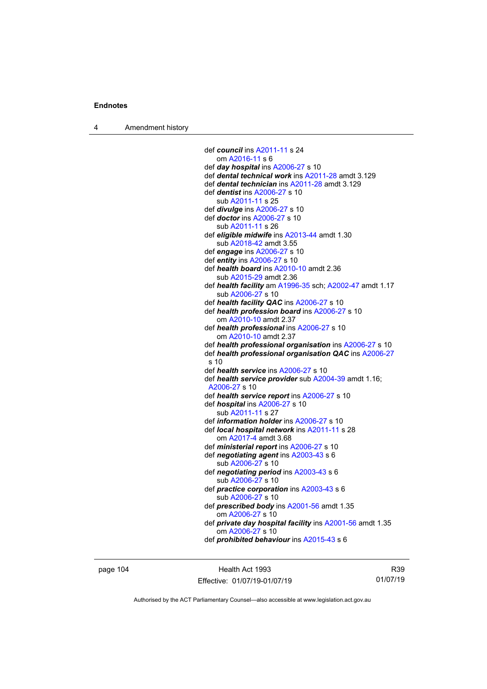4 Amendment history

```
def council ins A2011-11 s 24
   om A2016-11 s 6
def day hospital ins A2006-27 s 10
def dental technical work ins A2011-28 amdt 3.129
def dental technician ins A2011-28 amdt 3.129
def dentist ins A2006-27 s 10
   sub A2011-11 s 25
def divulge ins A2006-27 s 10
def doctor ins A2006-27 s 10
    A2011-11 s 26
def eligible midwife ins A2013-44 amdt 1.30
   sub A2018-42 amdt 3.55
def engage ins A2006-27 s 10
def entity ins A2006-27 s 10
def health board ins A2010-10 amdt 2.36
   sub A2015-29 amdt 2.36
def health facility am A1996-35 sch; A2002-47 amdt 1.17
   sub A2006-27 s 10
def health facility QAC ins A2006-27 s 10
def health profession board ins A2006-27 s 10
   om A2010-10 amdt 2.37
def health professional ins A2006-27 s 10
   om A2010-10 amdt 2.37
def health professional organisation ins A2006-27 s 10
def health professional organisation QAC ins A2006-27
 s 10
def health service ins A2006-27 s 10
def health service provider sub A2004-39 amdt 1.16; 
 A2006-27 s 10
def health service report ins A2006-27 s 10
def hospital ins A2006-27 s 10
   sub A2011-11 s 27
def information holder ins A2006-27 s 10
def local hospital network ins A2011-11 s 28
   om A2017-4 amdt 3.68
def ministerial report ins A2006-27 s 10
def negotiating agent ins A2003-43 s 6
   sub A2006-27 s 10
def negotiating period ins A2003-43 s 6
   sub A2006-27 s 10
def practice corporation ins A2003-43 s 6
   sub A2006-27 s 10
def prescribed body ins A2001-56 amdt 1.35
   om A2006-27 s 10
def private day hospital facility ins A2001-56 amdt 1.35
   om A2006-27 s 10
def prohibited behaviour ins A2015-43 s 6
```
page 104 Health Act 1993 Effective: 01/07/19-01/07/19

R39 01/07/19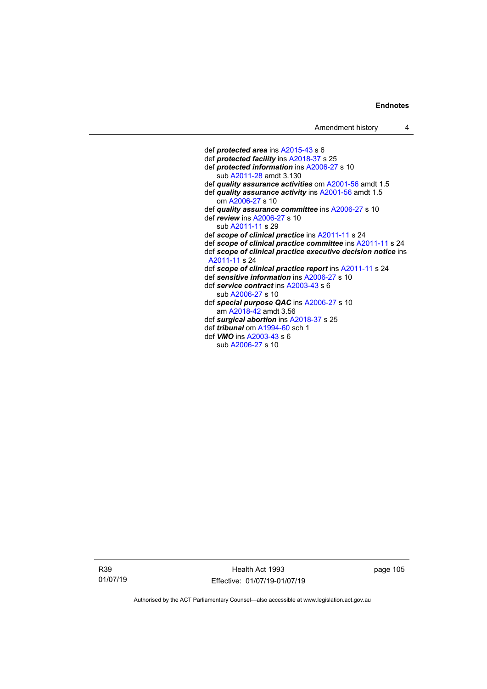def *protected area* ins [A2015-43](http://www.legislation.act.gov.au/a/2015-43/default.asp) s 6 def *protected facility* in[s A2018-37](http://www.legislation.act.gov.au/a/2018-37/default.asp) s 25 def *protected information* in[s A2006-27](http://www.legislation.act.gov.au/a/2006-27) s 10 sub [A2011-28](http://www.legislation.act.gov.au/a/2011-28) amdt 3.130 def *quality assurance activities* o[m A2001-56](http://www.legislation.act.gov.au/a/2001-56) amdt 1.5 def *quality assurance activity* ins [A2001-56](http://www.legislation.act.gov.au/a/2001-56) amdt 1.5 om [A2006-27](http://www.legislation.act.gov.au/a/2006-27) s 10 def *quality assurance committee* ins [A2006-27](http://www.legislation.act.gov.au/a/2006-27) s 10 def *review* in[s A2006-27](http://www.legislation.act.gov.au/a/2006-27) s 10 sub [A2011-11](http://www.legislation.act.gov.au/a/2011-11) s 29 def *scope of clinical practice* in[s A2011-11](http://www.legislation.act.gov.au/a/2011-11) s 24 def *scope of clinical practice committee* ins [A2011-11](http://www.legislation.act.gov.au/a/2011-11) s 24 def *scope of clinical practice executive decision notice* ins [A2011-11](http://www.legislation.act.gov.au/a/2011-11) s 24 def *scope of clinical practice report* ins [A2011-11](http://www.legislation.act.gov.au/a/2011-11) s 24 def *sensitive information* ins [A2006-27](http://www.legislation.act.gov.au/a/2006-27) s 10 def *service contract* in[s A2003-43](http://www.legislation.act.gov.au/a/2003-43) s 6 sub [A2006-27](http://www.legislation.act.gov.au/a/2006-27) s 10 def *special purpose QAC* in[s A2006-27](http://www.legislation.act.gov.au/a/2006-27) s 10 am [A2018-42](http://www.legislation.act.gov.au/a/2018-42/default.asp) amdt 3.56 def *surgical abortion* in[s A2018-37](http://www.legislation.act.gov.au/a/2018-37/default.asp) s 25 def *tribunal* o[m A1994-60](http://www.legislation.act.gov.au/a/1994-60) sch 1 def *VMO* ins [A2003-43](http://www.legislation.act.gov.au/a/2003-43) s 6 sub [A2006-27](http://www.legislation.act.gov.au/a/2006-27) s 10

R39 01/07/19

Health Act 1993 Effective: 01/07/19-01/07/19 page 105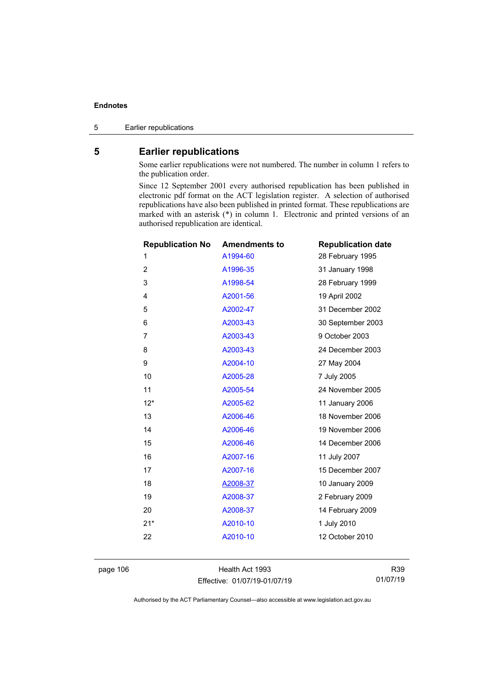5 Earlier republications

# **5 Earlier republications**

Some earlier republications were not numbered. The number in column 1 refers to the publication order.

Since 12 September 2001 every authorised republication has been published in electronic pdf format on the ACT legislation register. A selection of authorised republications have also been published in printed format. These republications are marked with an asterisk (\*) in column 1. Electronic and printed versions of an authorised republication are identical.

|                | <b>Republication No</b> | <b>Amendments to</b> | <b>Republication date</b> |
|----------------|-------------------------|----------------------|---------------------------|
|                | 1                       | A1994-60             | 28 February 1995          |
|                | $\overline{2}$          | A1996-35             | 31 January 1998           |
|                | 3                       | A1998-54             | 28 February 1999          |
| 4              |                         | A2001-56             | 19 April 2002             |
|                | 5                       | A2002-47             | 31 December 2002          |
|                | 6                       | A2003-43             | 30 September 2003         |
| $\overline{7}$ |                         | A2003-43             | 9 October 2003            |
|                | 8                       | A2003-43             | 24 December 2003          |
|                | 9                       | A2004-10             | 27 May 2004               |
|                | 10                      | A2005-28             | 7 July 2005               |
|                | 11                      | A2005-54             | 24 November 2005          |
|                | $12*$                   | A2005-62             | 11 January 2006           |
|                | 13                      | A2006-46             | 18 November 2006          |
|                | 14                      | A2006-46             | 19 November 2006          |
|                | 15                      | A2006-46             | 14 December 2006          |
|                | 16                      | A2007-16             | 11 July 2007              |
|                | 17                      | A2007-16             | 15 December 2007          |
|                | 18                      | A2008-37             | 10 January 2009           |
|                | 19                      | A2008-37             | 2 February 2009           |
|                | 20                      | A2008-37             | 14 February 2009          |
|                | $21*$                   | A2010-10             | 1 July 2010               |
|                | 22                      | A2010-10             | 12 October 2010           |
|                |                         |                      |                           |

page 106 **Health Act 1993** Effective: 01/07/19-01/07/19

R39 01/07/19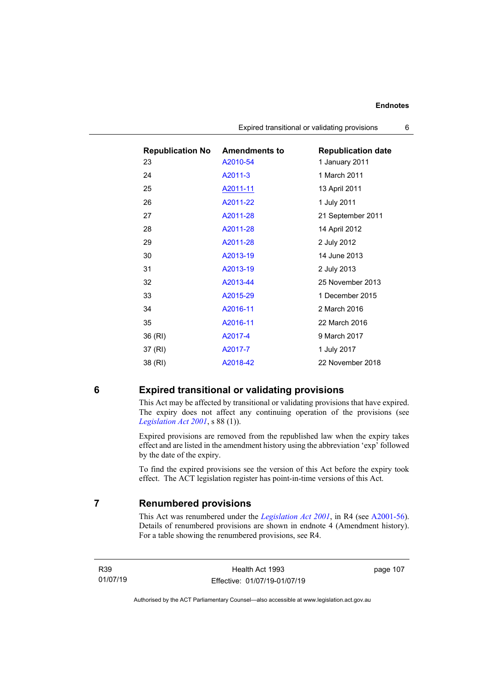| <b>Republication No</b> | <b>Amendments to</b> | <b>Republication date</b> |
|-------------------------|----------------------|---------------------------|
| 23                      | A2010-54             | 1 January 2011            |
| 24                      | A2011-3              | 1 March 2011              |
| 25                      | <u>A2011-11</u>      | 13 April 2011             |
| 26                      | A2011-22             | 1 July 2011               |
| 27                      | A2011-28             | 21 September 2011         |
| 28                      | A2011-28             | 14 April 2012             |
| 29                      | A2011-28             | 2 July 2012               |
| 30                      | A2013-19             | 14 June 2013              |
| 31                      | A2013-19             | 2 July 2013               |
| 32                      | A2013-44             | 25 November 2013          |
| 33                      | A2015-29             | 1 December 2015           |
| 34                      | A2016-11             | 2 March 2016              |
| 35                      | A2016-11             | 22 March 2016             |
| 36 (RI)                 | A2017-4              | 9 March 2017              |
| 37 (RI)                 | A2017-7              | 1 July 2017               |
| 38 (RI)                 | A2018-42             | 22 November 2018          |

Expired transitional or validating provisions 6

# **6 Expired transitional or validating provisions**

This Act may be affected by transitional or validating provisions that have expired. The expiry does not affect any continuing operation of the provisions (see *[Legislation Act](http://www.legislation.act.gov.au/a/2001-14) 2001*, s 88 (1)).

Expired provisions are removed from the republished law when the expiry takes effect and are listed in the amendment history using the abbreviation 'exp' followed by the date of the expiry.

To find the expired provisions see the version of this Act before the expiry took effect. The ACT legislation register has point-in-time versions of this Act.

### **7 Renumbered provisions**

This Act was renumbered under the *[Legislation Act 2001](http://www.legislation.act.gov.au/a/2001-14)*, in R4 (see [A2001-56\)](http://www.legislation.act.gov.au/a/2001-56/default.asp). Details of renumbered provisions are shown in endnote 4 (Amendment history). For a table showing the renumbered provisions, see R4.

R39 01/07/19

Health Act 1993 Effective: 01/07/19-01/07/19 page 107